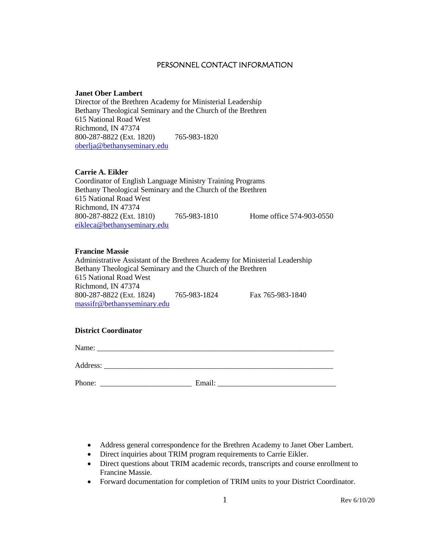#### PERSONNEL CONTACT INFORMATION

#### **Janet Ober Lambert**

Director of the Brethren Academy for Ministerial Leadership Bethany Theological Seminary and the Church of the Brethren 615 National Road West Richmond, IN 47374 800-287-8822 (Ext. 1820) 765-983-1820 [oberlja@bethanyseminary.edu](mailto:oberlja@bethanyseminary.edu)

#### **Carrie A. Eikler**

Coordinator of English Language Ministry Training Programs Bethany Theological Seminary and the Church of the Brethren 615 National Road West Richmond, IN 47374 800-287-8822 (Ext. 1810) 765-983-1810 Home office 574-903-0550 [eikleca@bethanyseminary.edu](mailto:eikleca@bethanyseminary.edu)

#### **Francine Massie**

Administrative Assistant of the Brethren Academy for Ministerial Leadership Bethany Theological Seminary and the Church of the Brethren 615 National Road West Richmond, IN 47374 800-287-8822 (Ext. 1824) 765-983-1824 Fax 765-983-1840 massifr@bethanyseminary.edu

#### **District Coordinator**

Name: \_\_\_\_\_\_\_\_\_\_\_\_\_\_\_\_\_\_\_\_\_\_\_\_\_\_\_\_\_\_\_\_\_\_\_\_\_\_\_\_\_\_\_\_\_\_\_\_\_\_\_\_\_\_\_\_\_\_\_\_\_\_

Address: \_\_\_\_\_\_\_\_\_\_\_\_\_\_\_\_\_\_\_\_\_\_\_\_\_\_\_\_\_\_\_\_\_\_\_\_\_\_\_\_\_\_\_\_\_\_\_\_\_\_\_\_\_\_\_\_\_\_\_\_

Phone: Email:

- Address general correspondence for the Brethren Academy to Janet Ober Lambert.
- Direct inquiries about TRIM program requirements to Carrie Eikler.
- Direct questions about TRIM academic records, transcripts and course enrollment to Francine Massie.
- Forward documentation for completion of TRIM units to your District Coordinator.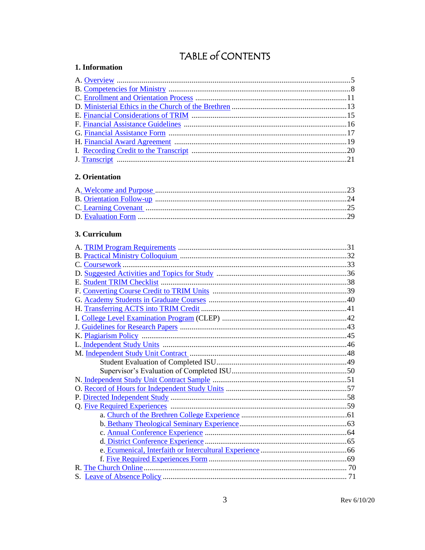# TABLE of CONTENTS

## <span id="page-2-0"></span>1. Information

## <span id="page-2-1"></span>2. Orientation

## <span id="page-2-2"></span>3. Curriculum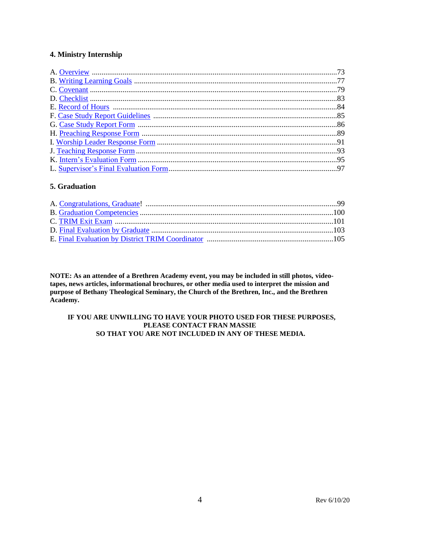#### **4. Ministry Internship**

## **5. Graduation**

**NOTE: As an attendee of a Brethren Academy event, you may be included in still photos, videotapes, news articles, informational brochures, or other media used to interpret the mission and purpose of Bethany Theological Seminary, the Church of the Brethren, Inc., and the Brethren Academy.**

#### **IF YOU ARE UNWILLING TO HAVE YOUR PHOTO USED FOR THESE PURPOSES, PLEASE CONTACT FRAN MASSIE SO THAT YOU ARE NOT INCLUDED IN ANY OF THESE MEDIA.**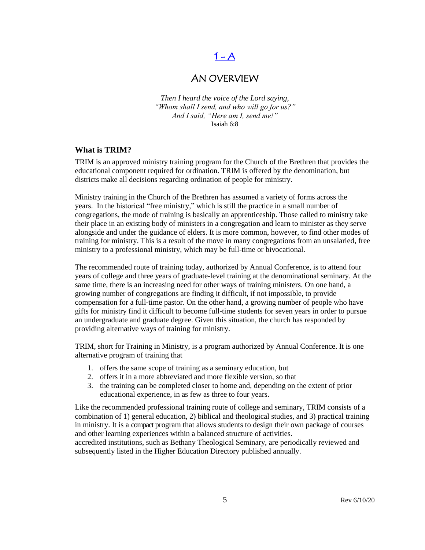# $1 - A$

## AN OVERVIEW

<span id="page-4-0"></span>*Then I heard the voice of the Lord saying, "Whom shall I send, and who will go for us?" And I said, "Here am I, send me!"* Isaiah 6:8

#### **What is TRIM?**

TRIM is an approved ministry training program for the Church of the Brethren that provides the educational component required for ordination. TRIM is offered by the denomination, but districts make all decisions regarding ordination of people for ministry.

Ministry training in the Church of the Brethren has assumed a variety of forms across the years. In the historical "free ministry," which is still the practice in a small number of congregations, the mode of training is basically an apprenticeship. Those called to ministry take their place in an existing body of ministers in a congregation and learn to minister as they serve alongside and under the guidance of elders. It is more common, however, to find other modes of training for ministry. This is a result of the move in many congregations from an unsalaried, free ministry to a professional ministry, which may be full-time or bivocational.

The recommended route of training today, authorized by Annual Conference, is to attend four years of college and three years of graduate-level training at the denominational seminary. At the same time, there is an increasing need for other ways of training ministers. On one hand, a growing number of congregations are finding it difficult, if not impossible, to provide compensation for a full-time pastor. On the other hand, a growing number of people who have gifts for ministry find it difficult to become full-time students for seven years in order to pursue an undergraduate and graduate degree. Given this situation, the church has responded by providing alternative ways of training for ministry.

TRIM, short for Training in Ministry, is a program authorized by Annual Conference. It is one alternative program of training that

- 1. offers the same scope of training as a seminary education, but
- 2. offers it in a more abbreviated and more flexible version, so that
- 3. the training can be completed closer to home and, depending on the extent of prior educational experience, in as few as three to four years.

Like the recommended professional training route of college and seminary, TRIM consists of a combination of 1) general education, 2) biblical and theological studies, and 3) practical training in ministry. It is a compact program that allows students to design their own package of courses and other learning experiences within a balanced structure of activities. accredited institutions, such as Bethany Theological Seminary, are periodically reviewed and

subsequently listed in the Higher Education Directory published annually.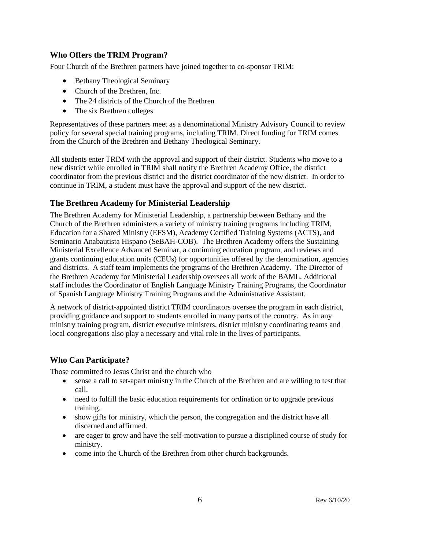## **Who Offers the TRIM Program?**

Four Church of the Brethren partners have joined together to co-sponsor TRIM:

- Bethany Theological Seminary
- Church of the Brethren, Inc.
- The 24 districts of the Church of the Brethren
- The six Brethren colleges

Representatives of these partners meet as a denominational Ministry Advisory Council to review policy for several special training programs, including TRIM. Direct funding for TRIM comes from the Church of the Brethren and Bethany Theological Seminary.

All students enter TRIM with the approval and support of their district. Students who move to a new district while enrolled in TRIM shall notify the Brethren Academy Office, the district coordinator from the previous district and the district coordinator of the new district. In order to continue in TRIM, a student must have the approval and support of the new district.

## **The Brethren Academy for Ministerial Leadership**

The Brethren Academy for Ministerial Leadership, a partnership between Bethany and the Church of the Brethren administers a variety of ministry training programs including TRIM, Education for a Shared Ministry (EFSM), Academy Certified Training Systems (ACTS), and Seminario Anabautista Hispano (SeBAH-COB). The Brethren Academy offers the Sustaining Ministerial Excellence Advanced Seminar, a continuing education program, and reviews and grants continuing education units (CEUs) for opportunities offered by the denomination, agencies and districts. A staff team implements the programs of the Brethren Academy. The Director of the Brethren Academy for Ministerial Leadership oversees all work of the BAML. Additional staff includes the Coordinator of English Language Ministry Training Programs, the Coordinator of Spanish Language Ministry Training Programs and the Administrative Assistant.

A network of district-appointed district TRIM coordinators oversee the program in each district, providing guidance and support to students enrolled in many parts of the country. As in any ministry training program, district executive ministers, district ministry coordinating teams and local congregations also play a necessary and vital role in the lives of participants.

## **Who Can Participate?**

Those committed to Jesus Christ and the church who

- sense a call to set-apart ministry in the Church of the Brethren and are willing to test that call.
- need to fulfill the basic education requirements for ordination or to upgrade previous training.
- show gifts for ministry, which the person, the congregation and the district have all discerned and affirmed.
- are eager to grow and have the self-motivation to pursue a disciplined course of study for ministry.
- come into the Church of the Brethren from other church backgrounds.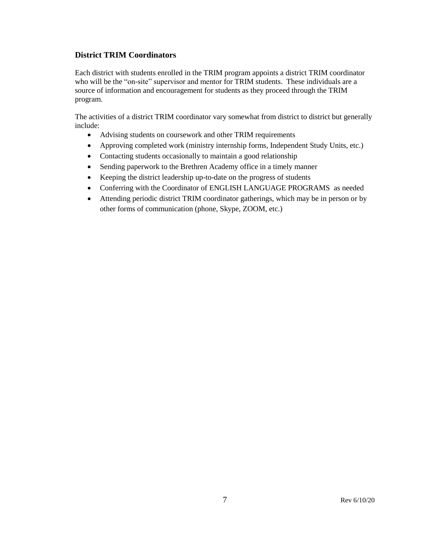## **District TRIM Coordinators**

Each district with students enrolled in the TRIM program appoints a district TRIM coordinator who will be the "on-site" supervisor and mentor for TRIM students. These individuals are a source of information and encouragement for students as they proceed through the TRIM program.

The activities of a district TRIM coordinator vary somewhat from district to district but generally include:

- Advising students on coursework and other TRIM requirements
- Approving completed work (ministry internship forms, Independent Study Units, etc.)
- Contacting students occasionally to maintain a good relationship
- Sending paperwork to the Brethren Academy office in a timely manner
- Keeping the district leadership up-to-date on the progress of students
- Conferring with the Coordinator of ENGLISH LANGUAGE PROGRAMS as needed
- Attending periodic district TRIM coordinator gatherings, which may be in person or by other forms of communication (phone, Skype, ZOOM, etc.)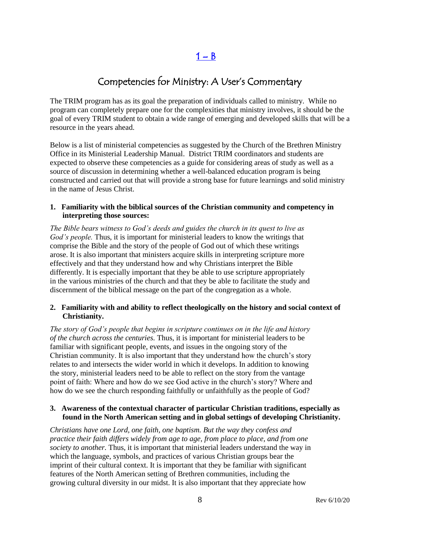$1 - B$  $1 - B$ 

# Competencies for Ministry: A User's Commentary

<span id="page-7-0"></span>The TRIM program has as its goal the preparation of individuals called to ministry. While no program can completely prepare one for the complexities that ministry involves, it should be the goal of every TRIM student to obtain a wide range of emerging and developed skills that will be a resource in the years ahead.

Below is a list of ministerial competencies as suggested by the Church of the Brethren Ministry Office in its Ministerial Leadership Manual. District TRIM coordinators and students are expected to observe these competencies as a guide for considering areas of study as well as a source of discussion in determining whether a well-balanced education program is being constructed and carried out that will provide a strong base for future learnings and solid ministry in the name of Jesus Christ.

#### **1. Familiarity with the biblical sources of the Christian community and competency in interpreting those sources:**

*The Bible bears witness to God's deeds and guides the church in its quest to live as God's people.* Thus, it is important for ministerial leaders to know the writings that comprise the Bible and the story of the people of God out of which these writings arose. It is also important that ministers acquire skills in interpreting scripture more effectively and that they understand how and why Christians interpret the Bible differently. It is especially important that they be able to use scripture appropriately in the various ministries of the church and that they be able to facilitate the study and discernment of the biblical message on the part of the congregation as a whole.

#### **2. Familiarity with and ability to reflect theologically on the history and social context of Christianity.**

*The story of God's people that begins in scripture continues on in the life and history of the church across the centuries.* Thus, it is important for ministerial leaders to be familiar with significant people, events, and issues in the ongoing story of the Christian community. It is also important that they understand how the church's story relates to and intersects the wider world in which it develops. In addition to knowing the story, ministerial leaders need to be able to reflect on the story from the vantage point of faith: Where and how do we see God active in the church's story? Where and how do we see the church responding faithfully or unfaithfully as the people of God?

#### **3. Awareness of the contextual character of particular Christian traditions, especially as found in the North American setting and in global settings of developing Christianity.**

*Christians have one Lord, one faith, one baptism. But the way they confess and practice their faith differs widely from age to age, from place to place, and from one society to another.* Thus, it is important that ministerial leaders understand the way in which the language, symbols, and practices of various Christian groups bear the imprint of their cultural context. It is important that they be familiar with significant features of the North American setting of Brethren communities, including the growing cultural diversity in our midst. It is also important that they appreciate how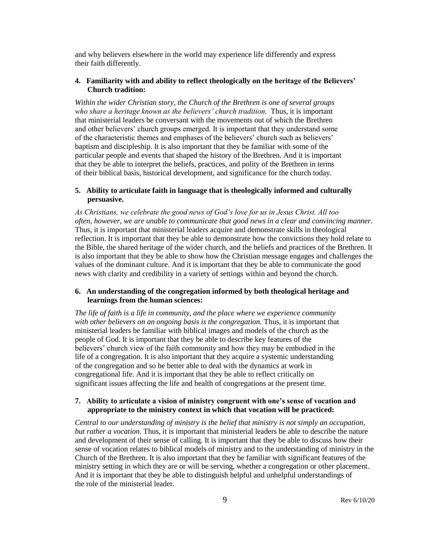and why believers elsewhere in the world may experience life differently and express their faith differently.

#### **4. Familiarity with and ability to reflect theologically on the heritage of the Believers' Church tradition:**

*Within the wider Christian story, the Church of the Brethren is one of several groups who share a heritage known as the believers' church tradition.* Thus, it is important that ministerial leaders be conversant with the movements out of which the Brethren and other believers' church groups emerged. It is important that they understand some of the characteristic themes and emphases of the believers' church such as believers' baptism and discipleship. It is also important that they be familiar with some of the particular people and events that shaped the history of the Brethren. And it is important that they be able to interpret the beliefs, practices, and polity of the Brethren in terms of their biblical basis, historical development, and significance for the church today.

#### **5. Ability to articulate faith in language that is theologically informed and culturally persuasive.**

*As Christians, we celebrate the good news of God's love for us in Jesus Christ. All too often, however, we are unable to communicate that good news in a clear and convincing manner.*  Thus, it is important that ministerial leaders acquire and demonstrate skills in theological reflection. It is important that they be able to demonstrate how the convictions they hold relate to the Bible, the shared heritage of the wider church, and the beliefs and practices of the Brethren. It is also important that they be able to show how the Christian message engages and challenges the values of the dominant culture. And it is important that they be able to communicate the good news with clarity and credibility in a variety of settings within and beyond the church.

#### **6. An understanding of the congregation informed by both theological heritage and learnings from the human sciences:**

*The life of faith is a life in community, and the place where we experience community* with other believers on an ongoing basis is the congregation. Thus, it is important that ministerial leaders be familiar with biblical images and models of the church as the people of God. It is important that they be able to describe key features of the believers' church view of the faith community and how they may be embodied in the life of a congregation. It is also important that they acquire a systemic understanding of the congregation and so be better able to deal with the dynamics at work in congregational life. And it is important that they be able to reflect critically on significant issues affecting the life and health of congregations at the present time.

#### **7. Ability to articulate a vision of ministry congruent with one's sense of vocation and appropriate to the ministry context in which that vocation will be practiced:**

*Central to our understanding of ministry is the belief that ministry is not simply an occupation, but rather a vocation.* Thus, it is important that ministerial leaders be able to describe the nature and development of their sense of calling. It is important that they be able to discuss how their sense of vocation relates to biblical models of ministry and to the understanding of ministry in the Church of the Brethren. It is also important that they be familiar with significant features of the ministry setting in which they are or will be serving, whether a congregation or other placement. And it is important that they be able to distinguish helpful and unhelpful understandings of the role of the ministerial leader.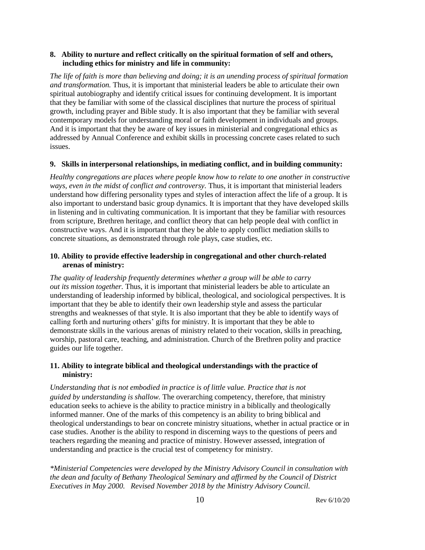#### **8. Ability to nurture and reflect critically on the spiritual formation of self and others, including ethics for ministry and life in community:**

*The life of faith is more than believing and doing; it is an unending process of spiritual formation and transformation.* Thus, it is important that ministerial leaders be able to articulate their own spiritual autobiography and identify critical issues for continuing development. It is important that they be familiar with some of the classical disciplines that nurture the process of spiritual growth, including prayer and Bible study. It is also important that they be familiar with several contemporary models for understanding moral or faith development in individuals and groups. And it is important that they be aware of key issues in ministerial and congregational ethics as addressed by Annual Conference and exhibit skills in processing concrete cases related to such issues.

#### **9. Skills in interpersonal relationships, in mediating conflict, and in building community:**

*Healthy congregations are places where people know how to relate to one another in constructive ways, even in the midst of conflict and controversy.* Thus, it is important that ministerial leaders understand how differing personality types and styles of interaction affect the life of a group. It is also important to understand basic group dynamics. It is important that they have developed skills in listening and in cultivating communication. It is important that they be familiar with resources from scripture, Brethren heritage, and conflict theory that can help people deal with conflict in constructive ways. And it is important that they be able to apply conflict mediation skills to concrete situations, as demonstrated through role plays, case studies, etc.

## **10. Ability to provide effective leadership in congregational and other church-related arenas of ministry:**

*The quality of leadership frequently determines whether a group will be able to carry out its mission together.* Thus, it is important that ministerial leaders be able to articulate an understanding of leadership informed by biblical, theological, and sociological perspectives. It is important that they be able to identify their own leadership style and assess the particular strengths and weaknesses of that style. It is also important that they be able to identify ways of calling forth and nurturing others' gifts for ministry. It is important that they be able to demonstrate skills in the various arenas of ministry related to their vocation, skills in preaching, worship, pastoral care, teaching, and administration. Church of the Brethren polity and practice guides our life together.

## **11. Ability to integrate biblical and theological understandings with the practice of ministry:**

*Understanding that is not embodied in practice is of little value. Practice that is not guided by understanding is shallow.* The overarching competency, therefore, that ministry education seeks to achieve is the ability to practice ministry in a biblically and theologically informed manner. One of the marks of this competency is an ability to bring biblical and theological understandings to bear on concrete ministry situations, whether in actual practice or in case studies. Another is the ability to respond in discerning ways to the questions of peers and teachers regarding the meaning and practice of ministry. However assessed, integration of understanding and practice is the crucial test of competency for ministry.

*\*Ministerial Competencies were developed by the Ministry Advisory Council in consultation with the dean and faculty of Bethany Theological Seminary and affirmed by the Council of District Executives in May 2000. Revised November 2018 by the Ministry Advisory Council.*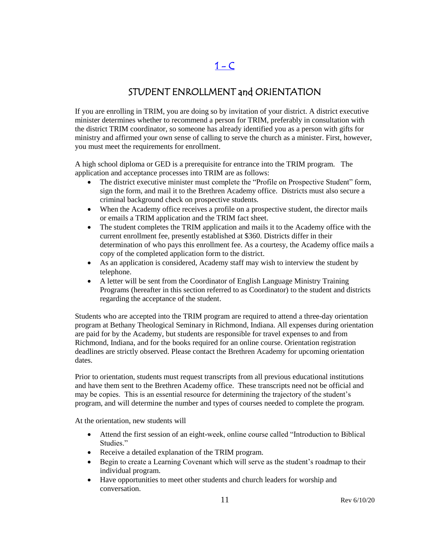# $1 - C$

## STUDENT ENROLLMENT and ORIENTATION

<span id="page-10-0"></span>If you are enrolling in TRIM, you are doing so by invitation of your district. A district executive minister determines whether to recommend a person for TRIM, preferably in consultation with the district TRIM coordinator, so someone has already identified you as a person with gifts for ministry and affirmed your own sense of calling to serve the church as a minister. First, however, you must meet the requirements for enrollment.

A high school diploma or GED is a prerequisite for entrance into the TRIM program. The application and acceptance processes into TRIM are as follows:

- The district executive minister must complete the "Profile on Prospective Student" form, sign the form, and mail it to the Brethren Academy office. Districts must also secure a criminal background check on prospective students.
- When the Academy office receives a profile on a prospective student, the director mails or emails a TRIM application and the TRIM fact sheet.
- The student completes the TRIM application and mails it to the Academy office with the current enrollment fee, presently established at \$360. Districts differ in their determination of who pays this enrollment fee. As a courtesy, the Academy office mails a copy of the completed application form to the district.
- As an application is considered, Academy staff may wish to interview the student by telephone.
- A letter will be sent from the Coordinator of English Language Ministry Training Programs (hereafter in this section referred to as Coordinator) to the student and districts regarding the acceptance of the student.

Students who are accepted into the TRIM program are required to attend a three-day orientation program at Bethany Theological Seminary in Richmond, Indiana. All expenses during orientation are paid for by the Academy, but students are responsible for travel expenses to and from Richmond, Indiana, and for the books required for an online course. Orientation registration deadlines are strictly observed. Please contact the Brethren Academy for upcoming orientation dates.

Prior to orientation, students must request transcripts from all previous educational institutions and have them sent to the Brethren Academy office. These transcripts need not be official and may be copies. This is an essential resource for determining the trajectory of the student's program, and will determine the number and types of courses needed to complete the program.

At the orientation, new students will

- Attend the first session of an eight-week, online course called "Introduction to Biblical Studies."
- Receive a detailed explanation of the TRIM program.
- Begin to create a Learning Covenant which will serve as the student's roadmap to their individual program.
- Have opportunities to meet other students and church leaders for worship and conversation.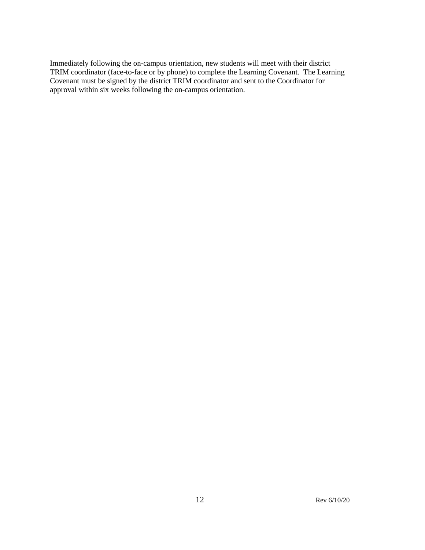Immediately following the on-campus orientation, new students will meet with their district TRIM coordinator (face-to-face or by phone) to complete the Learning Covenant. The Learning Covenant must be signed by the district TRIM coordinator and sent to the Coordinator for approval within six weeks following the on-campus orientation.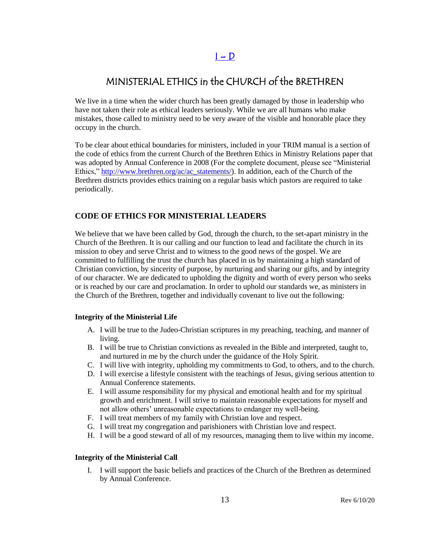## $I - D$

# <span id="page-12-0"></span>MINISTERIAL ETHICS in the CHURCH of the BRETHREN

We live in a time when the wider church has been greatly damaged by those in leadership who have not taken their role as ethical leaders seriously. While we are all humans who make mistakes, those called to ministry need to be very aware of the visible and honorable place they occupy in the church.

To be clear about ethical boundaries for ministers, included in your TRIM manual is a section of the code of ethics from the current Church of the Brethren Ethics in Ministry Relations paper that was adopted by Annual Conference in 2008 (For the complete document, please see "Ministerial Ethics," [http://www.brethren.org/ac/ac\\_statements/\)](http://www.brethren.org/ac/ac_statements/). In addition, each of the Church of the Brethren districts provides ethics training on a regular basis which pastors are required to take periodically.

## **CODE OF ETHICS FOR MINISTERIAL LEADERS**

We believe that we have been called by God, through the church, to the set-apart ministry in the Church of the Brethren. It is our calling and our function to lead and facilitate the church in its mission to obey and serve Christ and to witness to the good news of the gospel. We are committed to fulfilling the trust the church has placed in us by maintaining a high standard of Christian conviction, by sincerity of purpose, by nurturing and sharing our gifts, and by integrity of our character. We are dedicated to upholding the dignity and worth of every person who seeks or is reached by our care and proclamation. In order to uphold our standards we, as ministers in the Church of the Brethren, together and individually covenant to live out the following:

#### **Integrity of the Ministerial Life**

- A. I will be true to the Judeo-Christian scriptures in my preaching, teaching, and manner of living.
- B. I will be true to Christian convictions as revealed in the Bible and interpreted, taught to, and nurtured in me by the church under the guidance of the Holy Spirit.
- C. I will live with integrity, upholding my commitments to God, to others, and to the church.
- D. I will exercise a lifestyle consistent with the teachings of Jesus, giving serious attention to Annual Conference statements.
- E. I will assume responsibility for my physical and emotional health and for my spiritual growth and enrichment. I will strive to maintain reasonable expectations for myself and not allow others' unreasonable expectations to endanger my well-being.
- F. I will treat members of my family with Christian love and respect.
- G. I will treat my congregation and parishioners with Christian love and respect.
- H. I will be a good steward of all of my resources, managing them to live within my income.

#### **Integrity of the Ministerial Call**

I. I will support the basic beliefs and practices of the Church of the Brethren as determined by Annual Conference.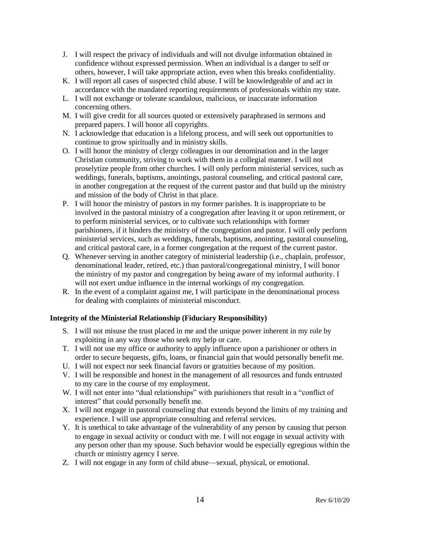- J. I will respect the privacy of individuals and will not divulge information obtained in confidence without expressed permission. When an individual is a danger to self or others, however, I will take appropriate action, even when this breaks confidentiality.
- K. I will report all cases of suspected child abuse. I will be knowledgeable of and act in accordance with the mandated reporting requirements of professionals within my state.
- L. I will not exchange or tolerate scandalous, malicious, or inaccurate information concerning others.
- M. I will give credit for all sources quoted or extensively paraphrased in sermons and prepared papers. I will honor all copyrights.
- N. I acknowledge that education is a lifelong process, and will seek out opportunities to continue to grow spiritually and in ministry skills.
- O. I will honor the ministry of clergy colleagues in our denomination and in the larger Christian community, striving to work with them in a collegial manner. I will not proselytize people from other churches. I will only perform ministerial services, such as weddings, funerals, baptisms, anointings, pastoral counseling, and critical pastoral care, in another congregation at the request of the current pastor and that build up the ministry and mission of the body of Christ in that place.
- P. I will honor the ministry of pastors in my former parishes. It is inappropriate to be involved in the pastoral ministry of a congregation after leaving it or upon retirement, or to perform ministerial services, or to cultivate such relationships with former parishioners, if it hinders the ministry of the congregation and pastor. I will only perform ministerial services, such as weddings, funerals, baptisms, anointing, pastoral counseling, and critical pastoral care, in a former congregation at the request of the current pastor.
- Q. Whenever serving in another category of ministerial leadership (i.e., chaplain, professor, denominational leader, retired, etc.) than pastoral/congregational ministry, I will honor the ministry of my pastor and congregation by being aware of my informal authority. I will not exert undue influence in the internal workings of my congregation.
- R. In the event of a complaint against me, I will participate in the denominational process for dealing with complaints of ministerial misconduct.

#### **Integrity of the Ministerial Relationship (Fiduciary Responsibility)**

- S. I will not misuse the trust placed in me and the unique power inherent in my role by exploiting in any way those who seek my help or care.
- T. I will not use my office or authority to apply influence upon a parishioner or others in order to secure bequests, gifts, loans, or financial gain that would personally benefit me.
- U. I will not expect nor seek financial favors or gratuities because of my position.
- V. I will be responsible and honest in the management of all resources and funds entrusted to my care in the course of my employment.
- W. I will not enter into "dual relationships" with parishioners that result in a "conflict of interest" that could personally benefit me.
- X. I will not engage in pastoral counseling that extends beyond the limits of my training and experience. I will use appropriate consulting and referral services.
- Y. It is unethical to take advantage of the vulnerability of any person by causing that person to engage in sexual activity or conduct with me. I will not engage in sexual activity with any person other than my spouse. Such behavior would be especially egregious within the church or ministry agency I serve.
- Z. I will not engage in any form of child abuse—sexual, physical, or emotional.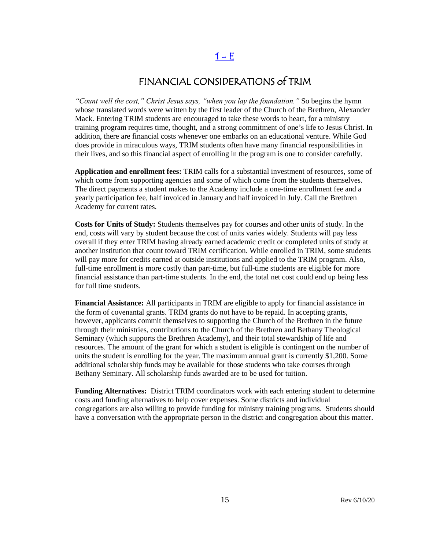# $1 - E$

# FINANCIAL CONSIDERATIONS of TRIM

<span id="page-14-0"></span>*"Count well the cost," Christ Jesus says, "when you lay the foundation."* So begins the hymn whose translated words were written by the first leader of the Church of the Brethren, Alexander Mack. Entering TRIM students are encouraged to take these words to heart, for a ministry training program requires time, thought, and a strong commitment of one's life to Jesus Christ. In addition, there are financial costs whenever one embarks on an educational venture. While God does provide in miraculous ways, TRIM students often have many financial responsibilities in their lives, and so this financial aspect of enrolling in the program is one to consider carefully.

**Application and enrollment fees:** TRIM calls for a substantial investment of resources, some of which come from supporting agencies and some of which come from the students themselves. The direct payments a student makes to the Academy include a one-time enrollment fee and a yearly participation fee, half invoiced in January and half invoiced in July. Call the Brethren Academy for current rates.

**Costs for Units of Study:** Students themselves pay for courses and other units of study. In the end, costs will vary by student because the cost of units varies widely. Students will pay less overall if they enter TRIM having already earned academic credit or completed units of study at another institution that count toward TRIM certification. While enrolled in TRIM, some students will pay more for credits earned at outside institutions and applied to the TRIM program. Also, full-time enrollment is more costly than part-time, but full-time students are eligible for more financial assistance than part-time students. In the end, the total net cost could end up being less for full time students.

**Financial Assistance:** All participants in TRIM are eligible to apply for financial assistance in the form of covenantal grants. TRIM grants do not have to be repaid. In accepting grants, however, applicants commit themselves to supporting the Church of the Brethren in the future through their ministries, contributions to the Church of the Brethren and Bethany Theological Seminary (which supports the Brethren Academy), and their total stewardship of life and resources. The amount of the grant for which a student is eligible is contingent on the number of units the student is enrolling for the year. The maximum annual grant is currently \$1,200. Some additional scholarship funds may be available for those students who take courses through Bethany Seminary. All scholarship funds awarded are to be used for tuition.

**Funding Alternatives:** District TRIM coordinators work with each entering student to determine costs and funding alternatives to help cover expenses. Some districts and individual congregations are also willing to provide funding for ministry training programs. Students should have a conversation with the appropriate person in the district and congregation about this matter.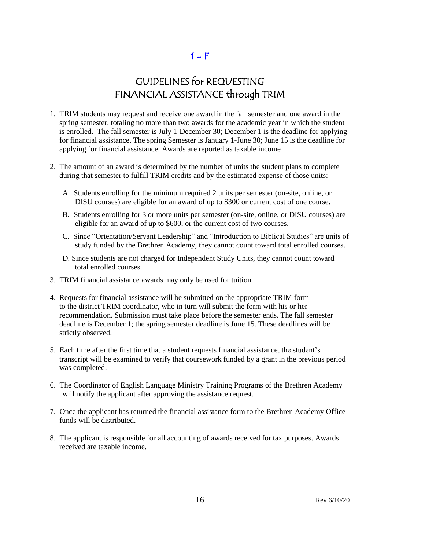$1 - F$ 

# GUIDELINES for REQUESTING FINANCIAL ASSISTANCE through TRIM

- <span id="page-15-0"></span>1. TRIM students may request and receive one award in the fall semester and one award in the spring semester, totaling no more than two awards for the academic year in which the student is enrolled. The fall semester is July 1-December 30; December 1 is the deadline for applying for financial assistance. The spring Semester is January 1-June 30; June 15 is the deadline for applying for financial assistance. Awards are reported as taxable income
- 2. The amount of an award is determined by the number of units the student plans to complete during that semester to fulfill TRIM credits and by the estimated expense of those units:
	- A. Students enrolling for the minimum required 2 units per semester (on-site, online, or DISU courses) are eligible for an award of up to \$300 or current cost of one course.
	- B. Students enrolling for 3 or more units per semester (on-site, online, or DISU courses) are eligible for an award of up to \$600, or the current cost of two courses.
	- C. Since "Orientation/Servant Leadership" and "Introduction to Biblical Studies" are units of study funded by the Brethren Academy, they cannot count toward total enrolled courses.
	- D. Since students are not charged for Independent Study Units, they cannot count toward total enrolled courses.
- 3. TRIM financial assistance awards may only be used for tuition.
- 4. Requests for financial assistance will be submitted on the appropriate TRIM form to the district TRIM coordinator, who in turn will submit the form with his or her recommendation. Submission must take place before the semester ends. The fall semester deadline is December 1; the spring semester deadline is June 15. These deadlines will be strictly observed.
- 5. Each time after the first time that a student requests financial assistance, the student's transcript will be examined to verify that coursework funded by a grant in the previous period was completed.
- 6. The Coordinator of English Language Ministry Training Programs of the Brethren Academy will notify the applicant after approving the assistance request.
- 7. Once the applicant has returned the financial assistance form to the Brethren Academy Office funds will be distributed.
- 8. The applicant is responsible for all accounting of awards received for tax purposes. Awards received are taxable income.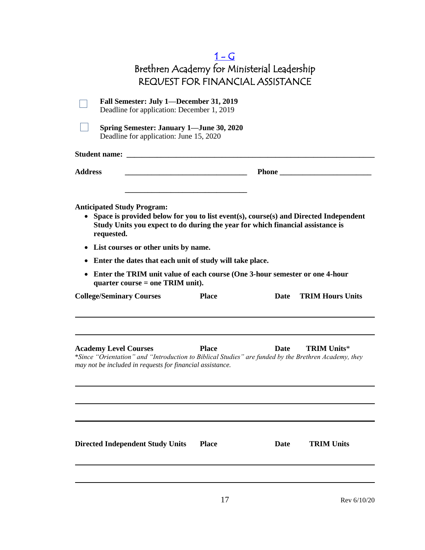<span id="page-16-0"></span>

|                                                                                                                                                                                                               | $1-G$<br>Brethren Academy for Ministerial Leadership                                                                  |             |                         |
|---------------------------------------------------------------------------------------------------------------------------------------------------------------------------------------------------------------|-----------------------------------------------------------------------------------------------------------------------|-------------|-------------------------|
|                                                                                                                                                                                                               | <b>REQUEST FOR FINANCIAL ASSISTANCE</b>                                                                               |             |                         |
| Fall Semester: July 1-December 31, 2019<br>Deadline for application: December 1, 2019                                                                                                                         |                                                                                                                       |             |                         |
| <b>Spring Semester: January 1—June 30, 2020</b><br>Deadline for application: June 15, 2020                                                                                                                    |                                                                                                                       |             |                         |
|                                                                                                                                                                                                               |                                                                                                                       |             |                         |
| <b>Address</b>                                                                                                                                                                                                | <u> 1989 - Johann Barn, mars and de Branch Barn, mars and de Branch Barn, mars and de Branch Barn, mars and de Br</u> |             | Phone                   |
| <b>Anticipated Study Program:</b><br>• Space is provided below for you to list event(s), course(s) and Directed Independent<br>Study Units you expect to do during the year for which financial assistance is |                                                                                                                       |             |                         |
| requested.                                                                                                                                                                                                    |                                                                                                                       |             |                         |
| List courses or other units by name.<br>$\bullet$                                                                                                                                                             |                                                                                                                       |             |                         |
| Enter the dates that each unit of study will take place.<br>٠<br>Enter the TRIM unit value of each course (One 3-hour semester or one 4-hour<br>$\bullet$                                                     |                                                                                                                       |             |                         |
| quarter course $=$ one TRIM unit).                                                                                                                                                                            |                                                                                                                       |             |                         |
| <b>College/Seminary Courses</b>                                                                                                                                                                               | <b>Place</b>                                                                                                          | Date        | <b>TRIM Hours Units</b> |
| <b>Academy Level Courses</b><br>*Since "Orientation" and "Introduction to Biblical Studies" are funded by the Brethren Academy, they<br>may not be included in requests for financial assistance.             | <b>Place</b>                                                                                                          | <b>Date</b> | <b>TRIM Units*</b>      |
| <b>Directed Independent Study Units</b>                                                                                                                                                                       | <b>Place</b>                                                                                                          | Date        | <b>TRIM Units</b>       |
|                                                                                                                                                                                                               | 17                                                                                                                    |             | Rev 6/10/20             |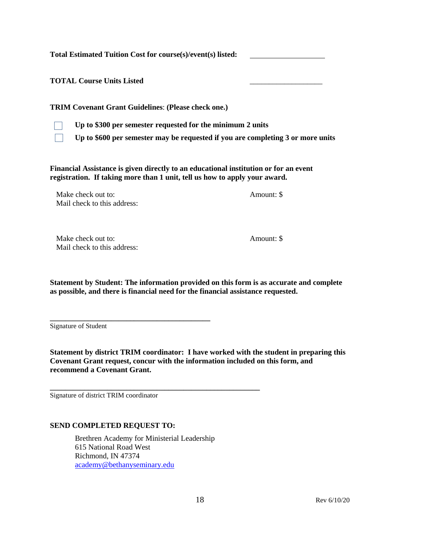**Total Estimated Tuition Cost for course(s)/event(s) listed:** 

**TOTAL Course Units Listed** \_\_\_\_\_\_\_\_\_\_\_\_\_\_\_\_\_\_\_

**TRIM Covenant Grant Guidelines**: **(Please check one.)**



**Up to \$300 per semester requested for the minimum 2 units**

**Up to \$600 per semester may be requested if you are completing 3 or more units**

**Financial Assistance is given directly to an educational institution or for an event registration. If taking more than 1 unit, tell us how to apply your award.**

Make check out to:  $\blacksquare$ Mail check to this address:

Make check out to:  $\blacksquare$ Mail check to this address:

**Statement by Student: The information provided on this form is as accurate and complete as possible, and there is financial need for the financial assistance requested.**

Signature of Student

**Statement by district TRIM coordinator: I have worked with the student in preparing this Covenant Grant request, concur with the information included on this form, and recommend a Covenant Grant.**

Signature of district TRIM coordinator

#### **SEND COMPLETED REQUEST TO:**

**\_\_\_\_\_\_\_\_\_\_\_\_\_\_\_\_\_\_\_\_\_\_\_\_\_\_\_\_\_\_\_\_\_\_\_\_\_\_\_\_\_\_**

Brethren Academy for Ministerial Leadership 615 National Road West Richmond, IN 47374 [academy@bethanyseminary.edu](mailto:academy@bethanyseminary.edu)

**\_\_\_\_\_\_\_\_\_\_\_\_\_\_\_\_\_\_\_\_\_\_\_\_\_\_\_\_\_\_\_\_\_\_\_\_\_\_\_\_\_\_\_\_\_\_\_\_\_\_\_\_\_\_\_**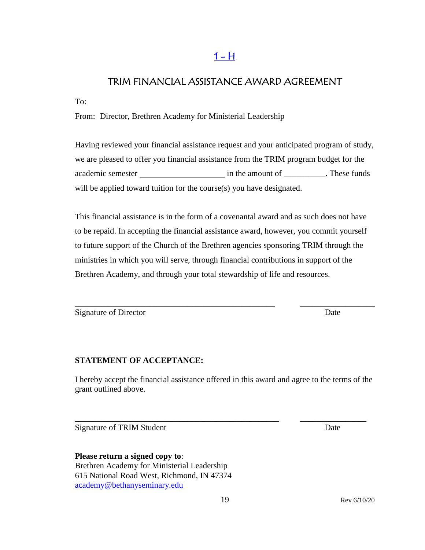# $1 - H$

# <span id="page-18-0"></span>TRIM FINANCIAL ASSISTANCE AWARD AGREEMENT

To:

From: Director, Brethren Academy for Ministerial Leadership

Having reviewed your financial assistance request and your anticipated program of study, we are pleased to offer you financial assistance from the TRIM program budget for the academic semester in the amount of \_\_\_\_\_\_\_\_\_\_. These funds will be applied toward tuition for the course(s) you have designated.

This financial assistance is in the form of a covenantal award and as such does not have to be repaid. In accepting the financial assistance award, however, you commit yourself to future support of the Church of the Brethren agencies sponsoring TRIM through the ministries in which you will serve, through financial contributions in support of the Brethren Academy, and through your total stewardship of life and resources.

\_\_\_\_\_\_\_\_\_\_\_\_\_\_\_\_\_\_\_\_\_\_\_\_\_\_\_\_\_\_\_\_\_\_\_\_\_\_\_\_\_\_\_\_\_\_\_\_ \_\_\_\_\_\_\_\_\_\_\_\_\_\_\_\_\_\_

Signature of Director Date

## **STATEMENT OF ACCEPTANCE:**

I hereby accept the financial assistance offered in this award and agree to the terms of the grant outlined above.

\_\_\_\_\_\_\_\_\_\_\_\_\_\_\_\_\_\_\_\_\_\_\_\_\_\_\_\_\_\_\_\_\_\_\_\_\_\_\_\_\_\_\_\_\_\_\_\_\_ \_\_\_\_\_\_\_\_\_\_\_\_\_\_\_\_

Signature of TRIM Student Date

**Please return a signed copy to**: Brethren Academy for Ministerial Leadership 615 National Road West, Richmond, IN 47374 [academy@bethanyseminary.edu](mailto:academy@bethanyseminary.edu)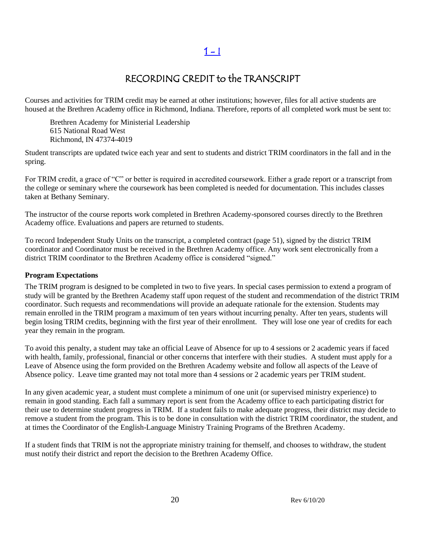# RECORDING CREDIT to the TRANSCRIPT

Courses and activities for TRIM credit may be earned at other institutions; however, files for all active students are housed at the Brethren Academy office in Richmond, Indiana. Therefore, reports of all completed work must be sent to:

Brethren Academy for Ministerial Leadership 615 National Road West Richmond, IN 47374-4019

Student transcripts are updated twice each year and sent to students and district TRIM coordinators in the fall and in the spring.

For TRIM credit, a grace of "C" or better is required in accredited coursework. Either a grade report or a transcript from the college or seminary where the coursework has been completed is needed for documentation. This includes classes taken at Bethany Seminary.

The instructor of the course reports work completed in Brethren Academy-sponsored courses directly to the Brethren Academy office. Evaluations and papers are returned to students.

To record Independent Study Units on the transcript, a completed contract (page 51), signed by the district TRIM coordinator and Coordinator must be received in the Brethren Academy office. Any work sent electronically from a district TRIM coordinator to the Brethren Academy office is considered "signed."

#### **Program Expectations**

The TRIM program is designed to be completed in two to five years. In special cases permission to extend a program of study will be granted by the Brethren Academy staff upon request of the student and recommendation of the district TRIM coordinator. Such requests and recommendations will provide an adequate rationale for the extension. Students may remain enrolled in the TRIM program a maximum of ten years without incurring penalty. After ten years, students will begin losing TRIM credits, beginning with the first year of their enrollment. They will lose one year of credits for each year they remain in the program.

To avoid this penalty, a student may take an official Leave of Absence for up to 4 sessions or 2 academic years if faced with health, family, professional, financial or other concerns that interfere with their studies. A student must apply for a Leave of Absence using the form provided on the Brethren Academy website and follow all aspects of the Leave of Absence policy. Leave time granted may not total more than 4 sessions or 2 academic years per TRIM student.

In any given academic year, a student must complete a minimum of one unit (or supervised ministry experience) to remain in good standing. Each fall a summary report is sent from the Academy office to each participating district for their use to determine student progress in TRIM. If a student fails to make adequate progress, their district may decide to remove a student from the program. This is to be done in consultation with the district TRIM coordinator, the student, and at times the Coordinator of the English-Language Ministry Training Programs of the Brethren Academy.

If a student finds that TRIM is not the appropriate ministry training for themself, and chooses to withdraw, the student must notify their district and report the decision to the Brethren Academy Office.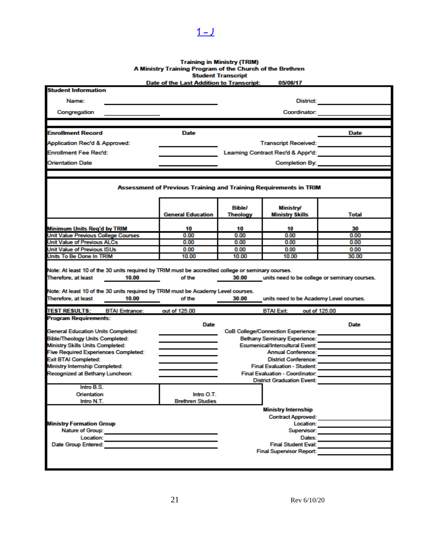# Training in Ministry (TRIM)<br>A Ministry Training Program of the Church of the Brethren<br>Student Transcript<br>Date of the Last Addition to Transcript: 05/08/17

<span id="page-20-0"></span> $1 - J$ 

| <b>Student Information</b><br>Name:<br>District<br>Congregation<br>Coordinator:<br><b>Enrollment Record</b><br><b>Date</b><br>Date<br>Application Rec'd & Approved:<br><b>Enrollment Fee Rec'd:</b><br><b>Orientation Date</b><br>Completion By: <b>Completion</b><br>Assessment of Previous Training and Training Requirements in TRIM<br><b>Bible/</b><br><b>Ministry/</b><br><b>General Education</b><br><b>Theology</b><br>Ministry Skills<br><b>Total</b><br><b>Minimum Units Reg'd by TRIM</b><br>10<br>10<br>10<br>30<br>Unit Value Previous College Courses<br>0.00<br>0.00<br>0.00<br>0.00<br>Unit Value of Previous ALCs<br>0.00<br>0.00<br>0.00<br>0.00<br>Unit Value of Previous ISUs<br>0.00<br>0.00<br>0.00<br>0.00<br>Units To Be Done In TRIM<br>10.00<br>10.00<br>30.00<br>10.00<br>Note: At least 10 of the 30 units required by TRIM must be accredited college or seminary courses.<br>Therefore, at least<br>of the<br>units need to be college or seminary courses.<br>10.00<br>30.00<br>Note: At least 10 of the 30 units required by TRIM must be Academy Level courses.<br>Therefore, at least<br>of the<br>units need to be Academy Level courses.<br>10.00<br>30.00<br><b>TEST RESULTS:</b><br><b>BTAI Entrance:</b><br>out of 125.00<br>out of 125.00<br><b>BTAI Exit</b><br><b>Program Requirements:</b><br>Date<br>Date<br><b>General Education Units Completed:</b><br><b>CoB College/Connection Experience:</b><br><b>Bible/Theology Units Completed:</b><br><b>Bethany Seminary Experience:</b><br>Ecumenical/Intercultural Event:<br>Ministry Skills Units Completed:<br><b>Five Required Experiences Completed:</b><br><b>Annual Conference:</b><br><b>Exit BTAI Completed:</b><br><b>District Conference:</b><br>Ministry Internship Completed:<br><b>Final Evaluation - Student:</b><br>Recognized at Bethany Luncheon:<br>Final Evaluation - Coordinator:<br><b>District Graduation Event:</b><br>Intro B.S.<br>Orientation<br>Intro O.T.<br><b>Brethren Studies</b><br>Intro N.T.<br><b>Ministry Internship</b><br><b>Contract Approved:</b><br><b>Ministry Formation Group</b><br>Location:<br>Nature of Group:<br>Supervisor:<br>Location:<br>Dates:<br>Date Group Entered:<br><b>Final Student Eval:</b><br><b>Final Supervisor Report:</b> |  |  | Date of the Last Addition to Transcript: |  | 05/08/17 |  |  |
|---------------------------------------------------------------------------------------------------------------------------------------------------------------------------------------------------------------------------------------------------------------------------------------------------------------------------------------------------------------------------------------------------------------------------------------------------------------------------------------------------------------------------------------------------------------------------------------------------------------------------------------------------------------------------------------------------------------------------------------------------------------------------------------------------------------------------------------------------------------------------------------------------------------------------------------------------------------------------------------------------------------------------------------------------------------------------------------------------------------------------------------------------------------------------------------------------------------------------------------------------------------------------------------------------------------------------------------------------------------------------------------------------------------------------------------------------------------------------------------------------------------------------------------------------------------------------------------------------------------------------------------------------------------------------------------------------------------------------------------------------------------------------------------------------------------------------------------------------------------------------------------------------------------------------------------------------------------------------------------------------------------------------------------------------------------------------------------------------------------------------------------------------------------------------------------------------------------------------------------------------------------------------------------|--|--|------------------------------------------|--|----------|--|--|
|                                                                                                                                                                                                                                                                                                                                                                                                                                                                                                                                                                                                                                                                                                                                                                                                                                                                                                                                                                                                                                                                                                                                                                                                                                                                                                                                                                                                                                                                                                                                                                                                                                                                                                                                                                                                                                                                                                                                                                                                                                                                                                                                                                                                                                                                                       |  |  |                                          |  |          |  |  |
|                                                                                                                                                                                                                                                                                                                                                                                                                                                                                                                                                                                                                                                                                                                                                                                                                                                                                                                                                                                                                                                                                                                                                                                                                                                                                                                                                                                                                                                                                                                                                                                                                                                                                                                                                                                                                                                                                                                                                                                                                                                                                                                                                                                                                                                                                       |  |  |                                          |  |          |  |  |
|                                                                                                                                                                                                                                                                                                                                                                                                                                                                                                                                                                                                                                                                                                                                                                                                                                                                                                                                                                                                                                                                                                                                                                                                                                                                                                                                                                                                                                                                                                                                                                                                                                                                                                                                                                                                                                                                                                                                                                                                                                                                                                                                                                                                                                                                                       |  |  |                                          |  |          |  |  |
|                                                                                                                                                                                                                                                                                                                                                                                                                                                                                                                                                                                                                                                                                                                                                                                                                                                                                                                                                                                                                                                                                                                                                                                                                                                                                                                                                                                                                                                                                                                                                                                                                                                                                                                                                                                                                                                                                                                                                                                                                                                                                                                                                                                                                                                                                       |  |  |                                          |  |          |  |  |
|                                                                                                                                                                                                                                                                                                                                                                                                                                                                                                                                                                                                                                                                                                                                                                                                                                                                                                                                                                                                                                                                                                                                                                                                                                                                                                                                                                                                                                                                                                                                                                                                                                                                                                                                                                                                                                                                                                                                                                                                                                                                                                                                                                                                                                                                                       |  |  |                                          |  |          |  |  |
|                                                                                                                                                                                                                                                                                                                                                                                                                                                                                                                                                                                                                                                                                                                                                                                                                                                                                                                                                                                                                                                                                                                                                                                                                                                                                                                                                                                                                                                                                                                                                                                                                                                                                                                                                                                                                                                                                                                                                                                                                                                                                                                                                                                                                                                                                       |  |  |                                          |  |          |  |  |
|                                                                                                                                                                                                                                                                                                                                                                                                                                                                                                                                                                                                                                                                                                                                                                                                                                                                                                                                                                                                                                                                                                                                                                                                                                                                                                                                                                                                                                                                                                                                                                                                                                                                                                                                                                                                                                                                                                                                                                                                                                                                                                                                                                                                                                                                                       |  |  |                                          |  |          |  |  |
|                                                                                                                                                                                                                                                                                                                                                                                                                                                                                                                                                                                                                                                                                                                                                                                                                                                                                                                                                                                                                                                                                                                                                                                                                                                                                                                                                                                                                                                                                                                                                                                                                                                                                                                                                                                                                                                                                                                                                                                                                                                                                                                                                                                                                                                                                       |  |  |                                          |  |          |  |  |
|                                                                                                                                                                                                                                                                                                                                                                                                                                                                                                                                                                                                                                                                                                                                                                                                                                                                                                                                                                                                                                                                                                                                                                                                                                                                                                                                                                                                                                                                                                                                                                                                                                                                                                                                                                                                                                                                                                                                                                                                                                                                                                                                                                                                                                                                                       |  |  |                                          |  |          |  |  |
|                                                                                                                                                                                                                                                                                                                                                                                                                                                                                                                                                                                                                                                                                                                                                                                                                                                                                                                                                                                                                                                                                                                                                                                                                                                                                                                                                                                                                                                                                                                                                                                                                                                                                                                                                                                                                                                                                                                                                                                                                                                                                                                                                                                                                                                                                       |  |  |                                          |  |          |  |  |
|                                                                                                                                                                                                                                                                                                                                                                                                                                                                                                                                                                                                                                                                                                                                                                                                                                                                                                                                                                                                                                                                                                                                                                                                                                                                                                                                                                                                                                                                                                                                                                                                                                                                                                                                                                                                                                                                                                                                                                                                                                                                                                                                                                                                                                                                                       |  |  |                                          |  |          |  |  |
|                                                                                                                                                                                                                                                                                                                                                                                                                                                                                                                                                                                                                                                                                                                                                                                                                                                                                                                                                                                                                                                                                                                                                                                                                                                                                                                                                                                                                                                                                                                                                                                                                                                                                                                                                                                                                                                                                                                                                                                                                                                                                                                                                                                                                                                                                       |  |  |                                          |  |          |  |  |
|                                                                                                                                                                                                                                                                                                                                                                                                                                                                                                                                                                                                                                                                                                                                                                                                                                                                                                                                                                                                                                                                                                                                                                                                                                                                                                                                                                                                                                                                                                                                                                                                                                                                                                                                                                                                                                                                                                                                                                                                                                                                                                                                                                                                                                                                                       |  |  |                                          |  |          |  |  |
|                                                                                                                                                                                                                                                                                                                                                                                                                                                                                                                                                                                                                                                                                                                                                                                                                                                                                                                                                                                                                                                                                                                                                                                                                                                                                                                                                                                                                                                                                                                                                                                                                                                                                                                                                                                                                                                                                                                                                                                                                                                                                                                                                                                                                                                                                       |  |  |                                          |  |          |  |  |
|                                                                                                                                                                                                                                                                                                                                                                                                                                                                                                                                                                                                                                                                                                                                                                                                                                                                                                                                                                                                                                                                                                                                                                                                                                                                                                                                                                                                                                                                                                                                                                                                                                                                                                                                                                                                                                                                                                                                                                                                                                                                                                                                                                                                                                                                                       |  |  |                                          |  |          |  |  |
|                                                                                                                                                                                                                                                                                                                                                                                                                                                                                                                                                                                                                                                                                                                                                                                                                                                                                                                                                                                                                                                                                                                                                                                                                                                                                                                                                                                                                                                                                                                                                                                                                                                                                                                                                                                                                                                                                                                                                                                                                                                                                                                                                                                                                                                                                       |  |  |                                          |  |          |  |  |
|                                                                                                                                                                                                                                                                                                                                                                                                                                                                                                                                                                                                                                                                                                                                                                                                                                                                                                                                                                                                                                                                                                                                                                                                                                                                                                                                                                                                                                                                                                                                                                                                                                                                                                                                                                                                                                                                                                                                                                                                                                                                                                                                                                                                                                                                                       |  |  |                                          |  |          |  |  |
|                                                                                                                                                                                                                                                                                                                                                                                                                                                                                                                                                                                                                                                                                                                                                                                                                                                                                                                                                                                                                                                                                                                                                                                                                                                                                                                                                                                                                                                                                                                                                                                                                                                                                                                                                                                                                                                                                                                                                                                                                                                                                                                                                                                                                                                                                       |  |  |                                          |  |          |  |  |
|                                                                                                                                                                                                                                                                                                                                                                                                                                                                                                                                                                                                                                                                                                                                                                                                                                                                                                                                                                                                                                                                                                                                                                                                                                                                                                                                                                                                                                                                                                                                                                                                                                                                                                                                                                                                                                                                                                                                                                                                                                                                                                                                                                                                                                                                                       |  |  |                                          |  |          |  |  |
|                                                                                                                                                                                                                                                                                                                                                                                                                                                                                                                                                                                                                                                                                                                                                                                                                                                                                                                                                                                                                                                                                                                                                                                                                                                                                                                                                                                                                                                                                                                                                                                                                                                                                                                                                                                                                                                                                                                                                                                                                                                                                                                                                                                                                                                                                       |  |  |                                          |  |          |  |  |
|                                                                                                                                                                                                                                                                                                                                                                                                                                                                                                                                                                                                                                                                                                                                                                                                                                                                                                                                                                                                                                                                                                                                                                                                                                                                                                                                                                                                                                                                                                                                                                                                                                                                                                                                                                                                                                                                                                                                                                                                                                                                                                                                                                                                                                                                                       |  |  |                                          |  |          |  |  |
|                                                                                                                                                                                                                                                                                                                                                                                                                                                                                                                                                                                                                                                                                                                                                                                                                                                                                                                                                                                                                                                                                                                                                                                                                                                                                                                                                                                                                                                                                                                                                                                                                                                                                                                                                                                                                                                                                                                                                                                                                                                                                                                                                                                                                                                                                       |  |  |                                          |  |          |  |  |
|                                                                                                                                                                                                                                                                                                                                                                                                                                                                                                                                                                                                                                                                                                                                                                                                                                                                                                                                                                                                                                                                                                                                                                                                                                                                                                                                                                                                                                                                                                                                                                                                                                                                                                                                                                                                                                                                                                                                                                                                                                                                                                                                                                                                                                                                                       |  |  |                                          |  |          |  |  |
|                                                                                                                                                                                                                                                                                                                                                                                                                                                                                                                                                                                                                                                                                                                                                                                                                                                                                                                                                                                                                                                                                                                                                                                                                                                                                                                                                                                                                                                                                                                                                                                                                                                                                                                                                                                                                                                                                                                                                                                                                                                                                                                                                                                                                                                                                       |  |  |                                          |  |          |  |  |
|                                                                                                                                                                                                                                                                                                                                                                                                                                                                                                                                                                                                                                                                                                                                                                                                                                                                                                                                                                                                                                                                                                                                                                                                                                                                                                                                                                                                                                                                                                                                                                                                                                                                                                                                                                                                                                                                                                                                                                                                                                                                                                                                                                                                                                                                                       |  |  |                                          |  |          |  |  |
|                                                                                                                                                                                                                                                                                                                                                                                                                                                                                                                                                                                                                                                                                                                                                                                                                                                                                                                                                                                                                                                                                                                                                                                                                                                                                                                                                                                                                                                                                                                                                                                                                                                                                                                                                                                                                                                                                                                                                                                                                                                                                                                                                                                                                                                                                       |  |  |                                          |  |          |  |  |
|                                                                                                                                                                                                                                                                                                                                                                                                                                                                                                                                                                                                                                                                                                                                                                                                                                                                                                                                                                                                                                                                                                                                                                                                                                                                                                                                                                                                                                                                                                                                                                                                                                                                                                                                                                                                                                                                                                                                                                                                                                                                                                                                                                                                                                                                                       |  |  |                                          |  |          |  |  |
|                                                                                                                                                                                                                                                                                                                                                                                                                                                                                                                                                                                                                                                                                                                                                                                                                                                                                                                                                                                                                                                                                                                                                                                                                                                                                                                                                                                                                                                                                                                                                                                                                                                                                                                                                                                                                                                                                                                                                                                                                                                                                                                                                                                                                                                                                       |  |  |                                          |  |          |  |  |
|                                                                                                                                                                                                                                                                                                                                                                                                                                                                                                                                                                                                                                                                                                                                                                                                                                                                                                                                                                                                                                                                                                                                                                                                                                                                                                                                                                                                                                                                                                                                                                                                                                                                                                                                                                                                                                                                                                                                                                                                                                                                                                                                                                                                                                                                                       |  |  |                                          |  |          |  |  |
|                                                                                                                                                                                                                                                                                                                                                                                                                                                                                                                                                                                                                                                                                                                                                                                                                                                                                                                                                                                                                                                                                                                                                                                                                                                                                                                                                                                                                                                                                                                                                                                                                                                                                                                                                                                                                                                                                                                                                                                                                                                                                                                                                                                                                                                                                       |  |  |                                          |  |          |  |  |
|                                                                                                                                                                                                                                                                                                                                                                                                                                                                                                                                                                                                                                                                                                                                                                                                                                                                                                                                                                                                                                                                                                                                                                                                                                                                                                                                                                                                                                                                                                                                                                                                                                                                                                                                                                                                                                                                                                                                                                                                                                                                                                                                                                                                                                                                                       |  |  |                                          |  |          |  |  |
|                                                                                                                                                                                                                                                                                                                                                                                                                                                                                                                                                                                                                                                                                                                                                                                                                                                                                                                                                                                                                                                                                                                                                                                                                                                                                                                                                                                                                                                                                                                                                                                                                                                                                                                                                                                                                                                                                                                                                                                                                                                                                                                                                                                                                                                                                       |  |  |                                          |  |          |  |  |
|                                                                                                                                                                                                                                                                                                                                                                                                                                                                                                                                                                                                                                                                                                                                                                                                                                                                                                                                                                                                                                                                                                                                                                                                                                                                                                                                                                                                                                                                                                                                                                                                                                                                                                                                                                                                                                                                                                                                                                                                                                                                                                                                                                                                                                                                                       |  |  |                                          |  |          |  |  |
|                                                                                                                                                                                                                                                                                                                                                                                                                                                                                                                                                                                                                                                                                                                                                                                                                                                                                                                                                                                                                                                                                                                                                                                                                                                                                                                                                                                                                                                                                                                                                                                                                                                                                                                                                                                                                                                                                                                                                                                                                                                                                                                                                                                                                                                                                       |  |  |                                          |  |          |  |  |
|                                                                                                                                                                                                                                                                                                                                                                                                                                                                                                                                                                                                                                                                                                                                                                                                                                                                                                                                                                                                                                                                                                                                                                                                                                                                                                                                                                                                                                                                                                                                                                                                                                                                                                                                                                                                                                                                                                                                                                                                                                                                                                                                                                                                                                                                                       |  |  |                                          |  |          |  |  |
|                                                                                                                                                                                                                                                                                                                                                                                                                                                                                                                                                                                                                                                                                                                                                                                                                                                                                                                                                                                                                                                                                                                                                                                                                                                                                                                                                                                                                                                                                                                                                                                                                                                                                                                                                                                                                                                                                                                                                                                                                                                                                                                                                                                                                                                                                       |  |  |                                          |  |          |  |  |
|                                                                                                                                                                                                                                                                                                                                                                                                                                                                                                                                                                                                                                                                                                                                                                                                                                                                                                                                                                                                                                                                                                                                                                                                                                                                                                                                                                                                                                                                                                                                                                                                                                                                                                                                                                                                                                                                                                                                                                                                                                                                                                                                                                                                                                                                                       |  |  |                                          |  |          |  |  |
|                                                                                                                                                                                                                                                                                                                                                                                                                                                                                                                                                                                                                                                                                                                                                                                                                                                                                                                                                                                                                                                                                                                                                                                                                                                                                                                                                                                                                                                                                                                                                                                                                                                                                                                                                                                                                                                                                                                                                                                                                                                                                                                                                                                                                                                                                       |  |  |                                          |  |          |  |  |
|                                                                                                                                                                                                                                                                                                                                                                                                                                                                                                                                                                                                                                                                                                                                                                                                                                                                                                                                                                                                                                                                                                                                                                                                                                                                                                                                                                                                                                                                                                                                                                                                                                                                                                                                                                                                                                                                                                                                                                                                                                                                                                                                                                                                                                                                                       |  |  |                                          |  |          |  |  |
|                                                                                                                                                                                                                                                                                                                                                                                                                                                                                                                                                                                                                                                                                                                                                                                                                                                                                                                                                                                                                                                                                                                                                                                                                                                                                                                                                                                                                                                                                                                                                                                                                                                                                                                                                                                                                                                                                                                                                                                                                                                                                                                                                                                                                                                                                       |  |  |                                          |  |          |  |  |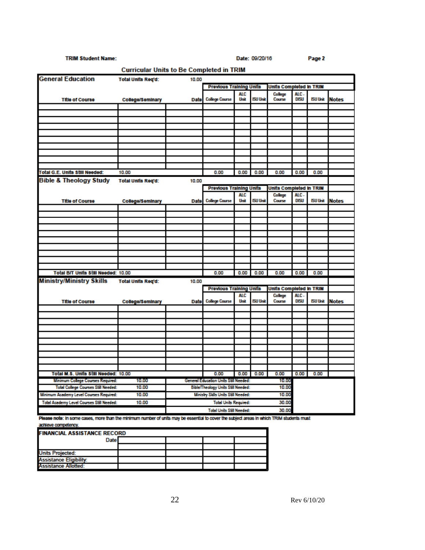#### **TRIM Student Name:**

Date: 09/20/16

Page 2

| <b>Curricular Units to Be Completed in TRIM</b> |                           |                                             |                                             |                    |                 |                          |                     |                 |              |
|-------------------------------------------------|---------------------------|---------------------------------------------|---------------------------------------------|--------------------|-----------------|--------------------------|---------------------|-----------------|--------------|
| <b>General Education</b>                        | <b>Total Units Reg'd:</b> | 10.00                                       |                                             |                    |                 |                          |                     |                 |              |
|                                                 |                           |                                             | <b>Previous Training Units</b>              |                    |                 | Units Completed in TRIM  |                     |                 |              |
| <b>Title of Course</b>                          | <b>College/Seminary</b>   | <b>Date</b>                                 | <b>College Course</b>                       | <b>ALC</b><br>Unit | <b>ISU Unit</b> | College<br>Course        | ALC.<br>DISU        | <b>ISU Unit</b> | <b>Notes</b> |
|                                                 |                           |                                             |                                             |                    |                 |                          |                     |                 |              |
|                                                 |                           |                                             |                                             |                    |                 |                          |                     |                 |              |
|                                                 |                           |                                             |                                             |                    |                 |                          |                     |                 |              |
|                                                 |                           |                                             |                                             |                    |                 |                          |                     |                 |              |
|                                                 |                           |                                             |                                             |                    |                 |                          |                     |                 |              |
|                                                 |                           |                                             |                                             |                    |                 |                          |                     |                 |              |
|                                                 |                           |                                             |                                             |                    |                 |                          |                     |                 |              |
|                                                 |                           |                                             |                                             |                    |                 |                          |                     |                 |              |
| Total G.E. Units Still Needed:                  | 10.00                     |                                             | 0.00                                        | 0.00               | 0.00            | 0.00                     | 0.00                | 0.00            |              |
| <b>Bible &amp; Theology Study</b>               | <b>Total Units Req'd:</b> | 10.00                                       |                                             |                    |                 |                          |                     |                 |              |
|                                                 |                           |                                             | <b>Previous Training Units</b>              |                    |                 | Units Completed in TRIM  |                     |                 |              |
| <b>Title of Course</b>                          | College/Seminary          | Date                                        | <b>College Course</b>                       | <b>ALC</b><br>Unit | <b>ISU Unit</b> | <b>College</b><br>Course | ALC -<br>DISU       | <b>ISU Unit</b> | Notes        |
|                                                 |                           |                                             |                                             |                    |                 |                          |                     |                 |              |
|                                                 |                           |                                             |                                             |                    |                 |                          |                     |                 |              |
|                                                 |                           |                                             |                                             |                    |                 |                          |                     |                 |              |
|                                                 |                           |                                             |                                             |                    |                 |                          |                     |                 |              |
|                                                 |                           |                                             |                                             |                    |                 |                          |                     |                 |              |
|                                                 |                           |                                             |                                             |                    |                 |                          |                     |                 |              |
|                                                 |                           |                                             |                                             |                    |                 |                          |                     |                 |              |
|                                                 |                           |                                             |                                             |                    |                 |                          |                     |                 |              |
|                                                 |                           |                                             |                                             |                    |                 |                          |                     |                 |              |
| Total B/T Units Still Needed: 10.00             |                           |                                             | 0.00                                        | 0.00               | 0.00            | 0.00                     | 0.00                | 0.00            |              |
| <b>Ministry/Ministry Skills</b>                 | <b>Total Units Reg'd:</b> | 10.00                                       |                                             |                    |                 |                          |                     |                 |              |
|                                                 |                           |                                             | <b>Previous Training Units</b>              |                    |                 | Units Completed in TRIM  |                     |                 |              |
|                                                 |                           |                                             | <b>College Course</b>                       | <b>ALC</b><br>Unit | <b>ISU Unit</b> | College<br>Course        | ALC.<br><b>DISU</b> | ISU Unit        | <b>Notes</b> |
| <b>Title of Course</b>                          | College/Seminary          | Date                                        |                                             |                    |                 |                          |                     |                 |              |
|                                                 |                           |                                             |                                             |                    |                 |                          |                     |                 |              |
|                                                 |                           |                                             |                                             |                    |                 |                          |                     |                 |              |
|                                                 |                           |                                             |                                             |                    |                 |                          |                     |                 |              |
|                                                 |                           |                                             |                                             |                    |                 |                          |                     |                 |              |
|                                                 |                           |                                             |                                             |                    |                 |                          |                     |                 |              |
|                                                 |                           |                                             |                                             |                    |                 |                          |                     |                 |              |
|                                                 |                           |                                             |                                             |                    |                 |                          |                     |                 |              |
|                                                 |                           |                                             |                                             |                    |                 |                          |                     |                 |              |
| Total M.S. Units Still Needed: 10.00            |                           |                                             | 0.00                                        | 0.00               | 0.00            | 0.00                     | 0.00                | 0.00            |              |
| Minimum College Courses Required:               | 10.00                     |                                             | General Education Units Still Needed:       |                    |                 | 10.00                    |                     |                 |              |
| Total College Courses Still Needed:             | 10.00                     | Bible/Theology Units Still Needed:<br>10.00 |                                             |                    |                 |                          |                     |                 |              |
| Minimum Academy Level Courses Required:         | 10.00                     |                                             | Ministry Sklls Units Still Needed:<br>10.00 |                    |                 |                          |                     |                 |              |
| Total Academy Level Courses Still Needed:       | 10.00                     |                                             | <b>Total Units Required:</b><br>30.00       |                    |                 |                          |                     |                 |              |
|                                                 |                           |                                             | <b>Total Units Still Needed:</b>            |                    |                 | 30.00                    |                     |                 |              |

Please note: in some cases, more than the minimum number of units may be essential to cover the subject areas in which TRIM students must achieve competency.

| <b>FINANCIAL ASSISTANCE RECORD</b> |  |  |  |  |  |
|------------------------------------|--|--|--|--|--|
| <b>Date</b>                        |  |  |  |  |  |
|                                    |  |  |  |  |  |
| <b>Units Projected:</b>            |  |  |  |  |  |
| <b>Assistance Eligibility:</b>     |  |  |  |  |  |
| Assistance Allotted:               |  |  |  |  |  |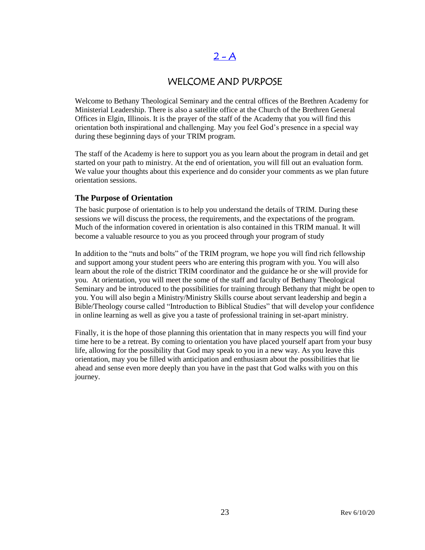# $2 - A$

## WELCOME AND PURPOSE

<span id="page-22-0"></span>Welcome to Bethany Theological Seminary and the central offices of the Brethren Academy for Ministerial Leadership. There is also a satellite office at the Church of the Brethren General Offices in Elgin, Illinois. It is the prayer of the staff of the Academy that you will find this orientation both inspirational and challenging. May you feel God's presence in a special way during these beginning days of your TRIM program.

The staff of the Academy is here to support you as you learn about the program in detail and get started on your path to ministry. At the end of orientation, you will fill out an evaluation form. We value your thoughts about this experience and do consider your comments as we plan future orientation sessions.

## **The Purpose of Orientation**

The basic purpose of orientation is to help you understand the details of TRIM. During these sessions we will discuss the process, the requirements, and the expectations of the program. Much of the information covered in orientation is also contained in this TRIM manual. It will become a valuable resource to you as you proceed through your program of study

In addition to the "nuts and bolts" of the TRIM program, we hope you will find rich fellowship and support among your student peers who are entering this program with you. You will also learn about the role of the district TRIM coordinator and the guidance he or she will provide for you. At orientation, you will meet the some of the staff and faculty of Bethany Theological Seminary and be introduced to the possibilities for training through Bethany that might be open to you. You will also begin a Ministry/Ministry Skills course about servant leadership and begin a Bible/Theology course called "Introduction to Biblical Studies" that will develop your confidence in online learning as well as give you a taste of professional training in set-apart ministry.

Finally, it is the hope of those planning this orientation that in many respects you will find your time here to be a retreat. By coming to orientation you have placed yourself apart from your busy life, allowing for the possibility that God may speak to you in a new way. As you leave this orientation, may you be filled with anticipation and enthusiasm about the possibilities that lie ahead and sense even more deeply than you have in the past that God walks with you on this journey.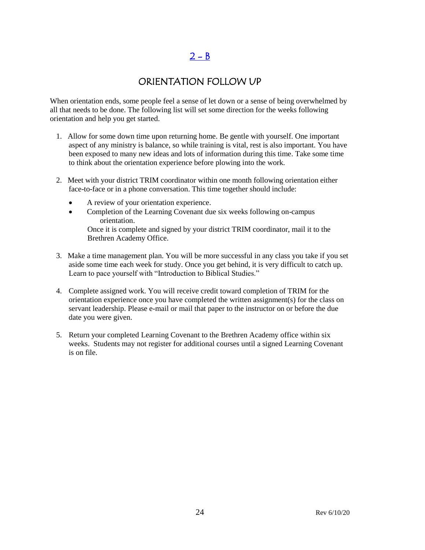# $2 - B$

## ORIENTATION FOLLOW UP

<span id="page-23-0"></span>When orientation ends, some people feel a sense of let down or a sense of being overwhelmed by all that needs to be done. The following list will set some direction for the weeks following orientation and help you get started.

- 1. Allow for some down time upon returning home. Be gentle with yourself. One important aspect of any ministry is balance, so while training is vital, rest is also important. You have been exposed to many new ideas and lots of information during this time. Take some time to think about the orientation experience before plowing into the work.
- 2. Meet with your district TRIM coordinator within one month following orientation either face-to-face or in a phone conversation. This time together should include:
	- A review of your orientation experience.
	- Completion of the Learning Covenant due six weeks following on-campus orientation.

Once it is complete and signed by your district TRIM coordinator, mail it to the Brethren Academy Office.

- 3. Make a time management plan. You will be more successful in any class you take if you set aside some time each week for study. Once you get behind, it is very difficult to catch up. Learn to pace yourself with "Introduction to Biblical Studies."
- 4. Complete assigned work. You will receive credit toward completion of TRIM for the orientation experience once you have completed the written assignment(s) for the class on servant leadership. Please e-mail or mail that paper to the instructor on or before the due date you were given.
- 5. Return your completed Learning Covenant to the Brethren Academy office within six weeks. Students may not register for additional courses until a signed Learning Covenant is on file.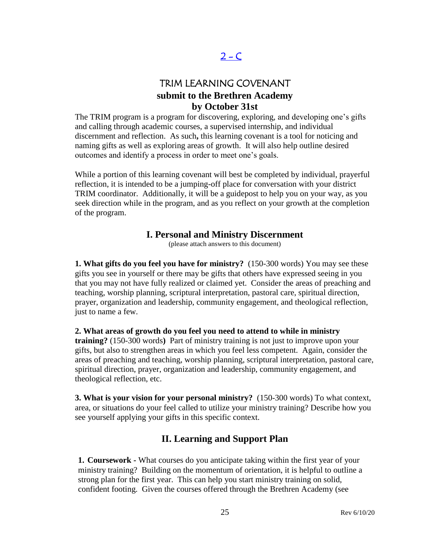# $2 - C$

# TRIM LEARNING COVENANT **submit to the Brethren Academy by October 31st**

<span id="page-24-0"></span>The TRIM program is a program for discovering, exploring, and developing one's gifts and calling through academic courses, a supervised internship, and individual discernment and reflection. As such**,** this learning covenant is a tool for noticing and naming gifts as well as exploring areas of growth. It will also help outline desired outcomes and identify a process in order to meet one's goals.

While a portion of this learning covenant will best be completed by individual, prayerful reflection, it is intended to be a jumping-off place for conversation with your district TRIM coordinator. Additionally, it will be a guidepost to help you on your way, as you seek direction while in the program, and as you reflect on your growth at the completion of the program.

## **I. Personal and Ministry Discernment**

(please attach answers to this document)

**1. What gifts do you feel you have for ministry?** (150-300 words) You may see these gifts you see in yourself or there may be gifts that others have expressed seeing in you that you may not have fully realized or claimed yet. Consider the areas of preaching and teaching, worship planning, scriptural interpretation, pastoral care, spiritual direction, prayer, organization and leadership, community engagement, and theological reflection, just to name a few.

**2. What areas of growth do you feel you need to attend to while in ministry** 

**training?** (150-300 words**)** Part of ministry training is not just to improve upon your gifts, but also to strengthen areas in which you feel less competent. Again, consider the areas of preaching and teaching, worship planning, scriptural interpretation, pastoral care, spiritual direction, prayer, organization and leadership, community engagement, and theological reflection, etc.

**3. What is your vision for your personal ministry?** (150-300 words) To what context, area, or situations do your feel called to utilize your ministry training? Describe how you see yourself applying your gifts in this specific context.

## **II. Learning and Support Plan**

**1. Coursework -** What courses do you anticipate taking within the first year of your ministry training? Building on the momentum of orientation, it is helpful to outline a strong plan for the first year. This can help you start ministry training on solid, confident footing. Given the courses offered through the Brethren Academy (see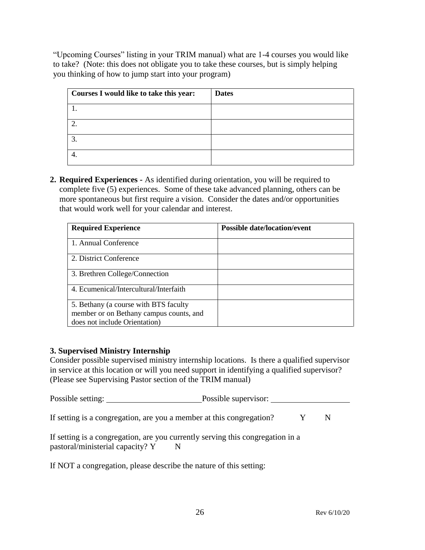"Upcoming Courses" listing in your TRIM manual) what are 1-4 courses you would like to take? (Note: this does not obligate you to take these courses, but is simply helping you thinking of how to jump start into your program)

| Courses I would like to take this year: | <b>Dates</b> |
|-----------------------------------------|--------------|
|                                         |              |
|                                         |              |
| 3.                                      |              |
|                                         |              |

**2. Required Experiences -** As identified during orientation, you will be required to complete five (5) experiences. Some of these take advanced planning, others can be more spontaneous but first require a vision. Consider the dates and/or opportunities that would work well for your calendar and interest.

| <b>Required Experience</b>              | <b>Possible date/location/event</b> |
|-----------------------------------------|-------------------------------------|
| 1. Annual Conference                    |                                     |
| 2. District Conference                  |                                     |
| 3. Brethren College/Connection          |                                     |
| 4. Ecumenical/Intercultural/Interfaith  |                                     |
| 5. Bethany (a course with BTS faculty   |                                     |
| member or on Bethany campus counts, and |                                     |
| does not include Orientation)           |                                     |

## **3. Supervised Ministry Internship**

Consider possible supervised ministry internship locations. Is there a qualified supervisor in service at this location or will you need support in identifying a qualified supervisor? (Please see Supervising Pastor section of the TRIM manual)

Possible setting: Possible supervisor:

If setting is a congregation, are you a member at this congregation?  $Y \tN$ 

If setting is a congregation, are you currently serving this congregation in a pastoral/ministerial capacity? Y N

If NOT a congregation, please describe the nature of this setting: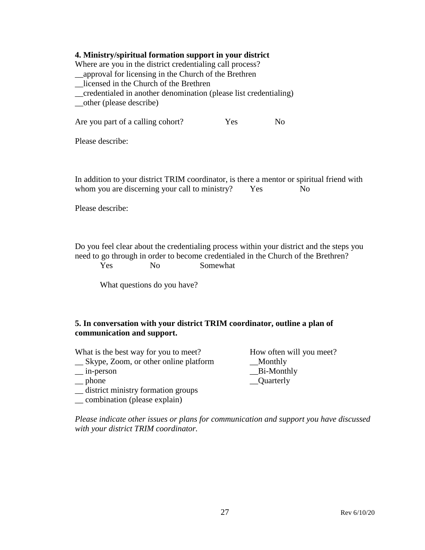## **4. Ministry/spiritual formation support in your district**

Where are you in the district credentialing call process?

\_\_approval for licensing in the Church of the Brethren

\_\_licensed in the Church of the Brethren

\_\_credentialed in another denomination (please list credentialing)

\_\_other (please describe)

Are you part of a calling cohort? Yes No

Please describe:

In addition to your district TRIM coordinator, is there a mentor or spiritual friend with whom you are discerning your call to ministry? Yes No

Please describe:

Do you feel clear about the credentialing process within your district and the steps you need to go through in order to become credentialed in the Church of the Brethren? Yes No Somewhat

What questions do you have?

## **5. In conversation with your district TRIM coordinator, outline a plan of communication and support.**

| What is the best way for you to meet? | Ho |
|---------------------------------------|----|
| Skype, Zoom, or other online platform |    |

- 
- 
- \_\_ district ministry formation groups
- \_\_ combination (please explain)

w often will you meet? Monthly \_\_ in-person \_\_Bi-Monthly \_\_ phone \_\_Quarterly

*Please indicate other issues or plans for communication and support you have discussed with your district TRIM coordinator.*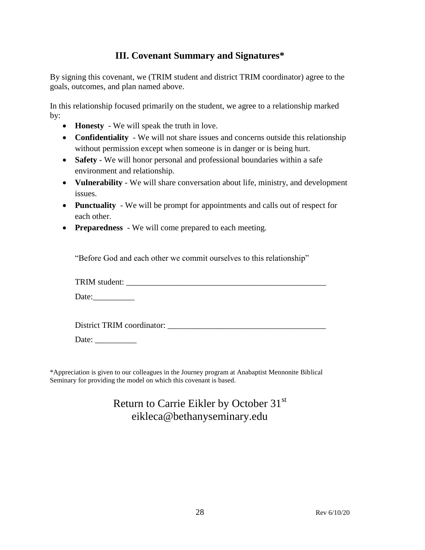## **III. Covenant Summary and Signatures\***

By signing this covenant, we (TRIM student and district TRIM coordinator) agree to the goals, outcomes, and plan named above.

In this relationship focused primarily on the student, we agree to a relationship marked by:

- **Honesty** We will speak the truth in love.
- **Confidentiality** We will not share issues and concerns outside this relationship without permission except when someone is in danger or is being hurt.
- **Safety** We will honor personal and professional boundaries within a safe environment and relationship.
- **Vulnerability** We will share conversation about life, ministry, and development issues.
- **Punctuality** We will be prompt for appointments and calls out of respect for each other.
- **Preparedness** We will come prepared to each meeting.

"Before God and each other we commit ourselves to this relationship"

TRIM student:

Date:

District TRIM coordinator: \_\_\_\_\_\_\_\_\_\_\_\_\_\_\_\_\_\_\_\_\_\_\_\_\_\_\_\_\_\_\_\_\_\_\_\_\_\_

Date: \_\_\_\_\_\_\_\_\_\_

\*Appreciation is given to our colleagues in the Journey program at Anabaptist Mennonite Biblical Seminary for providing the model on which this covenant is based.

# Return to Carrie Eikler by October 31<sup>st</sup> eikleca@bethanyseminary.edu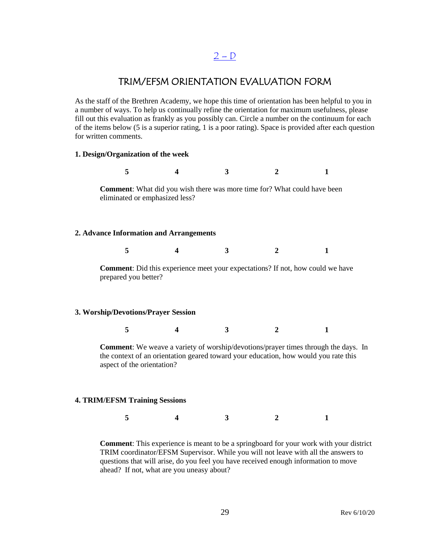## $2 - D$  $2 - D$

## TRIM/EFSM ORIENTATION EVALUATION FORM

<span id="page-28-0"></span>As the staff of the Brethren Academy, we hope this time of orientation has been helpful to you in a number of ways. To help us continually refine the orientation for maximum usefulness, please fill out this evaluation as frankly as you possibly can. Circle a number on the continuum for each of the items below (5 is a superior rating, 1 is a poor rating). Space is provided after each question for written comments.

#### **1. Design/Organization of the week**

**5 4 3 2 1 Comment**: What did you wish there was more time for? What could have been eliminated or emphasized less? **2. Advance Information and Arrangements 5 4 3 2 1 Comment**: Did this experience meet your expectations? If not, how could we have prepared you better? **3. Worship/Devotions/Prayer Session 5 4 3 2 1**

**Comment**: We weave a variety of worship/devotions/prayer times through the days. In the context of an orientation geared toward your education, how would you rate this aspect of the orientation?

#### **4. TRIM/EFSM Training Sessions**

**5 4 3 2 1**

**Comment**: This experience is meant to be a springboard for your work with your district TRIM coordinator/EFSM Supervisor. While you will not leave with all the answers to questions that will arise, do you feel you have received enough information to move ahead? If not, what are you uneasy about?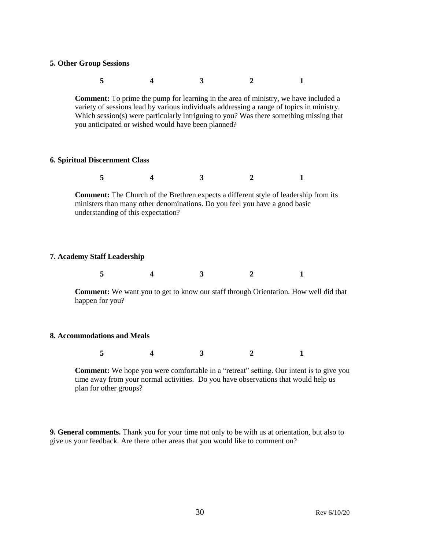#### **5. Other Group Sessions**

| $5 \hspace{1.5cm} 4$ | $4 \qquad \qquad 3 \qquad \qquad 2$ |  |  |
|----------------------|-------------------------------------|--|--|
|                      |                                     |  |  |

**Comment:** To prime the pump for learning in the area of ministry, we have included a variety of sessions lead by various individuals addressing a range of topics in ministry. Which session(s) were particularly intriguing to you? Was there something missing that you anticipated or wished would have been planned?

#### **6. Spiritual Discernment Class**

|--|--|--|--|

**Comment:** The Church of the Brethren expects a different style of leadership from its ministers than many other denominations. Do you feel you have a good basic understanding of this expectation?

#### **7. Academy Staff Leadership**

|  |  |  | — |
|--|--|--|---|
|--|--|--|---|

**Comment:** We want you to get to know our staff through Orientation. How well did that happen for you?

#### **8. Accommodations and Meals**

|--|--|--|

**Comment:** We hope you were comfortable in a "retreat" setting. Our intent is to give you time away from your normal activities. Do you have observations that would help us plan for other groups?

**9. General comments.** Thank you for your time not only to be with us at orientation, but also to give us your feedback. Are there other areas that you would like to comment on?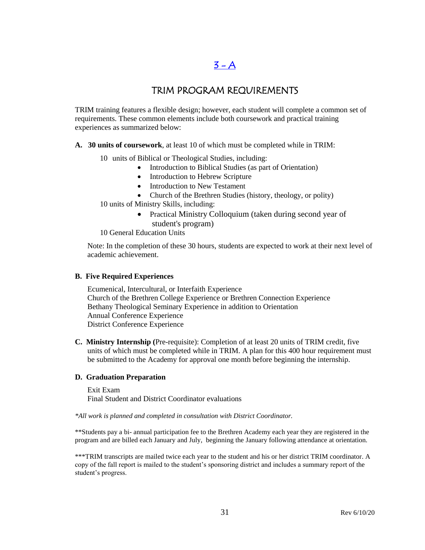# $3 - A$

# TRIM PROGRAM REQUIREMENTS

<span id="page-30-0"></span>TRIM training features a flexible design; however, each student will complete a common set of requirements. These common elements include both coursework and practical training experiences as summarized below:

**A. 30 units of coursework**, at least 10 of which must be completed while in TRIM:

10 units of Biblical or Theological Studies, including:

- Introduction to Biblical Studies (as part of Orientation)
- Introduction to Hebrew Scripture
- Introduction to New Testament
- Church of the Brethren Studies (history, theology, or polity)

10 units of Ministry Skills, including:

• Practical Ministry Colloquium (taken during second year of student's program)

10 General Education Units

Note: In the completion of these 30 hours, students are expected to work at their next level of academic achievement.

#### **B. Five Required Experiences**

Ecumenical, Intercultural, or Interfaith Experience Church of the Brethren College Experience or Brethren Connection Experience Bethany Theological Seminary Experience in addition to Orientation Annual Conference Experience District Conference Experience

**C. Ministry Internship (**Pre-requisite): Completion of at least 20 units of TRIM credit, five units of which must be completed while in TRIM. A plan for this 400 hour requirement must be submitted to the Academy for approval one month before beginning the internship.

#### **D. Graduation Preparation**

Exit Exam Final Student and District Coordinator evaluations

*\*All work is planned and completed in consultation with District Coordinator.*

\*\*Students pay a bi- annual participation fee to the Brethren Academy each year they are registered in the program and are billed each January and July, beginning the January following attendance at orientation.

\*\*\*TRIM transcripts are mailed twice each year to the student and his or her district TRIM coordinator. A copy of the fall report is mailed to the student's sponsoring district and includes a summary report of the student's progress.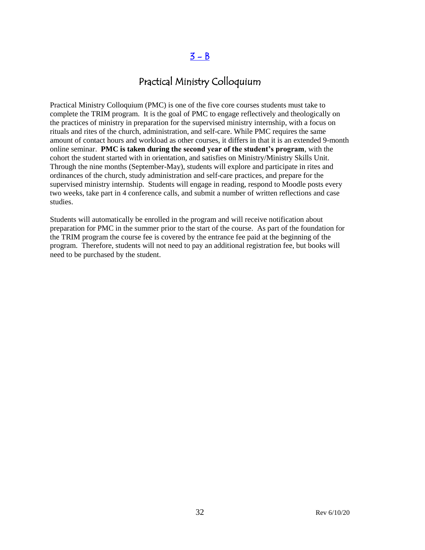# $3 - B$

# Practical Ministry Colloquium

<span id="page-31-0"></span>Practical Ministry Colloquium (PMC) is one of the five core courses students must take to complete the TRIM program. It is the goal of PMC to engage reflectively and theologically on the practices of ministry in preparation for the supervised ministry internship, with a focus on rituals and rites of the church, administration, and self-care. While PMC requires the same amount of contact hours and workload as other courses, it differs in that it is an extended 9-month online seminar. **PMC is taken during the second year of the student's program**, with the cohort the student started with in orientation, and satisfies on Ministry/Ministry Skills Unit. Through the nine months (September-May), students will explore and participate in rites and ordinances of the church, study administration and self-care practices, and prepare for the supervised ministry internship. Students will engage in reading, respond to Moodle posts every two weeks, take part in 4 conference calls, and submit a number of written reflections and case studies.

Students will automatically be enrolled in the program and will receive notification about preparation for PMC in the summer prior to the start of the course. As part of the foundation for the TRIM program the course fee is covered by the entrance fee paid at the beginning of the program. Therefore, students will not need to pay an additional registration fee, but books will need to be purchased by the student.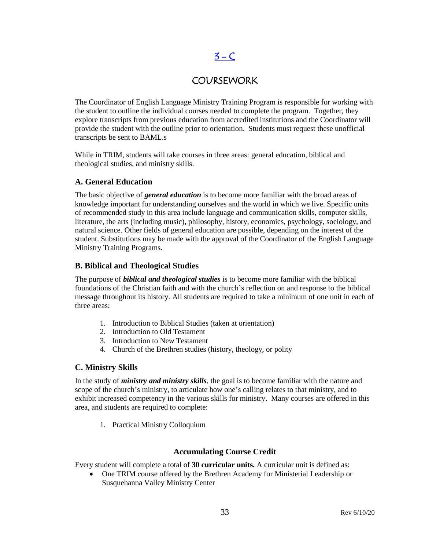# $3 - C$

# **COURSEWORK**

<span id="page-32-0"></span>The Coordinator of English Language Ministry Training Program is responsible for working with the student to outline the individual courses needed to complete the program. Together, they explore transcripts from previous education from accredited institutions and the Coordinator will provide the student with the outline prior to orientation. Students must request these unofficial transcripts be sent to BAML.s

While in TRIM, students will take courses in three areas: general education, biblical and theological studies, and ministry skills.

## **A. General Education**

The basic objective of *general education* is to become more familiar with the broad areas of knowledge important for understanding ourselves and the world in which we live. Specific units of recommended study in this area include language and communication skills, computer skills, literature, the arts (including music), philosophy, history, economics, psychology, sociology, and natural science. Other fields of general education are possible, depending on the interest of the student. Substitutions may be made with the approval of the Coordinator of the English Language Ministry Training Programs.

## **B. Biblical and Theological Studies**

The purpose of *biblical and theological studies* is to become more familiar with the biblical foundations of the Christian faith and with the church's reflection on and response to the biblical message throughout its history. All students are required to take a minimum of one unit in each of three areas:

- 1. Introduction to Biblical Studies (taken at orientation)
- 2. Introduction to Old Testament
- 3. Introduction to New Testament
- 4. Church of the Brethren studies (history, theology, or polity

## **C. Ministry Skills**

In the study of *ministry and ministry skills*, the goal is to become familiar with the nature and scope of the church's ministry, to articulate how one's calling relates to that ministry, and to exhibit increased competency in the various skills for ministry. Many courses are offered in this area, and students are required to complete:

1. Practical Ministry Colloquium

## **Accumulating Course Credit**

Every student will complete a total of **30 curricular units.** A curricular unit is defined as:

 One TRIM course offered by the Brethren Academy for Ministerial Leadership or Susquehanna Valley Ministry Center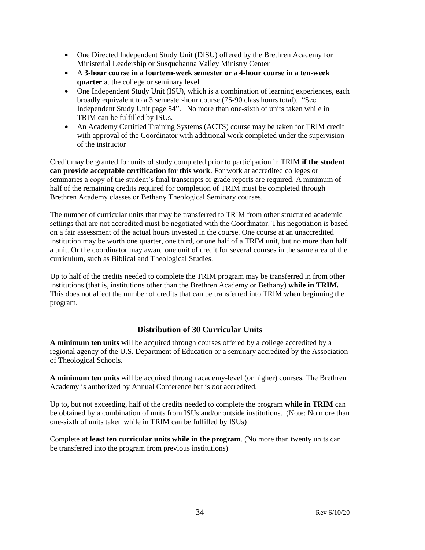- One Directed Independent Study Unit (DISU) offered by the Brethren Academy for Ministerial Leadership or Susquehanna Valley Ministry Center
- A **3-hour course in a fourteen-week semester or a 4-hour course in a ten-week quarter** at the college or seminary level
- One Independent Study Unit (ISU), which is a combination of learning experiences, each broadly equivalent to a 3 semester-hour course (75-90 class hours total). "See Independent Study Unit page 54". No more than one-sixth of units taken while in TRIM can be fulfilled by ISUs.
- An Academy Certified Training Systems (ACTS) course may be taken for TRIM credit with approval of the Coordinator with additional work completed under the supervision of the instructor

Credit may be granted for units of study completed prior to participation in TRIM **if the student can provide acceptable certification for this work**. For work at accredited colleges or seminaries a copy of the student's final transcripts or grade reports are required. A minimum of half of the remaining credits required for completion of TRIM must be completed through Brethren Academy classes or Bethany Theological Seminary courses.

The number of curricular units that may be transferred to TRIM from other structured academic settings that are not accredited must be negotiated with the Coordinator. This negotiation is based on a fair assessment of the actual hours invested in the course. One course at an unaccredited institution may be worth one quarter, one third, or one half of a TRIM unit, but no more than half a unit. Or the coordinator may award one unit of credit for several courses in the same area of the curriculum, such as Biblical and Theological Studies.

Up to half of the credits needed to complete the TRIM program may be transferred in from other institutions (that is, institutions other than the Brethren Academy or Bethany) **while in TRIM.**  This does not affect the number of credits that can be transferred into TRIM when beginning the program.

## **Distribution of 30 Curricular Units**

**A minimum ten units** will be acquired through courses offered by a college accredited by a regional agency of the U.S. Department of Education or a seminary accredited by the Association of Theological Schools.

**A minimum ten units** will be acquired through academy-level (or higher) courses. The Brethren Academy is authorized by Annual Conference but is *not* accredited.

Up to, but not exceeding, half of the credits needed to complete the program **while in TRIM** can be obtained by a combination of units from ISUs and/or outside institutions. (Note: No more than one-sixth of units taken while in TRIM can be fulfilled by ISUs)

Complete **at least ten curricular units while in the program**. (No more than twenty units can be transferred into the program from previous institutions)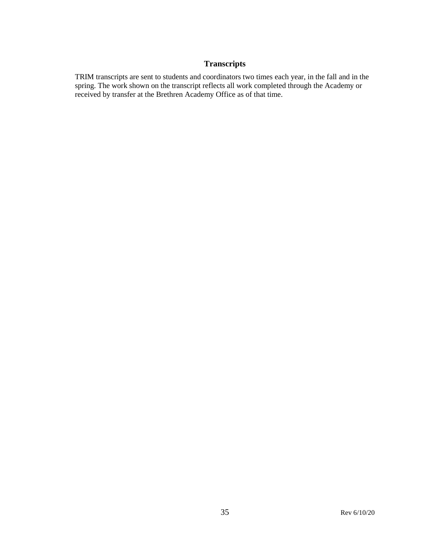## **Transcripts**

TRIM transcripts are sent to students and coordinators two times each year, in the fall and in the spring. The work shown on the transcript reflects all work completed through the Academy or received by transfer at the Brethren Academy Office as of that time.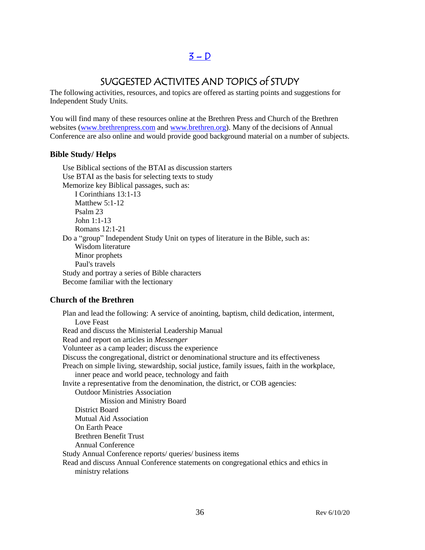# $3 - D$

# SUGGESTED ACTIVITES AND TOPICS of STUDY

<span id="page-35-0"></span>The following activities, resources, and topics are offered as starting points and suggestions for Independent Study Units.

You will find many of these resources online at the Brethren Press and Church of the Brethren websites [\(www.brethrenpress.com](http://www.brethrenpress.com/) and [www.brethren.org\)](http://www.brethren.org/). Many of the decisions of Annual Conference are also online and would provide good background material on a number of subjects.

## **Bible Study/ Helps**

Use Biblical sections of the BTAI as discussion starters Use BTAI as the basis for selecting texts to study Memorize key Biblical passages, such as: I Corinthians 13:1-13 Matthew 5:1-12 Psalm 23 John 1:1-13 Romans 12:1-21 Do a "group" Independent Study Unit on types of literature in the Bible, such as: Wisdom literature Minor prophets Paul's travels Study and portray a series of Bible characters Become familiar with the lectionary

#### **Church of the Brethren**

Plan and lead the following: A service of anointing, baptism, child dedication, interment, Love Feast Read and discuss the Ministerial Leadership Manual Read and report on articles in *Messenger* Volunteer as a camp leader; discuss the experience Discuss the congregational, district or denominational structure and its effectiveness Preach on simple living, stewardship, social justice, family issues, faith in the workplace, inner peace and world peace, technology and faith Invite a representative from the denomination, the district, or COB agencies: Outdoor Ministries Association Mission and Ministry Board District Board Mutual Aid Association On Earth Peace Brethren Benefit Trust Annual Conference Study Annual Conference reports/ queries/ business items Read and discuss Annual Conference statements on congregational ethics and ethics in ministry relations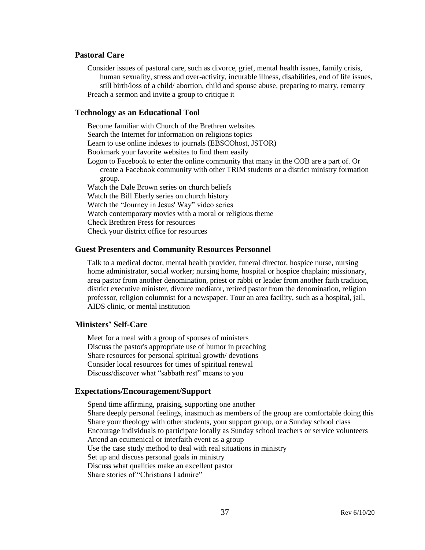#### **Pastoral Care**

Consider issues of pastoral care, such as divorce, grief, mental health issues, family crisis, human sexuality, stress and over-activity, incurable illness, disabilities, end of life issues, still birth/loss of a child/ abortion, child and spouse abuse, preparing to marry, remarry Preach a sermon and invite a group to critique it

#### **Technology as an Educational Tool**

Become familiar with Church of the Brethren websites Search the Internet for information on religions topics Learn to use online indexes to journals (EBSCOhost, JSTOR) Bookmark your favorite websites to find them easily Logon to Facebook to enter the online community that many in the COB are a part of. Or create a Facebook community with other TRIM students or a district ministry formation group. Watch the Dale Brown series on church beliefs Watch the Bill Eberly series on church history Watch the "Journey in Jesus' Way" video series Watch contemporary movies with a moral or religious theme Check Brethren Press for resources Check your district office for resources

#### **Guest Presenters and Community Resources Personnel**

Talk to a medical doctor, mental health provider, funeral director, hospice nurse, nursing home administrator, social worker; nursing home, hospital or hospice chaplain; missionary, area pastor from another denomination, priest or rabbi or leader from another faith tradition, district executive minister, divorce mediator, retired pastor from the denomination, religion professor, religion columnist for a newspaper. Tour an area facility, such as a hospital, jail, AIDS clinic, or mental institution

#### **Ministers' Self-Care**

Meet for a meal with a group of spouses of ministers Discuss the pastor's appropriate use of humor in preaching Share resources for personal spiritual growth/ devotions Consider local resources for times of spiritual renewal Discuss/discover what "sabbath rest" means to you

#### **Expectations/Encouragement/Support**

Spend time affirming, praising, supporting one another Share deeply personal feelings, inasmuch as members of the group are comfortable doing this Share your theology with other students, your support group, or a Sunday school class Encourage individuals to participate locally as Sunday school teachers or service volunteers Attend an ecumenical or interfaith event as a group Use the case study method to deal with real situations in ministry Set up and discuss personal goals in ministry Discuss what qualities make an excellent pastor Share stories of "Christians I admire"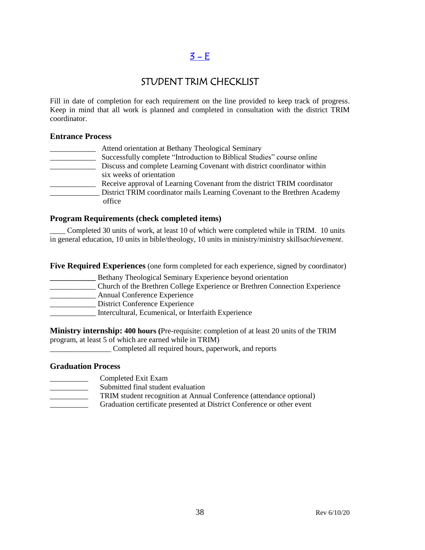### $3 - E$

### STUDENT TRIM CHECKLIST

Fill in date of completion for each requirement on the line provided to keep track of progress. Keep in mind that all work is planned and completed in consultation with the district TRIM coordinator.

#### **Entrance Process**

| Attend orientation at Bethany Theological Seminary                        |
|---------------------------------------------------------------------------|
| Successfully complete "Introduction to Biblical Studies" course online    |
| Discuss and complete Learning Covenant with district coordinator within   |
| six weeks of orientation                                                  |
| Receive approval of Learning Covenant from the district TRIM coordinator  |
| District TRIM coordinator mails Learning Covenant to the Brethren Academy |
| office                                                                    |

#### **Program Requirements (check completed items)**

Completed 30 units of work, at least 10 of which were completed while in TRIM. 10 units in general education, 10 units in bible/theology, 10 units in ministry/ministry skills*achievement*.

**Five Required Experiences** (one form completed for each experience, signed by coordinator)

**\_\_\_\_\_\_\_\_\_\_\_\_** Bethany Theological Seminary Experience beyond orientation \_\_\_\_\_\_\_\_\_\_\_\_ Church of the Brethren College Experience or Brethren Connection Experience \_\_\_\_\_\_\_\_\_\_\_\_ Annual Conference Experience District Conference Experience \_\_\_\_\_\_\_\_\_\_\_\_ Intercultural, Ecumenical, or Interfaith Experience

**Ministry internship: 400 hours (**Pre-requisite: completion of at least 20 units of the TRIM program, at least 5 of which are earned while in TRIM)

\_\_\_\_\_\_\_\_\_\_\_\_\_\_\_\_ Completed all required hours, paperwork, and reports

#### **Graduation Process**

- \_\_\_\_\_\_\_\_\_\_ Completed Exit Exam
- Submitted final student evaluation
- TRIM student recognition at Annual Conference (attendance optional)
- Graduation certificate presented at District Conference or other event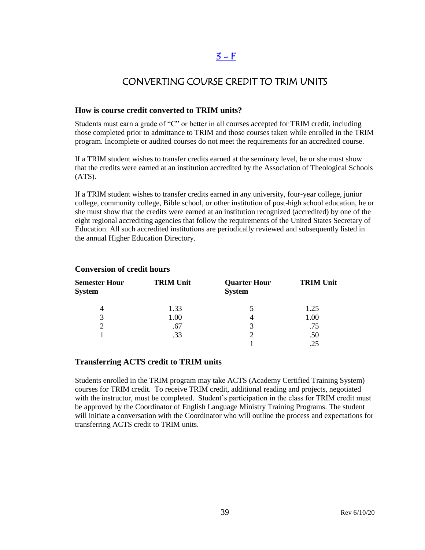### $3 - F$

### CONVERTING COURSE CREDIT TO TRIM UNITS

#### **How is course credit converted to TRIM units?**

Students must earn a grade of "C" or better in all courses accepted for TRIM credit, including those completed prior to admittance to TRIM and those courses taken while enrolled in the TRIM program. Incomplete or audited courses do not meet the requirements for an accredited course.

If a TRIM student wishes to transfer credits earned at the seminary level, he or she must show that the credits were earned at an institution accredited by the Association of Theological Schools (ATS).

If a TRIM student wishes to transfer credits earned in any university, four-year college, junior college, community college, Bible school, or other institution of post-high school education, he or she must show that the credits were earned at an institution recognized (accredited) by one of the eight regional accrediting agencies that follow the requirements of the United States Secretary of Education. All such accredited institutions are periodically reviewed and subsequently listed in the annual Higher Education Directory.

| <b>Semester Hour</b><br><b>System</b> | <b>TRIM Unit</b> | <b>Quarter Hour</b><br><b>System</b> | <b>TRIM Unit</b> |
|---------------------------------------|------------------|--------------------------------------|------------------|
|                                       | 1.33             |                                      | 1.25             |
| 3                                     | 1.00             | 4                                    | 1.00             |
|                                       | .67              | 3                                    | .75              |
|                                       | .33              |                                      | .50              |
|                                       |                  |                                      |                  |

#### **Conversion of credit hours**

#### **Transferring ACTS credit to TRIM units**

Students enrolled in the TRIM program may take ACTS (Academy Certified Training System) courses for TRIM credit. To receive TRIM credit, additional reading and projects, negotiated with the instructor, must be completed. Student's participation in the class for TRIM credit must be approved by the Coordinator of English Language Ministry Training Programs. The student will initiate a conversation with the Coordinator who will outline the process and expectations for transferring ACTS credit to TRIM units.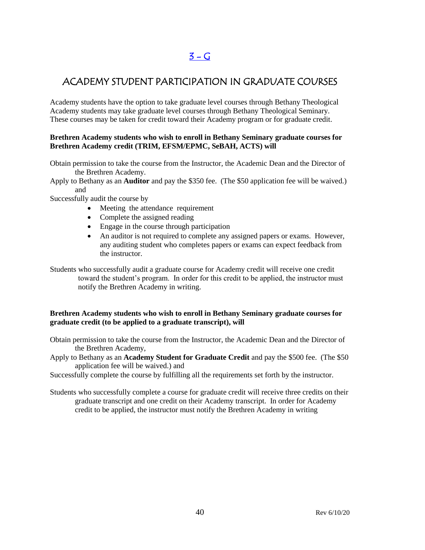# $3 - G$

### ACADEMY STUDENT PARTICIPATION IN GRADUATE COURSES

Academy students have the option to take graduate level courses through Bethany Theological Academy students may take graduate level courses through Bethany Theological Seminary. These courses may be taken for credit toward their Academy program or for graduate credit.

#### **Brethren Academy students who wish to enroll in Bethany Seminary graduate courses for Brethren Academy credit (TRIM, EFSM/EPMC, SeBAH, ACTS) will**

Obtain permission to take the course from the Instructor, the Academic Dean and the Director of the Brethren Academy.

Apply to Bethany as an **Auditor** and pay the \$350 fee. (The \$50 application fee will be waived.) and

Successfully audit the course by

- Meeting the attendance requirement
- Complete the assigned reading
- Engage in the course through participation
- An auditor is not required to complete any assigned papers or exams. However, any auditing student who completes papers or exams can expect feedback from the instructor.
- Students who successfully audit a graduate course for Academy credit will receive one credit toward the student's program. In order for this credit to be applied, the instructor must notify the Brethren Academy in writing.

#### **Brethren Academy students who wish to enroll in Bethany Seminary graduate courses for graduate credit (to be applied to a graduate transcript), will**

Obtain permission to take the course from the Instructor, the Academic Dean and the Director of the Brethren Academy,

Apply to Bethany as an **Academy Student for Graduate Credit** and pay the \$500 fee. (The \$50 application fee will be waived.) and

Successfully complete the course by fulfilling all the requirements set forth by the instructor.

Students who successfully complete a course for graduate credit will receive three credits on their graduate transcript and one credit on their Academy transcript. In order for Academy credit to be applied, the instructor must notify the Brethren Academy in writing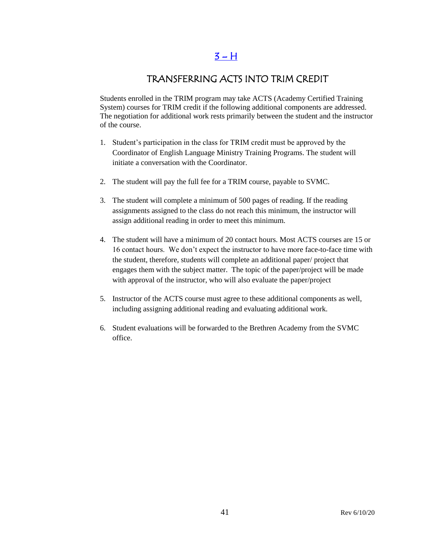### $3 - H$

### TRANSFERRING ACTS INTO TRIM CREDIT

Students enrolled in the TRIM program may take ACTS (Academy Certified Training System) courses for TRIM credit if the following additional components are addressed. The negotiation for additional work rests primarily between the student and the instructor of the course.

- 1. Student's participation in the class for TRIM credit must be approved by the Coordinator of English Language Ministry Training Programs. The student will initiate a conversation with the Coordinator.
- 2. The student will pay the full fee for a TRIM course, payable to SVMC.
- 3. The student will complete a minimum of 500 pages of reading. If the reading assignments assigned to the class do not reach this minimum, the instructor will assign additional reading in order to meet this minimum.
- 4. The student will have a minimum of 20 contact hours. Most ACTS courses are 15 or 16 contact hours. We don't expect the instructor to have more face-to-face time with the student, therefore, students will complete an additional paper/ project that engages them with the subject matter. The topic of the paper/project will be made with approval of the instructor, who will also evaluate the paper/project
- 5. Instructor of the ACTS course must agree to these additional components as well, including assigning additional reading and evaluating additional work.
- 6. Student evaluations will be forwarded to the Brethren Academy from the SVMC office.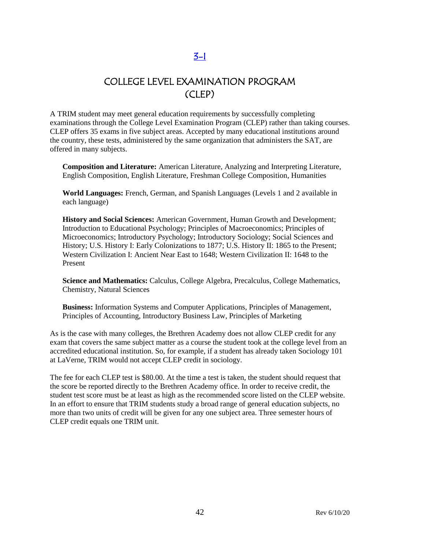### [3-I](#page-2-0)

### COLLEGE LEVEL EXAMINATION PROGRAM (CLEP)

A TRIM student may meet general education requirements by successfully completing examinations through the College Level Examination Program (CLEP) rather than taking courses. CLEP offers 35 exams in five subject areas. Accepted by many educational institutions around the country, these tests, administered by the same organization that administers the SAT, are offered in many subjects.

**Composition and Literature:** [American Literature,](http://www.collegeboard.com/student/testing/clep/ex_al.html) [Analyzing and Interpreting Literature,](http://www.collegeboard.com/student/testing/clep/ex_ail.html) [English Composition,](http://www.collegeboard.com/student/testing/clep/ex_ec.html) [English Literature,](http://www.collegeboard.com/student/testing/clep/ex_el.html) [Freshman College Composition,](http://www.collegeboard.com/student/testing/clep/ex_fcc.html) [Humanities](http://www.collegeboard.com/student/testing/clep/ex_hum.html)

**World Languages:** [French, German, and Spanish Languages \(Levels 1 and 2 available in](http://www.collegeboard.com/student/testing/clep/ex_clf.html)  [each language\)](http://www.collegeboard.com/student/testing/clep/ex_clf.html)

**History and Social Sciences:** [American Government,](http://www.collegeboard.com/student/testing/clep/ex_ag.html) [Human Growth and Development;](http://www.collegeboard.com/student/testing/clep/ex_hgd.html) [Introduction to Educational Psychology;](http://www.collegeboard.com/student/testing/clep/ex_iep.html) [Principles of Macroeconomics;](http://www.collegeboard.com/student/testing/clep/ex_pmac.html) [Principles of](http://www.collegeboard.com/student/testing/clep/ex_pmic.html)  [Microeconomics;](http://www.collegeboard.com/student/testing/clep/ex_pmic.html) [Introductory Psychology;](http://www.collegeboard.com/student/testing/clep/ex_ip.html) [Introductory Sociology;](http://www.collegeboard.com/student/testing/clep/ex_is.html) [Social Sciences and](http://www.collegeboard.com/student/testing/clep/ex_ssh.html)  [History;](http://www.collegeboard.com/student/testing/clep/ex_ssh.html) [U.S. History I: Early Colonizations to 1877;](http://www.collegeboard.com/student/testing/clep/ex_us1.html) [U.S. History II: 1865 to the Present;](http://www.collegeboard.com/student/testing/clep/ex_us2.html) [Western Civilization I: Ancient Near East to 1648;](http://www.collegeboard.com/student/testing/clep/ex_wc1.html) [Western Civilization II: 1648 to the](http://www.collegeboard.com/student/testing/clep/ex_wc2.html)  [Present](http://www.collegeboard.com/student/testing/clep/ex_wc2.html)

**Science and Mathematics:** [Calculus,](http://www.collegeboard.com/student/testing/clep/ex_calc.html) [College Algebra,](http://www.collegeboard.com/student/testing/clep/ex_ca.html) [Precalculus,](http://www.collegeboard.com/student/testing/clep/ex_pcal.html) [College Mathematics,](http://www.collegeboard.com/student/testing/clep/ex_cm.html) [Chemistry,](http://www.collegeboard.com/student/testing/clep/ex_chem.html) [Natural Sciences](http://www.collegeboard.com/student/testing/clep/ex_ns.html)

**Business:** [Information Systems and Computer Applications,](http://www.collegeboard.com/student/testing/clep/ex_isca.html) [Principles of Management,](http://www.collegeboard.com/student/testing/clep/ex_pman.html) [Principles of Accounting,](http://www.collegeboard.com/student/testing/clep/ex_pa.html) [Introductory Business Law,](http://www.collegeboard.com/student/testing/clep/ex_ibl.html) [Principles of Marketing](http://www.collegeboard.com/student/testing/clep/ex_pmark.html) 

As is the case with many colleges, the Brethren Academy does not allow CLEP credit for any exam that covers the same subject matter as a course the student took at the college level from an accredited educational institution. So, for example, if a student has already taken Sociology 101 at LaVerne, TRIM would not accept CLEP credit in sociology.

The fee for each CLEP test is \$80.00. At the time a test is taken, the student should request that the score be reported directly to the Brethren Academy office. In order to receive credit, the student test score must be at least as high as the recommended score listed on the CLEP website. In an effort to ensure that TRIM students study a broad range of general education subjects, no more than two units of credit will be given for any one subject area. Three semester hours of CLEP credit equals one TRIM unit.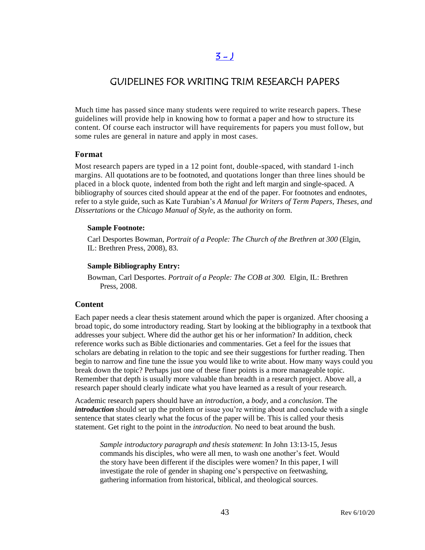### $3 - 1$

### GUIDELINES FOR WRITING TRIM RESEARCH PAPERS

Much time has passed since many students were required to write research papers. These guidelines will provide help in knowing how to format a paper and how to structure its content. Of course each instructor will have requirements for papers you must follow, but some rules are general in nature and apply in most cases.

#### **Format**

Most research papers are typed in a 12 point font, double-spaced, with standard 1-inch margins. All quotations are to be footnoted, and quotations longer than three lines should be placed in a block quote, indented from both the right and left margin and single-spaced. A bibliography of sources cited should appear at the end of the paper. For footnotes and endnotes, refer to a style guide, such as Kate Turabian's *A Manual for Writers of Term Papers, Theses, and Dissertations* or the *Chicago Manual of Style,* as the authority on form.

#### **Sample Footnote:**

Carl Desportes Bowman, *Portrait of a People: The Church of the Brethren at 300* (Elgin, IL: Brethren Press, 2008), 83.

#### **Sample Bibliography Entry:**

Bowman, Carl Desportes. *Portrait of a People: The COB at 300.* Elgin, IL: Brethren Press, 2008.

#### **Content**

Each paper needs a clear thesis statement around which the paper is organized. After choosing a broad topic, do some introductory reading. Start by looking at the bibliography in a textbook that addresses your subject. Where did the author get his or her information? In addition, check reference works such as Bible dictionaries and commentaries. Get a feel for the issues that scholars are debating in relation to the topic and see their suggestions for further reading. Then begin to narrow and fine tune the issue you would like to write about. How many ways could you break down the topic? Perhaps just one of these finer points is a more manageable topic. Remember that depth is usually more valuable than breadth in a research project. Above all, a research paper should clearly indicate what you have learned as a result of your research.

Academic research papers should have an *introduction*, a *body*, and a *conclusion*. The *introduction* should set up the problem or issue you're writing about and conclude with a single sentence that states clearly what the focus of the paper will be. This is called your thesis statement. Get right to the point in the *introduction.* No need to beat around the bush.

*Sample introductory paragraph and thesis statement*: In John 13:13-15, Jesus commands his disciples, who were all men, to wash one another's feet. Would the story have been different if the disciples were women? In this paper, I will investigate the role of gender in shaping one's perspective on feetwashing, gathering information from historical, biblical, and theological sources.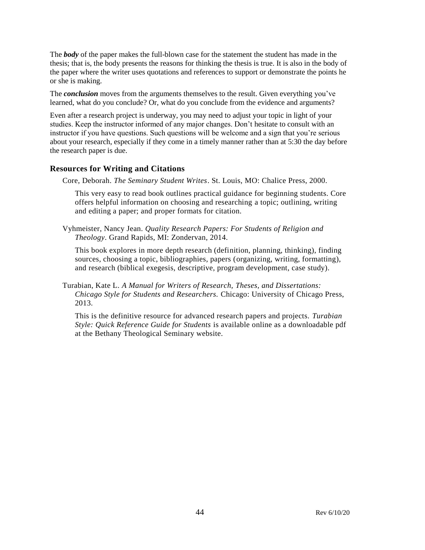The *body* of the paper makes the full-blown case for the statement the student has made in the thesis; that is, the body presents the reasons for thinking the thesis is true. It is also in the body of the paper where the writer uses quotations and references to support or demonstrate the points he or she is making.

The *conclusion* moves from the arguments themselves to the result. Given everything you've learned, what do you conclude? Or, what do you conclude from the evidence and arguments?

Even after a research project is underway, you may need to adjust your topic in light of your studies. Keep the instructor informed of any major changes. Don't hesitate to consult with an instructor if you have questions. Such questions will be welcome and a sign that you're serious about your research, especially if they come in a timely manner rather than at 5:30 the day before the research paper is due.

#### **Resources for Writing and Citations**

Core, Deborah. *The Seminary Student Writes*. St. Louis, MO: Chalice Press, 2000.

This very easy to read book outlines practical guidance for beginning students. Core offers helpful information on choosing and researching a topic; outlining, writing and editing a paper; and proper formats for citation.

Vyhmeister, Nancy Jean. *Quality Research Papers: For Students of Religion and Theology*. Grand Rapids, MI: Zondervan, 2014.

This book explores in more depth research (definition, planning, thinking), finding sources, choosing a topic, bibliographies, papers (organizing, writing, formatting), and research (biblical exegesis, descriptive, program development, case study).

Turabian, Kate L. *A Manual for Writers of Research, Theses, and Dissertations: Chicago Style for Students and Researchers.* Chicago: University of Chicago Press, 2013.

This is the definitive resource for advanced research papers and projects. *Turabian Style: Quick Reference Guide for Students* is available online as a downloadable pdf at the Bethany Theological Seminary website.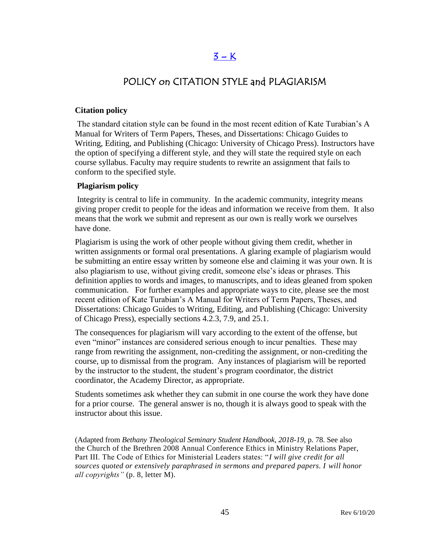### $3 - K$

### POLICY on CITATION STYLE and PLAGIARISM

#### **Citation policy**

The standard citation style can be found in the most recent edition of Kate Turabian's A Manual for Writers of Term Papers, Theses, and Dissertations: Chicago Guides to Writing, Editing, and Publishing (Chicago: University of Chicago Press). Instructors have the option of specifying a different style, and they will state the required style on each course syllabus. Faculty may require students to rewrite an assignment that fails to conform to the specified style.

#### **Plagiarism policy**

Integrity is central to life in community. In the academic community, integrity means giving proper credit to people for the ideas and information we receive from them. It also means that the work we submit and represent as our own is really work we ourselves have done.

Plagiarism is using the work of other people without giving them credit, whether in written assignments or formal oral presentations. A glaring example of plagiarism would be submitting an entire essay written by someone else and claiming it was your own. It is also plagiarism to use, without giving credit, someone else's ideas or phrases. This definition applies to words and images, to manuscripts, and to ideas gleaned from spoken communication. For further examples and appropriate ways to cite, please see the most recent edition of Kate Turabian's A Manual for Writers of Term Papers, Theses, and Dissertations: Chicago Guides to Writing, Editing, and Publishing (Chicago: University of Chicago Press), especially sections 4.2.3, 7.9, and 25.1.

The consequences for plagiarism will vary according to the extent of the offense, but even "minor" instances are considered serious enough to incur penalties. These may range from rewriting the assignment, non-crediting the assignment, or non-crediting the course, up to dismissal from the program. Any instances of plagiarism will be reported by the instructor to the student, the student's program coordinator, the district coordinator, the Academy Director, as appropriate.

Students sometimes ask whether they can submit in one course the work they have done for a prior course. The general answer is no, though it is always good to speak with the instructor about this issue.

(Adapted from *Bethany Theological Seminary Student Handbook, 2018-19*, p. 78. See also the Church of the Brethren 2008 Annual Conference Ethics in Ministry Relations Paper, Part III. The Code of Ethics for Ministerial Leaders states: "*I will give credit for all sources quoted or extensively paraphrased in sermons and prepared papers. I will honor all copyrights"* (p. 8, letter M).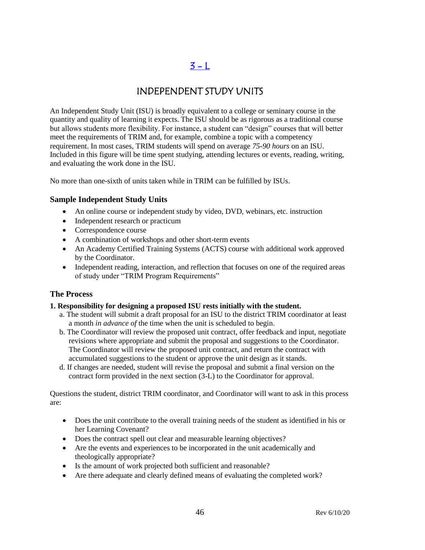## $3 - L$

### INDEPENDENT STUDY UNITS

An Independent Study Unit (ISU) is broadly equivalent to a college or seminary course in the quantity and quality of learning it expects. The ISU should be as rigorous as a traditional course but allows students more flexibility. For instance, a student can "design" courses that will better meet the requirements of TRIM and, for example, combine a topic with a competency requirement. In most cases, TRIM students will spend on average *75-90 hours* on an ISU. Included in this figure will be time spent studying, attending lectures or events, reading, writing, and evaluating the work done in the ISU.

No more than one-sixth of units taken while in TRIM can be fulfilled by ISUs.

#### **Sample Independent Study Units**

- An online course or independent study by video, DVD, webinars, etc. instruction
- Independent research or practicum
- Correspondence course
- A combination of workshops and other short-term events
- An Academy Certified Training Systems (ACTS) course with additional work approved by the Coordinator.
- Independent reading, interaction, and reflection that focuses on one of the required areas of study under "TRIM Program Requirements"

#### **The Process**

#### **1. Responsibility for designing a proposed ISU rests initially with the student.**

- a. The student will submit a draft proposal for an ISU to the district TRIM coordinator at least a month *in advance of* the time when the unit is scheduled to begin.
- b. The Coordinator will review the proposed unit contract, offer feedback and input, negotiate revisions where appropriate and submit the proposal and suggestions to the Coordinator. The Coordinator will review the proposed unit contract, and return the contract with accumulated suggestions to the student or approve the unit design as it stands.
- d. If changes are needed, student will revise the proposal and submit a final version on the contract form provided in the next section (3-L) to the Coordinator for approval.

Questions the student, district TRIM coordinator, and Coordinator will want to ask in this process are:

- Does the unit contribute to the overall training needs of the student as identified in his or her Learning Covenant?
- Does the contract spell out clear and measurable learning objectives?
- Are the events and experiences to be incorporated in the unit academically and theologically appropriate?
- Is the amount of work projected both sufficient and reasonable?
- Are there adequate and clearly defined means of evaluating the completed work?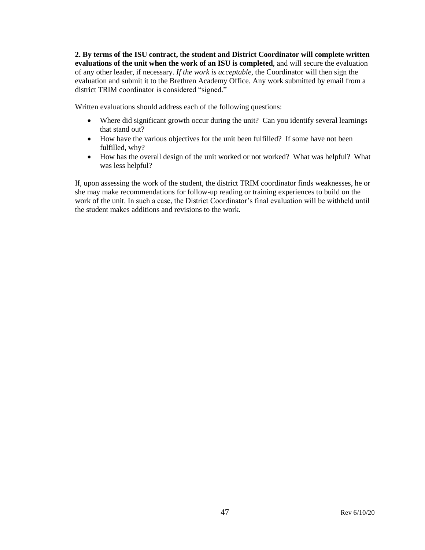**2. By terms of the ISU contract,** t**he student and District Coordinator will complete written evaluations of the unit when the work of an ISU is completed**, and will secure the evaluation of any other leader, if necessary. *If the work is acceptable,* the Coordinator will then sign the evaluation and submit it to the Brethren Academy Office. Any work submitted by email from a district TRIM coordinator is considered "signed."

Written evaluations should address each of the following questions:

- Where did significant growth occur during the unit? Can you identify several learnings that stand out?
- How have the various objectives for the unit been fulfilled? If some have not been fulfilled, why?
- How has the overall design of the unit worked or not worked? What was helpful? What was less helpful?

If, upon assessing the work of the student, the district TRIM coordinator finds weaknesses, he or she may make recommendations for follow-up reading or training experiences to build on the work of the unit. In such a case, the District Coordinator's final evaluation will be withheld until the student makes additions and revisions to the work.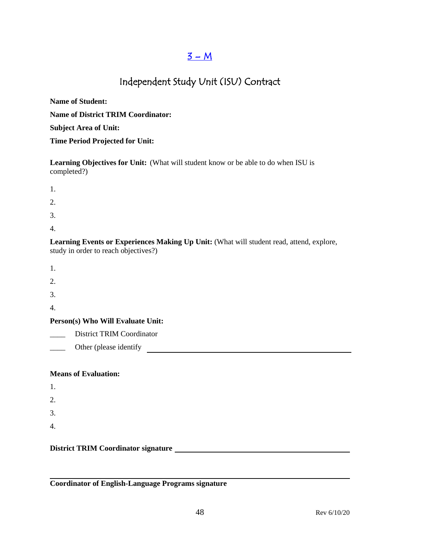### $3 - M$

# Independent Study Unit (ISU) Contract

| <b>Name of Student:</b>                   |
|-------------------------------------------|
| <b>Name of District TRIM Coordinator:</b> |
| <b>Subject Area of Unit:</b>              |
| <b>Time Period Projected for Unit:</b>    |

**Learning Objectives for Unit:** (What will student know or be able to do when ISU is completed?)

| 1. |  |  |
|----|--|--|
| 2. |  |  |

3.

4.

**Learning Events or Experiences Making Up Unit:** (What will student read, attend, explore, study in order to reach objectives?)

2.

3.

4.

### **Person(s) Who Will Evaluate Unit:**

District TRIM Coordinator

\_\_\_\_ Other (please identify

#### **Means of Evaluation:**

| 1. |  |  |  |
|----|--|--|--|
| 2. |  |  |  |
| 3. |  |  |  |
| 4. |  |  |  |

#### **District TRIM Coordinator signature**

**Coordinator of English-Language Programs signature**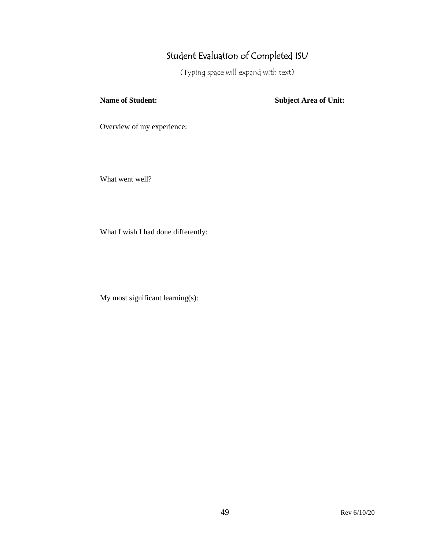# Student Evaluation of Completed ISU

(Typing space will expand with text)

**Name of Student: Subject Area of Unit:**

Overview of my experience:

What went well?

What I wish I had done differently:

My most significant learning(s):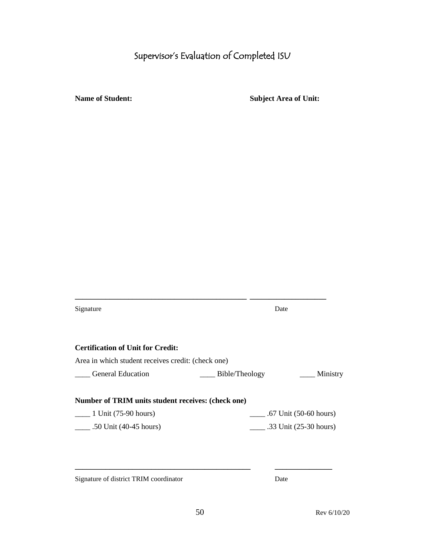# Supervisor's Evaluation of Completed ISU

**Name of Student: Subject Area of Unit:** 

| Signature                                          | Date           |                                      |
|----------------------------------------------------|----------------|--------------------------------------|
|                                                    |                |                                      |
| <b>Certification of Unit for Credit:</b>           |                |                                      |
| Area in which student receives credit: (check one) |                |                                      |
| <b>General Education</b>                           | Bible/Theology | Ministry                             |
|                                                    |                |                                      |
| Number of TRIM units student receives: (check one) |                |                                      |
| $\frac{1 \text{ Unit}}{(75-90 \text{ hours})}$     |                | $\frac{1}{1}$ .67 Unit (50-60 hours) |
| .50 Unit $(40-45$ hours)                           |                |                                      |
|                                                    |                |                                      |
|                                                    |                |                                      |

Signature of district TRIM coordinator Date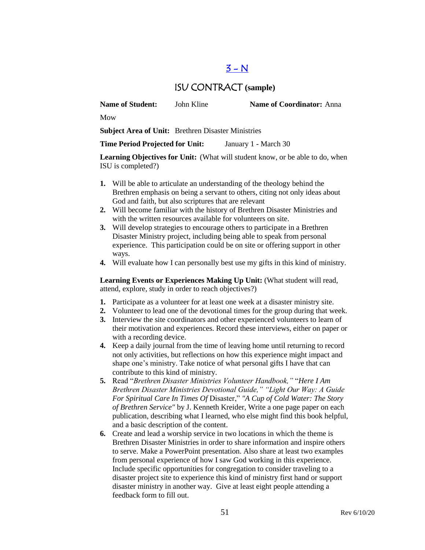### $3 - N$

### ISU CONTRACT **(sample)**

**Name of Student:** John Kline **Name of Coordinator:** Anna

Mow

**Subject Area of Unit:** Brethren Disaster Ministries

**Time Period Projected for Unit:** January 1 - March 30

**Learning Objectives for Unit:** (What will student know, or be able to do, when ISU is completed?)

- **1.** Will be able to articulate an understanding of the theology behind the Brethren emphasis on being a servant to others, citing not only ideas about God and faith, but also scriptures that are relevant
- **2.** Will become familiar with the history of Brethren Disaster Ministries and with the written resources available for volunteers on site.
- **3.** Will develop strategies to encourage others to participate in a Brethren Disaster Ministry project, including being able to speak from personal experience. This participation could be on site or offering support in other ways.
- **4.** Will evaluate how I can personally best use my gifts in this kind of ministry.

Learning Events or Experiences Making Up Unit: (What student will read, attend, explore, study in order to reach objectives?)

- **1.** Participate as a volunteer for at least one week at a disaster ministry site.
- **2.** Volunteer to lead one of the devotional times for the group during that week.
- **3.** Interview the site coordinators and other experienced volunteers to learn of their motivation and experiences. Record these interviews, either on paper or with a recording device.
- **4.** Keep a daily journal from the time of leaving home until returning to record not only activities, but reflections on how this experience might impact and shape one's ministry. Take notice of what personal gifts I have that can contribute to this kind of ministry.
- **5.** Read "*Brethren Disaster Ministries Volunteer Handbook,"* "*Here I Am Brethren Disaster Ministries Devotional Guide," "Light Our Way: A Guide For Spiritual Care In Times Of* Disaster," *"A Cup of Cold Water: The Story of Brethren Service"* by J. Kenneth Kreider, Write a one page paper on each publication, describing what I learned, who else might find this book helpful, and a basic description of the content.
- **6.** Create and lead a worship service in two locations in which the theme is Brethren Disaster Ministries in order to share information and inspire others to serve. Make a PowerPoint presentation. Also share at least two examples from personal experience of how I saw God working in this experience. Include specific opportunities for congregation to consider traveling to a disaster project site to experience this kind of ministry first hand or support disaster ministry in another way. Give at least eight people attending a feedback form to fill out.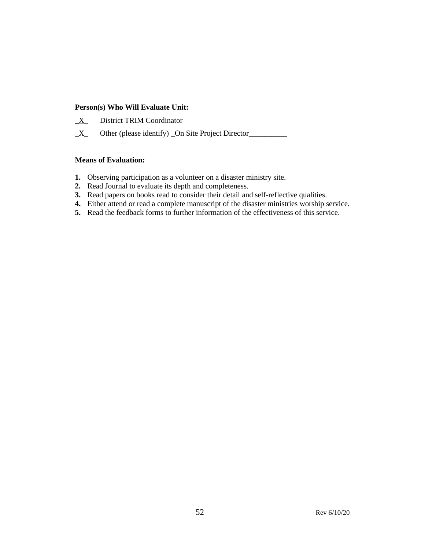#### **Person(s) Who Will Evaluate Unit:**

- **\_**X\_ District TRIM Coordinator
- $\underline{X}$  Other (please identify) On Site Project Director

#### **Means of Evaluation:**

- **1.** Observing participation as a volunteer on a disaster ministry site.
- **2.** Read Journal to evaluate its depth and completeness.
- **3.** Read papers on books read to consider their detail and self-reflective qualities.
- **4.** Either attend or read a complete manuscript of the disaster ministries worship service.
- **5.** Read the feedback forms to further information of the effectiveness of this service.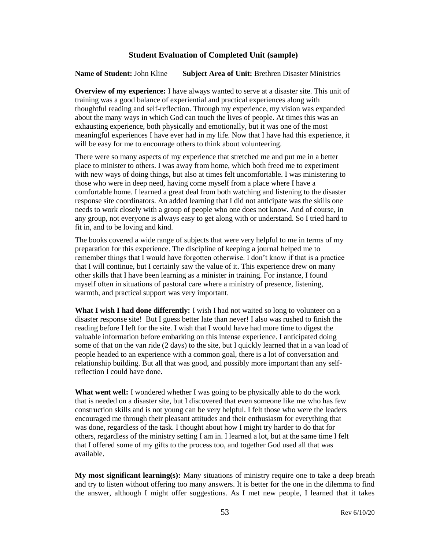#### **Student Evaluation of Completed Unit (sample)**

**Name of Student:** John Kline **Subject Area of Unit:** Brethren Disaster Ministries

**Overview of my experience:** I have always wanted to serve at a disaster site. This unit of training was a good balance of experiential and practical experiences along with thoughtful reading and self-reflection. Through my experience, my vision was expanded about the many ways in which God can touch the lives of people. At times this was an exhausting experience, both physically and emotionally, but it was one of the most meaningful experiences I have ever had in my life. Now that I have had this experience, it will be easy for me to encourage others to think about volunteering.

There were so many aspects of my experience that stretched me and put me in a better place to minister to others. I was away from home, which both freed me to experiment with new ways of doing things, but also at times felt uncomfortable. I was ministering to those who were in deep need, having come myself from a place where I have a comfortable home. I learned a great deal from both watching and listening to the disaster response site coordinators. An added learning that I did not anticipate was the skills one needs to work closely with a group of people who one does not know. And of course, in any group, not everyone is always easy to get along with or understand. So I tried hard to fit in, and to be loving and kind.

The books covered a wide range of subjects that were very helpful to me in terms of my preparation for this experience. The discipline of keeping a journal helped me to remember things that I would have forgotten otherwise. I don't know if that is a practice that I will continue, but I certainly saw the value of it. This experience drew on many other skills that I have been learning as a minister in training. For instance, I found myself often in situations of pastoral care where a ministry of presence, listening, warmth, and practical support was very important.

**What I wish I had done differently:** I wish I had not waited so long to volunteer on a disaster response site! But I guess better late than never! I also was rushed to finish the reading before I left for the site. I wish that I would have had more time to digest the valuable information before embarking on this intense experience. I anticipated doing some of that on the van ride (2 days) to the site, but I quickly learned that in a van load of people headed to an experience with a common goal, there is a lot of conversation and relationship building. But all that was good, and possibly more important than any selfreflection I could have done.

**What went well:** I wondered whether I was going to be physically able to do the work that is needed on a disaster site, but I discovered that even someone like me who has few construction skills and is not young can be very helpful. I felt those who were the leaders encouraged me through their pleasant attitudes and their enthusiasm for everything that was done, regardless of the task. I thought about how I might try harder to do that for others, regardless of the ministry setting I am in. I learned a lot, but at the same time I felt that I offered some of my gifts to the process too, and together God used all that was available.

**My most significant learning(s):** Many situations of ministry require one to take a deep breath and try to listen without offering too many answers. It is better for the one in the dilemma to find the answer, although I might offer suggestions. As I met new people, I learned that it takes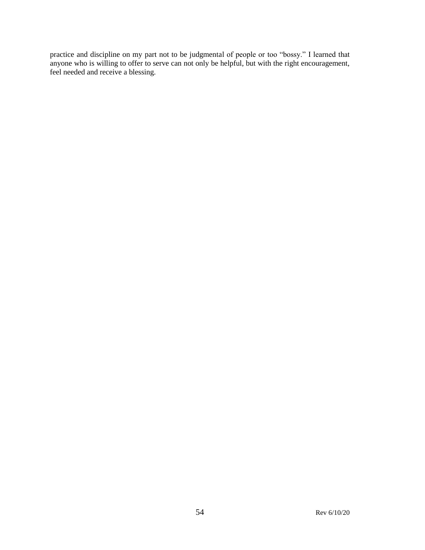practice and discipline on my part not to be judgmental of people or too "bossy." I learned that anyone who is willing to offer to serve can not only be helpful, but with the right encouragement, feel needed and receive a blessing.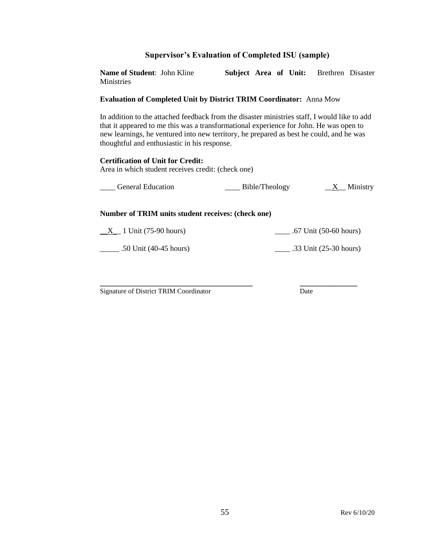#### **Supervisor's Evaluation of Completed ISU (sample)**

**Name of Student**: John Kline **Subject Area of Unit:** Brethren Disaster Ministries

#### **Evaluation of Completed Unit by District TRIM Coordinator:** Anna Mow

In addition to the attached feedback from the disaster ministries staff, I would like to add that it appeared to me this was a transformational experience for John. He was open to new learnings, he ventured into new territory, he prepared as best he could, and he was thoughtful and enthusiastic in his response.

#### **Certification of Unit for Credit:**

Area in which student receives credit: (check one)

| <b>General Education</b> | Bible/Theology | Ministry |
|--------------------------|----------------|----------|
|                          |                |          |

#### **Number of TRIM units student receives: (check one)**

 $\underline{X}$  1 Unit (75-90 hours)  $\underline{X}$  .67 Unit (50-60 hours)

\_\_\_\_\_ .50 Unit (40-45 hours) \_\_\_\_ .33 Unit (25-30 hours)

**\_\_\_\_\_\_\_\_\_\_\_\_\_\_\_\_\_\_\_\_\_\_\_\_\_\_\_\_\_\_\_\_\_\_\_\_\_\_\_\_ \_\_\_\_\_\_\_\_\_\_\_\_\_\_\_** Signature of District TRIM Coordinator Date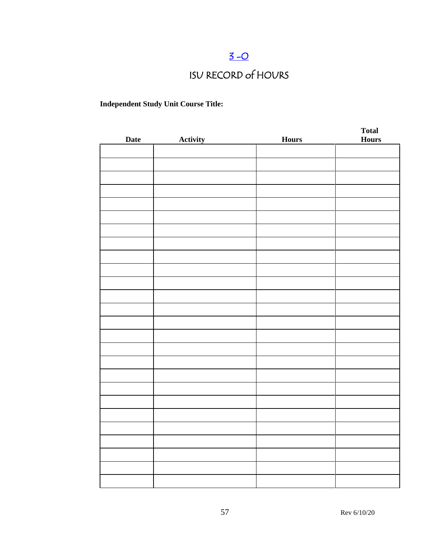# $3 - O$

# ISU RECORD of HOURS

### **Independent Study Unit Course Title:**

| <b>Date</b> | <b>Activity</b> | <b>Hours</b> | <b>Total</b><br><b>Hours</b> |
|-------------|-----------------|--------------|------------------------------|
|             |                 |              |                              |
|             |                 |              |                              |
|             |                 |              |                              |
|             |                 |              |                              |
|             |                 |              |                              |
|             |                 |              |                              |
|             |                 |              |                              |
|             |                 |              |                              |
|             |                 |              |                              |
|             |                 |              |                              |
|             |                 |              |                              |
|             |                 |              |                              |
|             |                 |              |                              |
|             |                 |              |                              |
|             |                 |              |                              |
|             |                 |              |                              |
|             |                 |              |                              |
|             |                 |              |                              |
|             |                 |              |                              |
|             |                 |              |                              |
|             |                 |              |                              |
|             |                 |              |                              |
|             |                 |              |                              |
|             |                 |              |                              |
|             |                 |              |                              |
|             |                 |              |                              |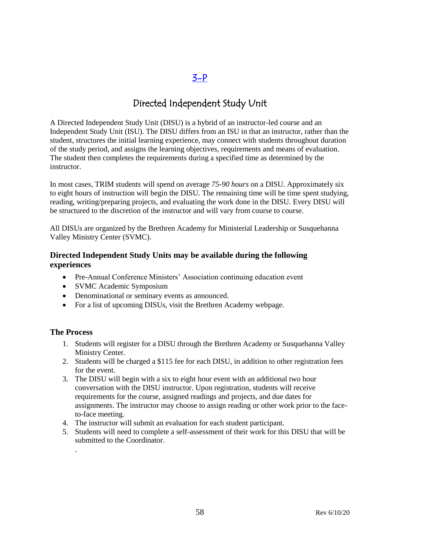### $3-P$

### Directed Independent Study Unit

A Directed Independent Study Unit (DISU) is a hybrid of an instructor-led course and an Independent Study Unit (ISU). The DISU differs from an ISU in that an instructor, rather than the student, structures the initial learning experience, may connect with students throughout duration of the study period, and assigns the learning objectives, requirements and means of evaluation. The student then completes the requirements during a specified time as determined by the instructor.

In most cases, TRIM students will spend on average *75-90 hours* on a DISU. Approximately six to eight hours of instruction will begin the DISU. The remaining time will be time spent studying, reading, writing/preparing projects, and evaluating the work done in the DISU. Every DISU will be structured to the discretion of the instructor and will vary from course to course.

All DISUs are organized by the Brethren Academy for Ministerial Leadership or Susquehanna Valley Ministry Center (SVMC).

#### **Directed Independent Study Units may be available during the following experiences**

- Pre-Annual Conference Ministers' Association continuing education event
- SVMC Academic Symposium
- Denominational or seminary events as announced.
- For a list of upcoming DISUs, visit the Brethren Academy webpage.

#### **The Process**

.

- 1. Students will register for a DISU through the Brethren Academy or Susquehanna Valley Ministry Center.
- 2. Students will be charged a \$115 fee for each DISU, in addition to other registration fees for the event.
- 3. The DISU will begin with a six to eight hour event with an additional two hour conversation with the DISU instructor. Upon registration, students will receive requirements for the course, assigned readings and projects, and due dates for assignments. The instructor may choose to assign reading or other work prior to the faceto-face meeting.
- 4. The instructor will submit an evaluation for each student participant.
- 5. Students will need to complete a self-assessment of their work for this DISU that will be submitted to the Coordinator.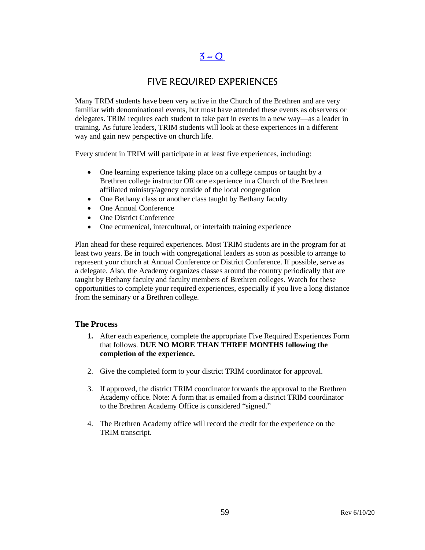### $3 - Q$

### FIVE REQUIRED EXPERIENCES

Many TRIM students have been very active in the Church of the Brethren and are very familiar with denominational events, but most have attended these events as observers or delegates. TRIM requires each student to take part in events in a new way—as a leader in training. As future leaders, TRIM students will look at these experiences in a different way and gain new perspective on church life.

Every student in TRIM will participate in at least five experiences, including:

- One learning experience taking place on a college campus or taught by a Brethren college instructor OR one experience in a Church of the Brethren affiliated ministry/agency outside of the local congregation
- One Bethany class or another class taught by Bethany faculty
- One Annual Conference
- One District Conference
- One ecumenical, intercultural, or interfaith training experience

Plan ahead for these required experiences. Most TRIM students are in the program for at least two years. Be in touch with congregational leaders as soon as possible to arrange to represent your church at Annual Conference or District Conference. If possible, serve as a delegate. Also, the Academy organizes classes around the country periodically that are taught by Bethany faculty and faculty members of Brethren colleges. Watch for these opportunities to complete your required experiences, especially if you live a long distance from the seminary or a Brethren college.

#### **The Process**

- **1.** After each experience, complete the appropriate Five Required Experiences Form that follows. **DUE NO MORE THAN THREE MONTHS following the completion of the experience.**
- 2. Give the completed form to your district TRIM coordinator for approval.
- 3. If approved, the district TRIM coordinator forwards the approval to the Brethren Academy office. Note: A form that is emailed from a district TRIM coordinator to the Brethren Academy Office is considered "signed."
- 4. The Brethren Academy office will record the credit for the experience on the TRIM transcript.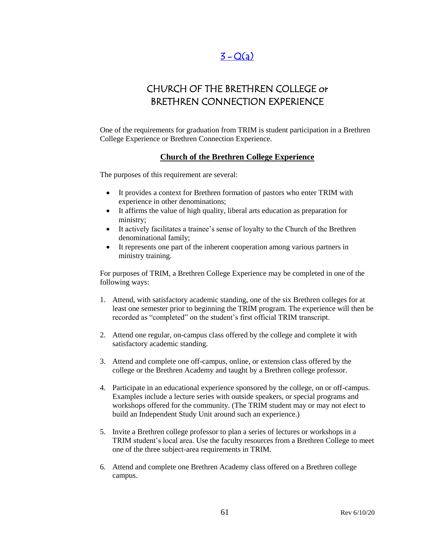### $3 - Q(a)$  $3 - Q(a)$

### CHURCH OF THE BRETHREN COLLEGE or BRETHREN CONNECTION EXPERIENCE

One of the requirements for graduation from TRIM is student participation in a Brethren College Experience or Brethren Connection Experience.

#### **Church of the Brethren College Experience**

The purposes of this requirement are several:

- It provides a context for Brethren formation of pastors who enter TRIM with experience in other denominations;
- It affirms the value of high quality, liberal arts education as preparation for ministry;
- It actively facilitates a trainee's sense of loyalty to the Church of the Brethren denominational family;
- It represents one part of the inherent cooperation among various partners in ministry training.

For purposes of TRIM, a Brethren College Experience may be completed in one of the following ways:

- 1. Attend, with satisfactory academic standing, one of the six Brethren colleges for at least one semester prior to beginning the TRIM program. The experience will then be recorded as "completed" on the student's first official TRIM transcript.
- 2. Attend one regular, on-campus class offered by the college and complete it with satisfactory academic standing.
- 3. Attend and complete one off-campus, online, or extension class offered by the college or the Brethren Academy and taught by a Brethren college professor.
- 4. Participate in an educational experience sponsored by the college, on or off-campus. Examples include a lecture series with outside speakers, or special programs and workshops offered for the community. (The TRIM student may or may not elect to build an Independent Study Unit around such an experience.)
- 5. Invite a Brethren college professor to plan a series of lectures or workshops in a TRIM student's local area. Use the faculty resources from a Brethren College to meet one of the three subject-area requirements in TRIM.
- 6. Attend and complete one Brethren Academy class offered on a Brethren college campus.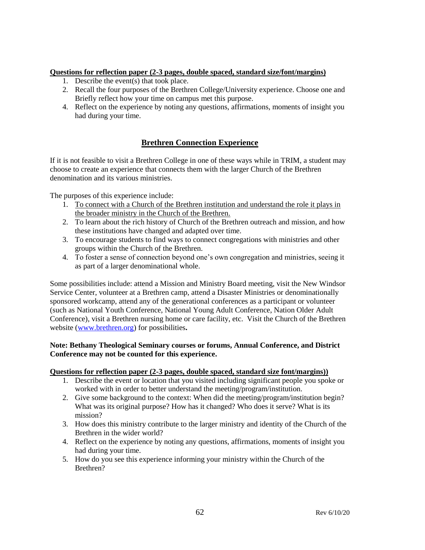#### **Questions for reflection paper (2-3 pages, double spaced, standard size/font/margins)**

- 1. Describe the event(s) that took place.
- 2. Recall the four purposes of the Brethren College/University experience. Choose one and Briefly reflect how your time on campus met this purpose.
- 4. Reflect on the experience by noting any questions, affirmations, moments of insight you had during your time.

### **Brethren Connection Experience**

If it is not feasible to visit a Brethren College in one of these ways while in TRIM, a student may choose to create an experience that connects them with the larger Church of the Brethren denomination and its various ministries.

The purposes of this experience include:

- 1. To connect with a Church of the Brethren institution and understand the role it plays in the broader ministry in the Church of the Brethren.
- 2. To learn about the rich history of Church of the Brethren outreach and mission, and how these institutions have changed and adapted over time.
- 3. To encourage students to find ways to connect congregations with ministries and other groups within the Church of the Brethren.
- 4. To foster a sense of connection beyond one's own congregation and ministries, seeing it as part of a larger denominational whole.

Some possibilities include: attend a Mission and Ministry Board meeting, visit the New Windsor Service Center, volunteer at a Brethren camp, attend a Disaster Ministries or denominationally sponsored workcamp, attend any of the generational conferences as a participant or volunteer (such as National Youth Conference, National Young Adult Conference, Nation Older Adult Conference), visit a Brethren nursing home or care facility, etc. Visit the Church of the Brethren website [\(www.brethren.org\)](http://www.brethren.org/) for possibilities**.** 

#### **Note: Bethany Theological Seminary courses or forums, Annual Conference, and District Conference may not be counted for this experience.**

#### **Questions for reflection paper (2-3 pages, double spaced, standard size font/margins))**

- 1. Describe the event or location that you visited including significant people you spoke or worked with in order to better understand the meeting/program/institution.
- 2. Give some background to the context: When did the meeting/program/institution begin? What was its original purpose? How has it changed? Who does it serve? What is its mission?
- 3. How does this ministry contribute to the larger ministry and identity of the Church of the Brethren in the wider world?
- 4. Reflect on the experience by noting any questions, affirmations, moments of insight you had during your time.
- 5. How do you see this experience informing your ministry within the Church of the Brethren?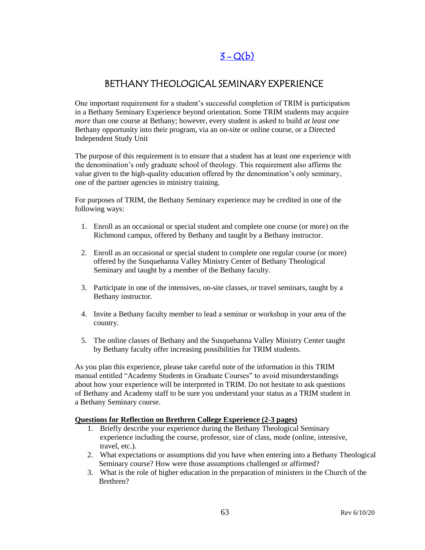# $3 - Q(b)$

### BETHANY THEOLOGICAL SEMINARY EXPERIENCE

One important requirement for a student's successful completion of TRIM is participation in a Bethany Seminary Experience beyond orientation. Some TRIM students may acquire *more* than one course at Bethany; however, every student is asked to build *at least one* Bethany opportunity into their program, via an on-site or online course, or a Directed Independent Study Unit

The purpose of this requirement is to ensure that a student has at least one experience with the denomination's only graduate school of theology. This requirement also affirms the value given to the high-quality education offered by the denomination's only seminary, one of the partner agencies in ministry training.

For purposes of TRIM, the Bethany Seminary experience may be credited in one of the following ways:

- 1. Enroll as an occasional or special student and complete one course (or more) on the Richmond campus, offered by Bethany and taught by a Bethany instructor.
- 2. Enroll as an occasional or special student to complete one regular course (or more) offered by the Susquehanna Valley Ministry Center of Bethany Theological Seminary and taught by a member of the Bethany faculty.
- 3. Participate in one of the intensives, on-site classes, or travel seminars, taught by a Bethany instructor.
- 4. Invite a Bethany faculty member to lead a seminar or workshop in your area of the country.
- 5. The online classes of Bethany and the Susquehanna Valley Ministry Center taught by Bethany faculty offer increasing possibilities for TRIM students.

As you plan this experience, please take careful note of the information in this TRIM manual entitled "Academy Students in Graduate Courses" to avoid misunderstandings about how your experience will be interpreted in TRIM. Do not hesitate to ask questions of Bethany and Academy staff to be sure you understand your status as a TRIM student in a Bethany Seminary course.

#### **Questions for Reflection on Brethren College Experience (2-3 pages)**

- 1. Briefly describe your experience during the Bethany Theological Seminary experience including the course, professor, size of class, mode (online, intensive, travel, etc.).
- 2. What expectations or assumptions did you have when entering into a Bethany Theological Seminary course? How were those assumptions challenged or affirmed?
- 3. What is the role of higher education in the preparation of ministers in the Church of the Brethren?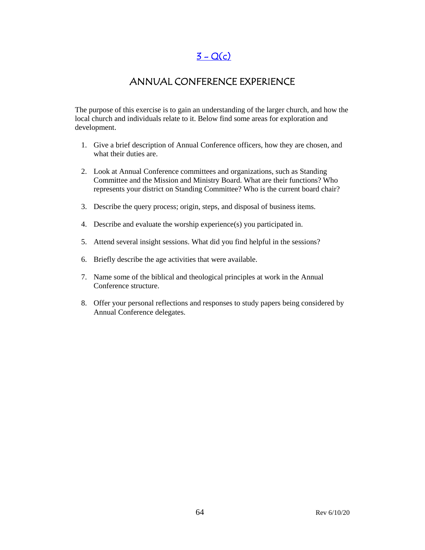$3 - Q(c)$ 

### ANNUAL CONFERENCE EXPERIENCE

The purpose of this exercise is to gain an understanding of the larger church, and how the local church and individuals relate to it. Below find some areas for exploration and development.

- 1. Give a brief description of Annual Conference officers, how they are chosen, and what their duties are.
- 2. Look at Annual Conference committees and organizations, such as Standing Committee and the Mission and Ministry Board. What are their functions? Who represents your district on Standing Committee? Who is the current board chair?
- 3. Describe the query process; origin, steps, and disposal of business items.
- 4. Describe and evaluate the worship experience(s) you participated in.
- 5. Attend several insight sessions. What did you find helpful in the sessions?
- 6. Briefly describe the age activities that were available.
- 7. Name some of the biblical and theological principles at work in the Annual Conference structure.
- 8. Offer your personal reflections and responses to study papers being considered by Annual Conference delegates.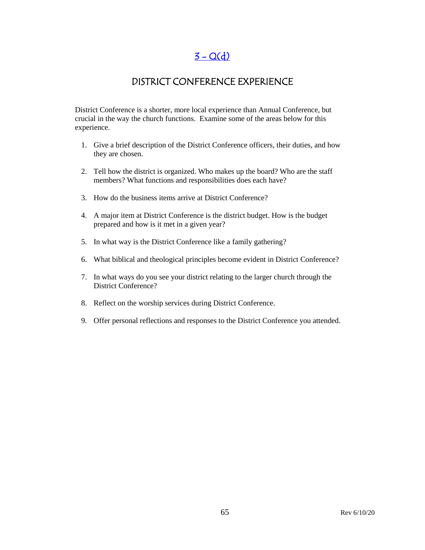### $3 - Q(d)$

### DISTRICT CONFERENCE EXPERIENCE

District Conference is a shorter, more local experience than Annual Conference, but crucial in the way the church functions. Examine some of the areas below for this experience.

- 1. Give a brief description of the District Conference officers, their duties, and how they are chosen.
- 2. Tell how the district is organized. Who makes up the board? Who are the staff members? What functions and responsibilities does each have?
- 3. How do the business items arrive at District Conference?
- 4. A major item at District Conference is the district budget. How is the budget prepared and how is it met in a given year?
- 5. In what way is the District Conference like a family gathering?
- 6. What biblical and theological principles become evident in District Conference?
- 7. In what ways do you see your district relating to the larger church through the District Conference?
- 8. Reflect on the worship services during District Conference.
- 9. Offer personal reflections and responses to the District Conference you attended.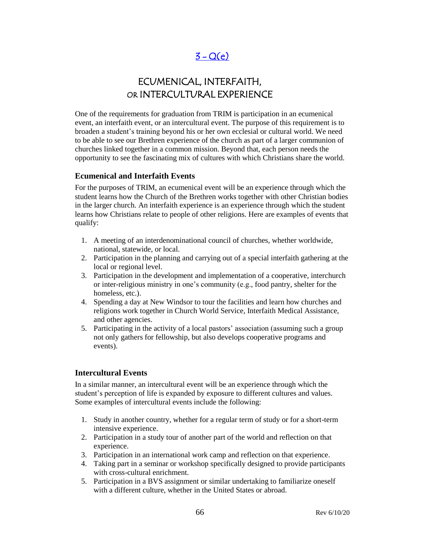# $3 - Q(e)$

# ECUMENICAL, INTERFAITH, OR INTERCULTURAL EXPERIENCE

One of the requirements for graduation from TRIM is participation in an ecumenical event, an interfaith event, or an intercultural event. The purpose of this requirement is to broaden a student's training beyond his or her own ecclesial or cultural world. We need to be able to see our Brethren experience of the church as part of a larger communion of churches linked together in a common mission. Beyond that, each person needs the opportunity to see the fascinating mix of cultures with which Christians share the world.

#### **Ecumenical and Interfaith Events**

For the purposes of TRIM, an ecumenical event will be an experience through which the student learns how the Church of the Brethren works together with other Christian bodies in the larger church. An interfaith experience is an experience through which the student learns how Christians relate to people of other religions. Here are examples of events that qualify:

- 1. A meeting of an interdenominational council of churches, whether worldwide, national, statewide, or local.
- 2. Participation in the planning and carrying out of a special interfaith gathering at the local or regional level.
- 3. Participation in the development and implementation of a cooperative, interchurch or inter-religious ministry in one's community (e.g., food pantry, shelter for the homeless, etc.).
- 4. Spending a day at New Windsor to tour the facilities and learn how churches and religions work together in Church World Service, Interfaith Medical Assistance, and other agencies.
- 5. Participating in the activity of a local pastors' association (assuming such a group not only gathers for fellowship, but also develops cooperative programs and events).

#### **Intercultural Events**

In a similar manner, an intercultural event will be an experience through which the student's perception of life is expanded by exposure to different cultures and values. Some examples of intercultural events include the following:

- 1. Study in another country, whether for a regular term of study or for a short-term intensive experience.
- 2. Participation in a study tour of another part of the world and reflection on that experience.
- 3. Participation in an international work camp and reflection on that experience.
- 4. Taking part in a seminar or workshop specifically designed to provide participants with cross-cultural enrichment.
- 5. Participation in a BVS assignment or similar undertaking to familiarize oneself with a different culture, whether in the United States or abroad.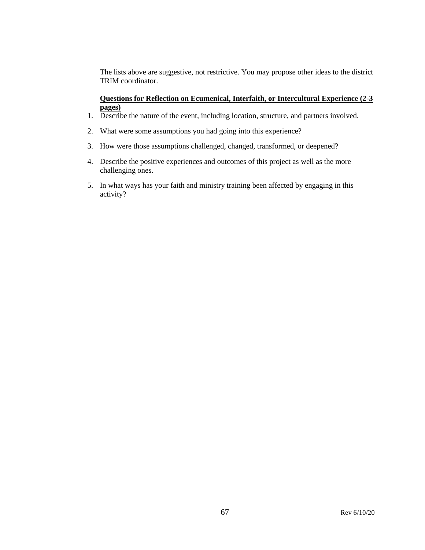The lists above are suggestive, not restrictive. You may propose other ideas to the district TRIM coordinator.

#### **Questions for Reflection on Ecumenical, Interfaith, or Intercultural Experience (2-3 pages)**

- 1. Describe the nature of the event, including location, structure, and partners involved.
- 2. What were some assumptions you had going into this experience?
- 3. How were those assumptions challenged, changed, transformed, or deepened?
- 4. Describe the positive experiences and outcomes of this project as well as the more challenging ones.
- 5. In what ways has your faith and ministry training been affected by engaging in this activity?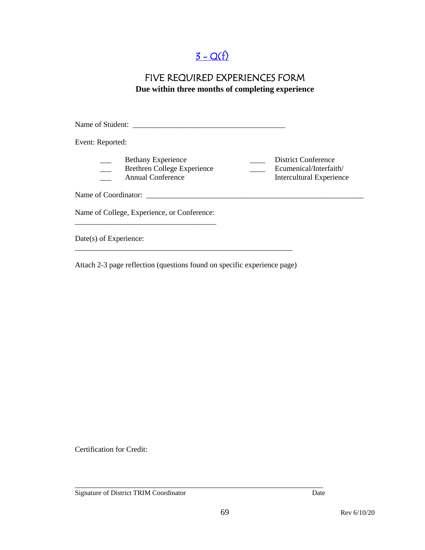# $3 - Q(f)$

### FIVE REQUIRED EXPERIENCES FORM **Due within three months of completing experience**

Name of Student: \_\_\_\_\_\_\_\_\_\_\_\_\_\_\_\_\_\_\_\_\_\_\_\_\_\_\_\_\_\_\_\_\_\_\_\_\_\_\_\_ Event: Reported: Bethany Experience <br>Brethren College Experience <br>Ecumenical/Interfaith/ \_\_\_ Brethren College Experience \_\_\_\_ Ecumenical/Interfaith/ \_\_\_ Annual Conference Intercultural Experience Name of Coordinator: \_\_\_\_\_\_\_\_\_\_\_\_\_\_\_\_\_\_\_\_\_\_\_\_\_\_\_\_\_\_\_\_\_\_\_\_\_\_\_\_\_\_\_\_\_\_\_\_\_\_\_\_\_\_\_\_\_ Name of College, Experience, or Conference: \_\_\_\_\_\_\_\_\_\_\_\_\_\_\_\_\_\_\_\_\_\_\_\_\_\_\_\_\_\_\_\_\_\_\_\_\_ Date(s) of Experience: \_\_\_\_\_\_\_\_\_\_\_\_\_\_\_\_\_\_\_\_\_\_\_\_\_\_\_\_\_\_\_\_\_\_\_\_\_\_\_\_\_\_\_\_\_\_\_\_\_\_\_\_\_\_\_\_\_

Attach 2-3 page reflection (questions found on specific experience page)

Certification for Credit:

Signature of District TRIM Coordinator Date

\_\_\_\_\_\_\_\_\_\_\_\_\_\_\_\_\_\_\_\_\_\_\_\_\_\_\_\_\_\_\_\_\_\_\_\_\_\_\_\_\_\_\_\_\_\_\_\_\_\_\_\_\_\_\_\_\_\_\_\_\_\_\_\_\_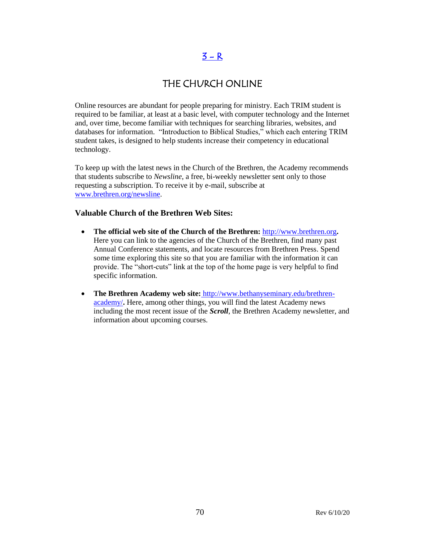### $3 - R$

### THE CHURCH ONLINE

Online resources are abundant for people preparing for ministry. Each TRIM student is required to be familiar, at least at a basic level, with computer technology and the Internet and, over time, become familiar with techniques for searching libraries, websites, and databases for information. "Introduction to Biblical Studies," which each entering TRIM student takes, is designed to help students increase their competency in educational technology.

To keep up with the latest news in the Church of the Brethren, the Academy recommends that students subscribe to *Newsline*, a free, bi-weekly newsletter sent only to those requesting a subscription. To receive it by e-mail, subscribe at [www.brethren.org/newsline.](http://www.brethren.org/newsline)

#### **Valuable Church of the Brethren Web Sites:**

- **The official web site of the Church of the Brethren:** [http://www.brethren.org](http://www.brethren.org/)**.** Here you can link to the agencies of the Church of the Brethren, find many past Annual Conference statements, and locate resources from Brethren Press. Spend some time exploring this site so that you are familiar with the information it can provide. The "short-cuts" link at the top of the home page is very helpful to find specific information.
- **The Brethren Academy web site:** [http://www.bethanyseminary.edu/brethren](http://www.bethanyseminary.edu/brethren-academy/)[academy/](http://www.bethanyseminary.edu/brethren-academy/)**.** Here, among other things, you will find the latest Academy news including the most recent issue of the *Scroll*, the Brethren Academy newsletter, and information about upcoming courses.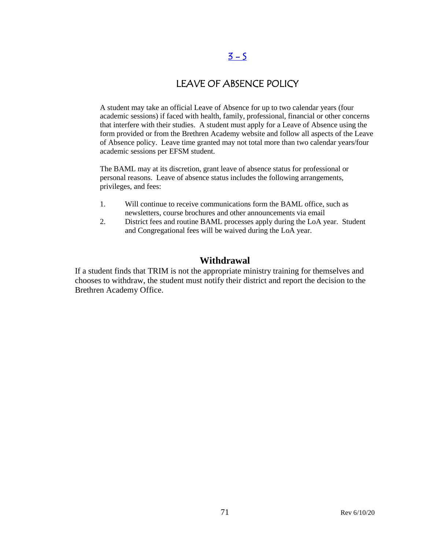### $3 - 5$

### LEAVE OF ABSENCE POLICY

A student may take an official Leave of Absence for up to two calendar years (four academic sessions) if faced with health, family, professional, financial or other concerns that interfere with their studies. A student must apply for a Leave of Absence using the form provided or from the Brethren Academy website and follow all aspects of the Leave of Absence policy. Leave time granted may not total more than two calendar years/four academic sessions per EFSM student.

The BAML may at its discretion, grant leave of absence status for professional or personal reasons. Leave of absence status includes the following arrangements, privileges, and fees:

- 1. Will continue to receive communications form the BAML office, such as newsletters, course brochures and other announcements via email
- 2. District fees and routine BAML processes apply during the LoA year. Student and Congregational fees will be waived during the LoA year.

### **Withdrawal**

If a student finds that TRIM is not the appropriate ministry training for themselves and chooses to withdraw, the student must notify their district and report the decision to the Brethren Academy Office.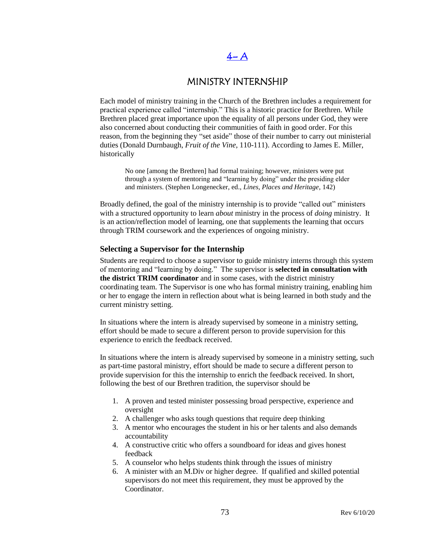# $4- A$

### MINISTRY INTERNSHIP

Each model of ministry training in the Church of the Brethren includes a requirement for practical experience called "internship." This is a historic practice for Brethren. While Brethren placed great importance upon the equality of all persons under God, they were also concerned about conducting their communities of faith in good order. For this reason, from the beginning they "set aside" those of their number to carry out ministerial duties (Donald Durnbaugh, *Fruit of the Vine*, 110-111). According to James E. Miller, historically

No one [among the Brethren] had formal training; however, ministers were put through a system of mentoring and "learning by doing" under the presiding elder and ministers. (Stephen Longenecker, ed., *Lines, Places and Heritage*, 142)

Broadly defined, the goal of the ministry internship is to provide "called out" ministers with a structured opportunity to learn *about* ministry in the process of *doing* ministry. It is an action/reflection model of learning, one that supplements the learning that occurs through TRIM coursework and the experiences of ongoing ministry.

#### **Selecting a Supervisor for the Internship**

Students are required to choose a supervisor to guide ministry interns through this system of mentoring and "learning by doing." The supervisor is **selected in consultation with the district TRIM coordinator** and in some cases, with the district ministry coordinating team. The Supervisor is one who has formal ministry training, enabling him or her to engage the intern in reflection about what is being learned in both study and the current ministry setting.

In situations where the intern is already supervised by someone in a ministry setting, effort should be made to secure a different person to provide supervision for this experience to enrich the feedback received.

In situations where the intern is already supervised by someone in a ministry setting, such as part-time pastoral ministry, effort should be made to secure a different person to provide supervision for this the internship to enrich the feedback received. In short, following the best of our Brethren tradition, the supervisor should be

- 1. A proven and tested minister possessing broad perspective, experience and oversight
- 2. A challenger who asks tough questions that require deep thinking
- 3. A mentor who encourages the student in his or her talents and also demands accountability
- 4. A constructive critic who offers a soundboard for ideas and gives honest feedback
- 5. A counselor who helps students think through the issues of ministry
- 6. A minister with an M.Div or higher degree. If qualified and skilled potential supervisors do not meet this requirement, they must be approved by the Coordinator.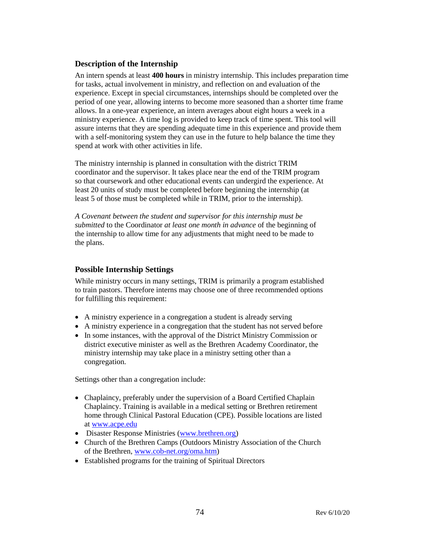#### **Description of the Internship**

An intern spends at least **400 hours** in ministry internship. This includes preparation time for tasks, actual involvement in ministry, and reflection on and evaluation of the experience. Except in special circumstances, internships should be completed over the period of one year, allowing interns to become more seasoned than a shorter time frame allows. In a one-year experience, an intern averages about eight hours a week in a ministry experience. A time log is provided to keep track of time spent. This tool will assure interns that they are spending adequate time in this experience and provide them with a self-monitoring system they can use in the future to help balance the time they spend at work with other activities in life.

The ministry internship is planned in consultation with the district TRIM coordinator and the supervisor. It takes place near the end of the TRIM program so that coursework and other educational events can undergird the experience. At least 20 units of study must be completed before beginning the internship (at least 5 of those must be completed while in TRIM, prior to the internship).

*A Covenant between the student and supervisor for this internship must be submitted* to the Coordinator *at least one month in advance* of the beginning of the internship to allow time for any adjustments that might need to be made to the plans.

#### **Possible Internship Settings**

While ministry occurs in many settings, TRIM is primarily a program established to train pastors. Therefore interns may choose one of three recommended options for fulfilling this requirement:

- A ministry experience in a congregation a student is already serving
- A ministry experience in a congregation that the student has not served before
- In some instances, with the approval of the District Ministry Commission or district executive minister as well as the Brethren Academy Coordinator, the ministry internship may take place in a ministry setting other than a congregation.

Settings other than a congregation include:

- Chaplaincy, preferably under the supervision of a Board Certified Chaplain Chaplaincy. Training is available in a medical setting or Brethren retirement home through Clinical Pastoral Education (CPE). Possible locations are listed at [www.acpe.edu](http://www.acpe.edu/)
- Disaster Response Ministries [\(www.brethren.org\)](http://www.brethren.org/)
- Church of the Brethren Camps (Outdoors Ministry Association of the Church of the Brethren, [www.cob-net.org/oma.htm\)](http://www.cob-net.org/oma.htm)
- Established programs for the training of Spiritual Directors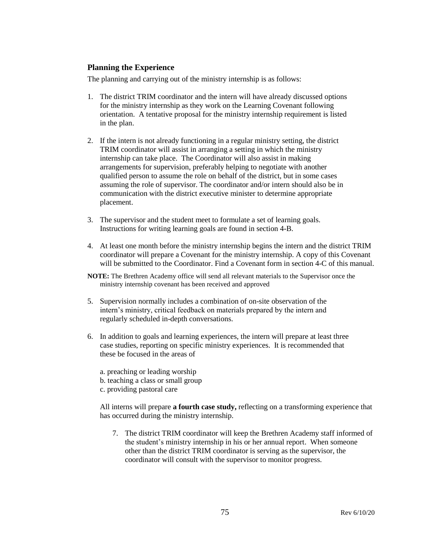#### **Planning the Experience**

The planning and carrying out of the ministry internship is as follows:

- 1. The district TRIM coordinator and the intern will have already discussed options for the ministry internship as they work on the Learning Covenant following orientation. A tentative proposal for the ministry internship requirement is listed in the plan.
- 2. If the intern is not already functioning in a regular ministry setting, the district TRIM coordinator will assist in arranging a setting in which the ministry internship can take place. The Coordinator will also assist in making arrangements for supervision, preferably helping to negotiate with another qualified person to assume the role on behalf of the district, but in some cases assuming the role of supervisor. The coordinator and/or intern should also be in communication with the district executive minister to determine appropriate placement.
- 3. The supervisor and the student meet to formulate a set of learning goals. Instructions for writing learning goals are found in section 4-B.
- 4. At least one month before the ministry internship begins the intern and the district TRIM coordinator will prepare a Covenant for the ministry internship. A copy of this Covenant will be submitted to the Coordinator. Find a Covenant form in section 4-C of this manual.
- **NOTE:** The Brethren Academy office will send all relevant materials to the Supervisor once the ministry internship covenant has been received and approved
- 5. Supervision normally includes a combination of on-site observation of the intern's ministry, critical feedback on materials prepared by the intern and regularly scheduled in-depth conversations.
- 6. In addition to goals and learning experiences, the intern will prepare at least three case studies, reporting on specific ministry experiences. It is recommended that these be focused in the areas of
	- a. preaching or leading worship
	- b. teaching a class or small group
	- c. providing pastoral care

All interns will prepare **a fourth case study,** reflecting on a transforming experience that has occurred during the ministry internship.

7. The district TRIM coordinator will keep the Brethren Academy staff informed of the student's ministry internship in his or her annual report. When someone other than the district TRIM coordinator is serving as the supervisor, the coordinator will consult with the supervisor to monitor progress.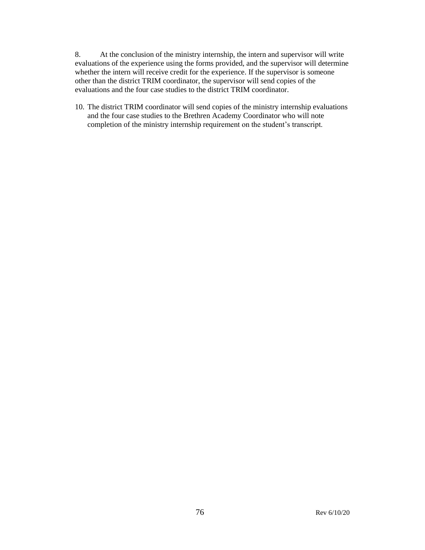8. At the conclusion of the ministry internship, the intern and supervisor will write evaluations of the experience using the forms provided, and the supervisor will determine whether the intern will receive credit for the experience. If the supervisor is someone other than the district TRIM coordinator, the supervisor will send copies of the evaluations and the four case studies to the district TRIM coordinator.

10. The district TRIM coordinator will send copies of the ministry internship evaluations and the four case studies to the Brethren Academy Coordinator who will note completion of the ministry internship requirement on the student's transcript.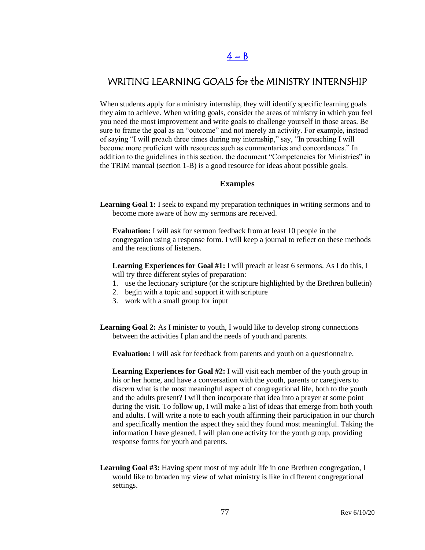## $4 - B$

### WRITING LEARNING GOALS for the MINISTRY INTERNSHIP

When students apply for a ministry internship, they will identify specific learning goals they aim to achieve. When writing goals, consider the areas of ministry in which you feel you need the most improvement and write goals to challenge yourself in those areas. Be sure to frame the goal as an "outcome" and not merely an activity. For example, instead of saying "I will preach three times during my internship," say, "In preaching I will become more proficient with resources such as commentaries and concordances." In addition to the guidelines in this section, the document "Competencies for Ministries" in the TRIM manual (section 1-B) is a good resource for ideas about possible goals.

#### **Examples**

**Learning Goal 1:** I seek to expand my preparation techniques in writing sermons and to become more aware of how my sermons are received.

**Evaluation:** I will ask for sermon feedback from at least 10 people in the congregation using a response form. I will keep a journal to reflect on these methods and the reactions of listeners.

**Learning Experiences for Goal #1:** I will preach at least 6 sermons. As I do this, I will try three different styles of preparation:

- 1. use the lectionary scripture (or the scripture highlighted by the Brethren bulletin)
- 2. begin with a topic and support it with scripture
- 3. work with a small group for input
- Learning Goal 2: As I minister to youth, I would like to develop strong connections between the activities I plan and the needs of youth and parents.

**Evaluation:** I will ask for feedback from parents and youth on a questionnaire.

**Learning Experiences for Goal #2:** I will visit each member of the youth group in his or her home, and have a conversation with the youth, parents or caregivers to discern what is the most meaningful aspect of congregational life, both to the youth and the adults present? I will then incorporate that idea into a prayer at some point during the visit. To follow up, I will make a list of ideas that emerge from both youth and adults. I will write a note to each youth affirming their participation in our church and specifically mention the aspect they said they found most meaningful. Taking the information I have gleaned, I will plan one activity for the youth group, providing response forms for youth and parents.

**Learning Goal #3:** Having spent most of my adult life in one Brethren congregation, I would like to broaden my view of what ministry is like in different congregational settings.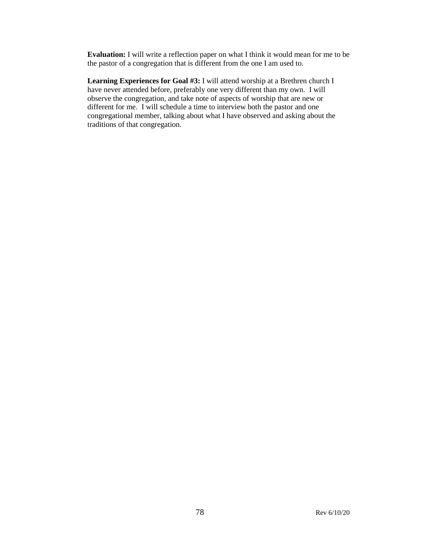**Evaluation:** I will write a reflection paper on what I think it would mean for me to be the pastor of a congregation that is different from the one I am used to.

**Learning Experiences for Goal #3:** I will attend worship at a Brethren church I have never attended before, preferably one very different than my own. I will observe the congregation, and take note of aspects of worship that are new or different for me. I will schedule a time to interview both the pastor and one congregational member, talking about what I have observed and asking about the traditions of that congregation.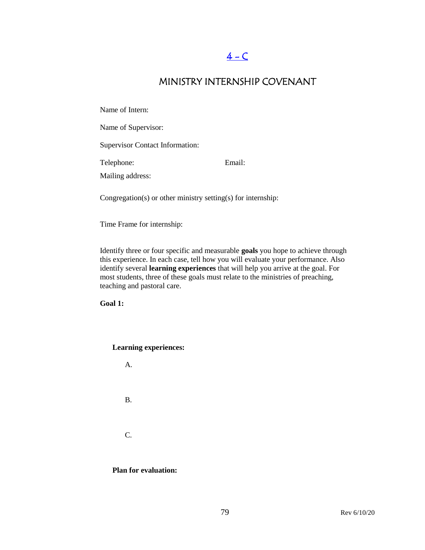# $4 - C$

### MINISTRY INTERNSHIP COVENANT

Name of Intern:

Name of Supervisor:

Supervisor Contact Information:

Telephone: Email:

Mailing address:

Congregation(s) or other ministry setting(s) for internship:

Time Frame for internship:

Identify three or four specific and measurable **goals** you hope to achieve through this experience. In each case, tell how you will evaluate your performance. Also identify several **learning experiences** that will help you arrive at the goal. For most students, three of these goals must relate to the ministries of preaching, teaching and pastoral care.

**Goal 1:**

**Learning experiences:** 

A.

B.

C.

**Plan for evaluation:**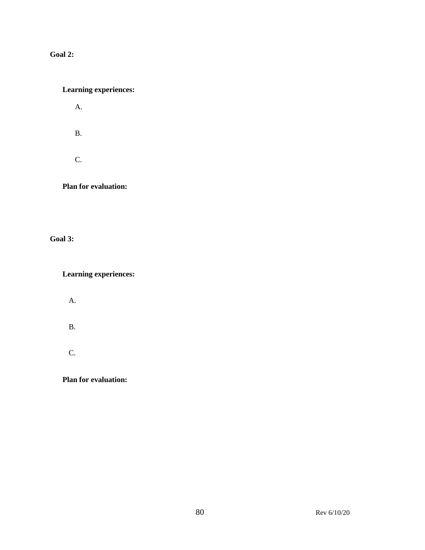**Goal 2:**

### **Learning experiences:**

A.

B.

C.

**Plan for evaluation:**

**Goal 3:**

**Learning experiences:**

A.

B.

C.

**Plan for evaluation:**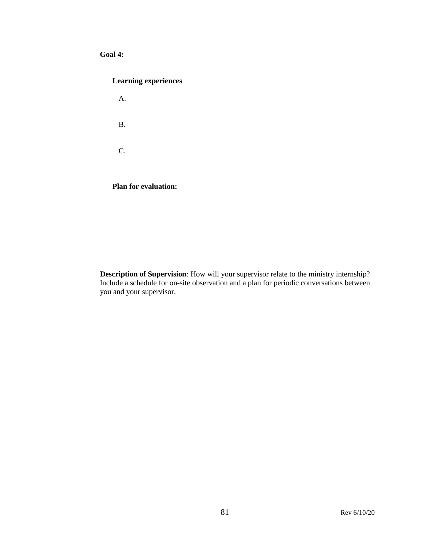#### **Goal 4:**

#### **Learning experiences**

A. B. C.

**Plan for evaluation:** 

**Description of Supervision**: How will your supervisor relate to the ministry internship? Include a schedule for on-site observation and a plan for periodic conversations between you and your supervisor.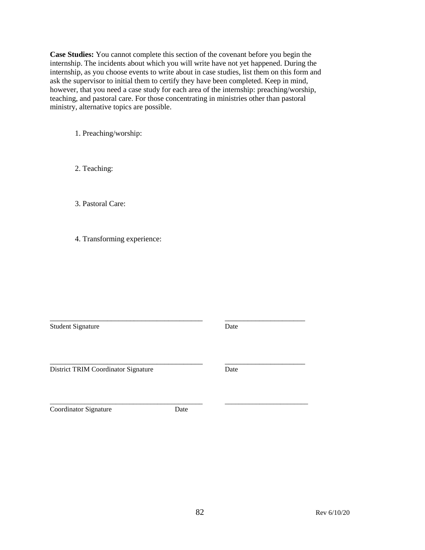**Case Studies:** You cannot complete this section of the covenant before you begin the internship. The incidents about which you will write have not yet happened. During the internship, as you choose events to write about in case studies, list them on this form and ask the supervisor to initial them to certify they have been completed. Keep in mind, however, that you need a case study for each area of the internship: preaching/worship, teaching, and pastoral care. For those concentrating in ministries other than pastoral ministry, alternative topics are possible.

1. Preaching/worship:

2. Teaching:

3. Pastoral Care:

4. Transforming experience:

Student Signature Date

District TRIM Coordinator Signature Date

\_\_\_\_\_\_\_\_\_\_\_\_\_\_\_\_\_\_\_\_\_\_\_\_\_\_\_\_\_\_\_\_\_\_\_\_\_\_\_\_\_\_\_\_ \_\_\_\_\_\_\_\_\_\_\_\_\_\_\_\_\_\_\_\_\_\_\_\_ Coordinator Signature Date

\_\_\_\_\_\_\_\_\_\_\_\_\_\_\_\_\_\_\_\_\_\_\_\_\_\_\_\_\_\_\_\_\_\_\_\_\_\_\_\_ \_\_\_\_\_\_\_\_\_\_\_\_\_\_\_\_\_\_\_\_\_

\_\_\_\_\_\_\_\_\_\_\_\_\_\_\_\_\_\_\_\_\_\_\_\_\_\_\_\_\_\_\_\_\_\_\_\_\_\_\_\_ \_\_\_\_\_\_\_\_\_\_\_\_\_\_\_\_\_\_\_\_\_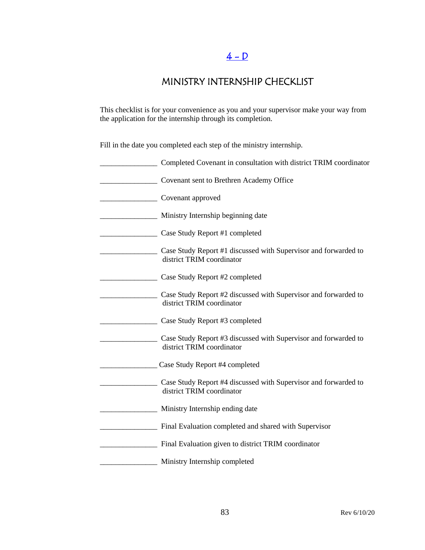# $4 - D$

## MINISTRY INTERNSHIP CHECKLIST

This checklist is for your convenience as you and your supervisor make your way from the application for the internship through its completion.

Fill in the date you completed each step of the ministry internship.

| Completed Covenant in consultation with district TRIM coordinator                            |
|----------------------------------------------------------------------------------------------|
| Covenant sent to Brethren Academy Office                                                     |
| Covenant approved                                                                            |
| Ministry Internship beginning date                                                           |
| Case Study Report #1 completed                                                               |
| Case Study Report #1 discussed with Supervisor and forwarded to<br>district TRIM coordinator |
| Case Study Report #2 completed                                                               |
| Case Study Report #2 discussed with Supervisor and forwarded to<br>district TRIM coordinator |
| Case Study Report #3 completed                                                               |
| Case Study Report #3 discussed with Supervisor and forwarded to<br>district TRIM coordinator |
| Case Study Report #4 completed                                                               |
| Case Study Report #4 discussed with Supervisor and forwarded to<br>district TRIM coordinator |
| Ministry Internship ending date                                                              |
| Final Evaluation completed and shared with Supervisor                                        |
| Final Evaluation given to district TRIM coordinator                                          |
| Ministry Internship completed                                                                |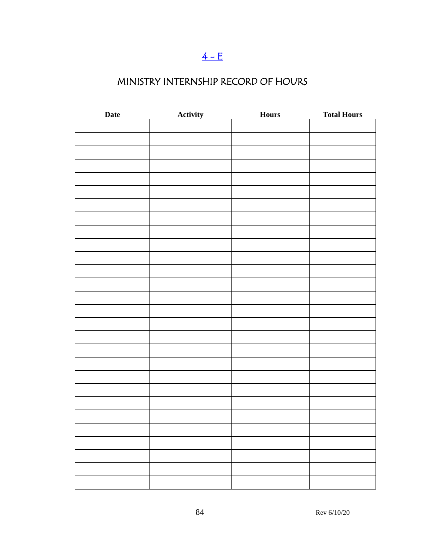# $4 - E$

# MINISTRY INTERNSHIP RECORD OF HOURS

| Date | <b>Activity</b> | <b>Hours</b> | <b>Total Hours</b> |
|------|-----------------|--------------|--------------------|
|      |                 |              |                    |
|      |                 |              |                    |
|      |                 |              |                    |
|      |                 |              |                    |
|      |                 |              |                    |
|      |                 |              |                    |
|      |                 |              |                    |
|      |                 |              |                    |
|      |                 |              |                    |
|      |                 |              |                    |
|      |                 |              |                    |
|      |                 |              |                    |
|      |                 |              |                    |
|      |                 |              |                    |
|      |                 |              |                    |
|      |                 |              |                    |
|      |                 |              |                    |
|      |                 |              |                    |
|      |                 |              |                    |
|      |                 |              |                    |
|      |                 |              |                    |
|      |                 |              |                    |
|      |                 |              |                    |
|      |                 |              |                    |
|      |                 |              |                    |
|      |                 |              |                    |
|      |                 |              |                    |
|      |                 |              |                    |
|      |                 |              |                    |
|      |                 |              |                    |
|      |                 |              |                    |
|      |                 |              |                    |
|      |                 |              |                    |
|      |                 |              |                    |
|      |                 |              |                    |
|      |                 |              |                    |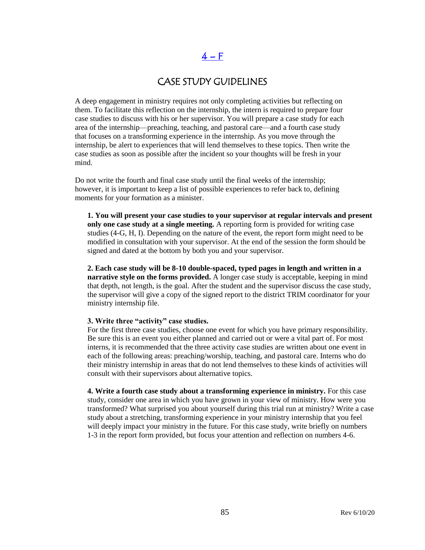# $4-F$

### CASE STUDY GUIDELINES

A deep engagement in ministry requires not only completing activities but reflecting on them. To facilitate this reflection on the internship, the intern is required to prepare four case studies to discuss with his or her supervisor. You will prepare a case study for each area of the internship—preaching, teaching, and pastoral care—and a fourth case study that focuses on a transforming experience in the internship. As you move through the internship, be alert to experiences that will lend themselves to these topics. Then write the case studies as soon as possible after the incident so your thoughts will be fresh in your mind.

Do not write the fourth and final case study until the final weeks of the internship; however, it is important to keep a list of possible experiences to refer back to, defining moments for your formation as a minister.

**1. You will present your case studies to your supervisor at regular intervals and present only one case study at a single meeting.** A reporting form is provided for writing case studies (4-G, H, I). Depending on the nature of the event, the report form might need to be modified in consultation with your supervisor. At the end of the session the form should be signed and dated at the bottom by both you and your supervisor.

**2. Each case study will be 8-10 double-spaced, typed pages in length and written in a narrative style on the forms provided.** A longer case study is acceptable, keeping in mind that depth, not length, is the goal. After the student and the supervisor discuss the case study, the supervisor will give a copy of the signed report to the district TRIM coordinator for your ministry internship file.

#### **3. Write three "activity" case studies.**

For the first three case studies, choose one event for which you have primary responsibility. Be sure this is an event you either planned and carried out or were a vital part of. For most interns, it is recommended that the three activity case studies are written about one event in each of the following areas: preaching/worship, teaching, and pastoral care. Interns who do their ministry internship in areas that do not lend themselves to these kinds of activities will consult with their supervisors about alternative topics.

**4. Write a fourth case study about a transforming experience in ministry.** For this case study, consider one area in which you have grown in your view of ministry. How were you transformed? What surprised you about yourself during this trial run at ministry? Write a case study about a stretching, transforming experience in your ministry internship that you feel will deeply impact your ministry in the future. For this case study, write briefly on numbers 1-3 in the report form provided, but focus your attention and reflection on numbers 4-6.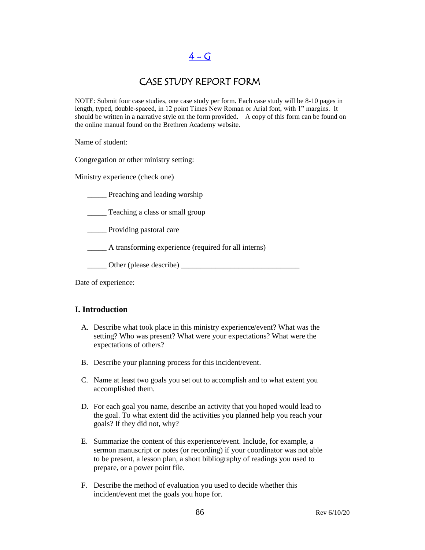$4 - G$ 

### CASE STUDY REPORT FORM

NOTE: Submit four case studies, one case study per form. Each case study will be 8-10 pages in length, typed, double-spaced, in 12 point Times New Roman or Arial font, with 1" margins. It should be written in a narrative style on the form provided. A copy of this form can be found on the online manual found on the Brethren Academy website.

Name of student:

Congregation or other ministry setting:

Ministry experience (check one)

**EXECUTE:** Preaching and leading worship

\_\_\_\_\_ Teaching a class or small group

\_\_\_\_\_ Providing pastoral care

\_\_\_\_\_ A transforming experience (required for all interns)

\_\_\_\_\_ Other (please describe) \_\_\_\_\_\_\_\_\_\_\_\_\_\_\_\_\_\_\_\_\_\_\_\_\_\_\_\_\_\_\_

Date of experience:

#### **I. Introduction**

- A. Describe what took place in this ministry experience/event? What was the setting? Who was present? What were your expectations? What were the expectations of others?
- B. Describe your planning process for this incident/event.
- C. Name at least two goals you set out to accomplish and to what extent you accomplished them.
- D. For each goal you name, describe an activity that you hoped would lead to the goal. To what extent did the activities you planned help you reach your goals? If they did not, why?
- E. Summarize the content of this experience/event. Include, for example, a sermon manuscript or notes (or recording) if your coordinator was not able to be present, a lesson plan, a short bibliography of readings you used to prepare, or a power point file.
- F. Describe the method of evaluation you used to decide whether this incident/event met the goals you hope for.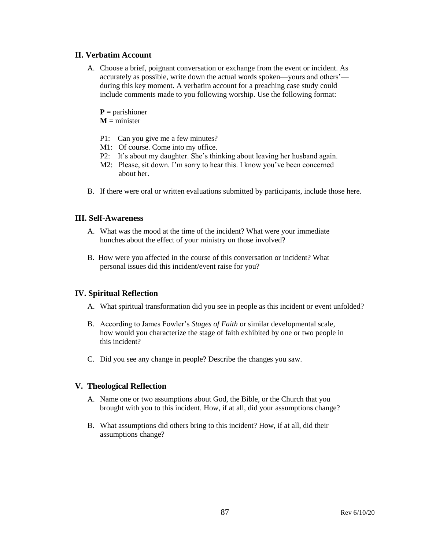#### **II. Verbatim Account**

- A. Choose a brief, poignant conversation or exchange from the event or incident. As accurately as possible, write down the actual words spoken—yours and others' during this key moment. A verbatim account for a preaching case study could include comments made to you following worship. Use the following format:
	- **P =** parishioner
	- $M =$  minister
	- P1: Can you give me a few minutes?
	- M1: Of course. Come into my office.
	- P2: It's about my daughter. She's thinking about leaving her husband again.
	- M2: Please, sit down. I'm sorry to hear this. I know you've been concerned about her.
- B. If there were oral or written evaluations submitted by participants, include those here.

#### **III. Self-Awareness**

- A. What was the mood at the time of the incident? What were your immediate hunches about the effect of your ministry on those involved?
- B. How were you affected in the course of this conversation or incident? What personal issues did this incident/event raise for you?

#### **IV. Spiritual Reflection**

- A. What spiritual transformation did you see in people as this incident or event unfolded?
- B. According to James Fowler's *Stages of Faith* or similar developmental scale, how would you characterize the stage of faith exhibited by one or two people in this incident?
- C. Did you see any change in people? Describe the changes you saw.

#### **V. Theological Reflection**

- A. Name one or two assumptions about God, the Bible, or the Church that you brought with you to this incident. How, if at all, did your assumptions change?
- B. What assumptions did others bring to this incident? How, if at all, did their assumptions change?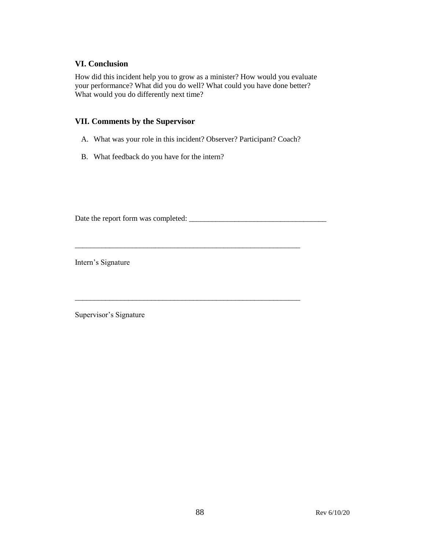#### **VI. Conclusion**

How did this incident help you to grow as a minister? How would you evaluate your performance? What did you do well? What could you have done better? What would you do differently next time?

#### **VII. Comments by the Supervisor**

A. What was your role in this incident? Observer? Participant? Coach?

\_\_\_\_\_\_\_\_\_\_\_\_\_\_\_\_\_\_\_\_\_\_\_\_\_\_\_\_\_\_\_\_\_\_\_\_\_\_\_\_\_\_\_\_\_\_\_\_\_\_\_\_\_\_\_\_\_\_\_

\_\_\_\_\_\_\_\_\_\_\_\_\_\_\_\_\_\_\_\_\_\_\_\_\_\_\_\_\_\_\_\_\_\_\_\_\_\_\_\_\_\_\_\_\_\_\_\_\_\_\_\_\_\_\_\_\_\_\_

B. What feedback do you have for the intern?

Date the report form was completed: \_\_\_\_\_\_\_\_\_\_\_\_\_\_\_\_\_\_\_\_\_\_\_\_\_\_\_\_\_\_\_\_\_\_\_\_

Intern's Signature

Supervisor's Signature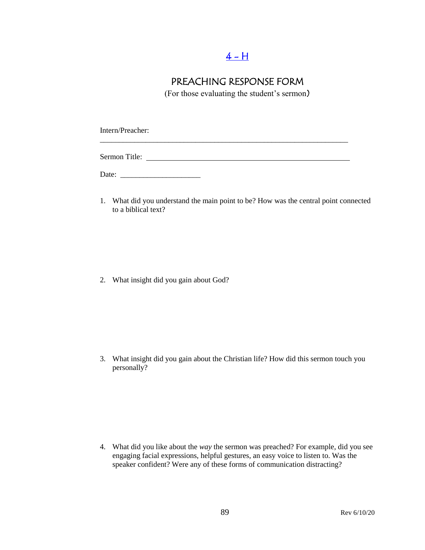## $4 - H$

### PREACHING RESPONSE FORM

(For those evaluating the student's sermon)

Intern/Preacher:

Sermon Title:

\_\_\_\_\_\_\_\_\_\_\_\_\_\_\_\_\_\_\_\_\_\_\_\_\_\_\_\_\_\_\_\_\_\_\_\_\_\_\_\_\_\_\_\_\_\_\_\_\_\_\_\_\_\_\_\_\_\_\_\_\_\_\_\_\_

Date: \_\_\_\_\_\_\_\_\_\_\_\_\_\_\_\_\_\_\_\_\_

1. What did you understand the main point to be? How was the central point connected to a biblical text?

2. What insight did you gain about God?

3. What insight did you gain about the Christian life? How did this sermon touch you personally?

4. What did you like about the *way* the sermon was preached? For example, did you see engaging facial expressions, helpful gestures, an easy voice to listen to. Was the speaker confident? Were any of these forms of communication distracting?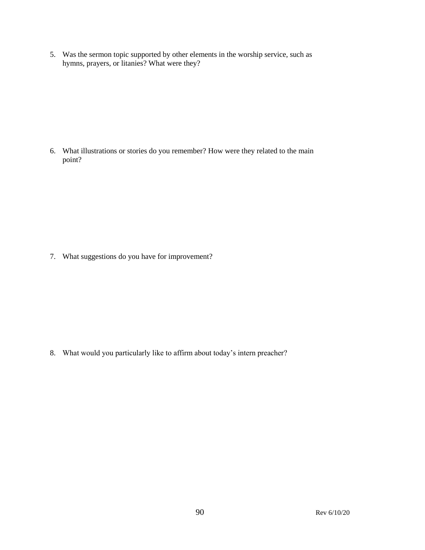5. Was the sermon topic supported by other elements in the worship service, such as hymns, prayers, or litanies? What were they?

6. What illustrations or stories do you remember? How were they related to the main point?

7. What suggestions do you have for improvement?

8. What would you particularly like to affirm about today's intern preacher?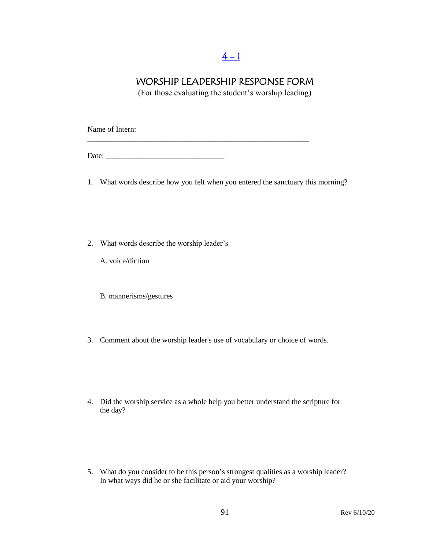## $4 - 1$

### WORSHIP LEADERSHIP RESPONSE FORM

(For those evaluating the student's worship leading)

Name of Intern:

Date: \_\_\_\_\_\_\_\_\_\_\_\_\_\_\_\_\_\_\_\_\_\_\_\_\_\_\_\_\_\_\_

1. What words describe how you felt when you entered the sanctuary this morning?

\_\_\_\_\_\_\_\_\_\_\_\_\_\_\_\_\_\_\_\_\_\_\_\_\_\_\_\_\_\_\_\_\_\_\_\_\_\_\_\_\_\_\_\_\_\_\_\_\_\_\_\_\_\_\_\_\_\_

- 2. What words describe the worship leader's
	- A. voice/diction
	- B. mannerisms/gestures
- 3. Comment about the worship leader's use of vocabulary or choice of words.
- 4. Did the worship service as a whole help you better understand the scripture for the day?
- 5. What do you consider to be this person's strongest qualities as a worship leader? In what ways did he or she facilitate or aid your worship?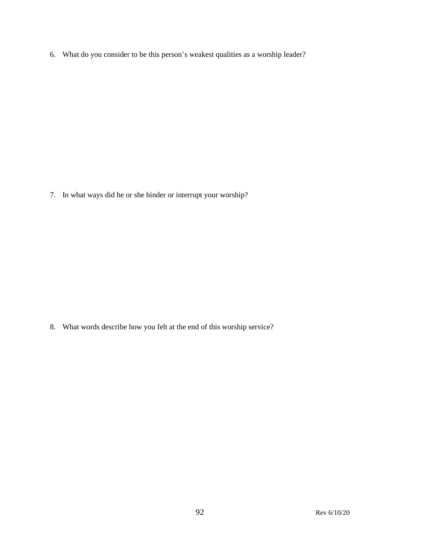6. What do you consider to be this person's weakest qualities as a worship leader?

7. In what ways did he or she hinder or interrupt your worship?

8. What words describe how you felt at the end of this worship service?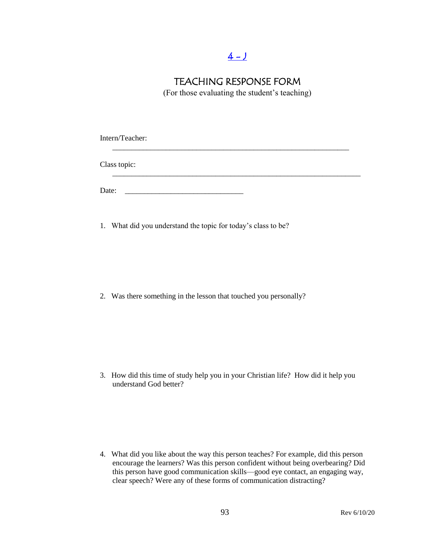### $4 - J$

### TEACHING RESPONSE FORM

(For those evaluating the student's teaching)

Intern/Teacher: \_\_\_\_\_\_\_\_\_\_\_\_\_\_\_\_\_\_\_\_\_\_\_\_\_\_\_\_\_\_\_\_\_\_\_\_\_\_\_\_\_\_\_\_\_\_\_\_\_\_\_\_\_\_\_\_\_\_\_\_\_\_ Class topic: \_\_\_\_\_\_\_\_\_\_\_\_\_\_\_\_\_\_\_\_\_\_\_\_\_\_\_\_\_\_\_\_\_\_\_\_\_\_\_\_\_\_\_\_\_\_\_\_\_\_\_\_\_\_\_\_\_\_\_\_\_\_\_\_\_ Date: \_\_\_\_\_\_\_\_\_\_\_\_\_\_\_\_\_\_\_\_\_\_\_\_\_\_\_\_\_\_\_

1. What did you understand the topic for today's class to be?

2. Was there something in the lesson that touched you personally?

3. How did this time of study help you in your Christian life? How did it help you understand God better?

4. What did you like about the way this person teaches? For example, did this person encourage the learners? Was this person confident without being overbearing? Did this person have good communication skills—good eye contact, an engaging way, clear speech? Were any of these forms of communication distracting?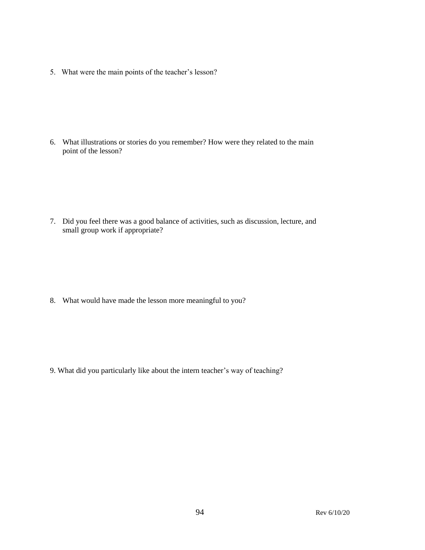5. What were the main points of the teacher's lesson?

6. What illustrations or stories do you remember? How were they related to the main point of the lesson?

7. Did you feel there was a good balance of activities, such as discussion, lecture, and small group work if appropriate?

8. What would have made the lesson more meaningful to you?

9. What did you particularly like about the intern teacher's way of teaching?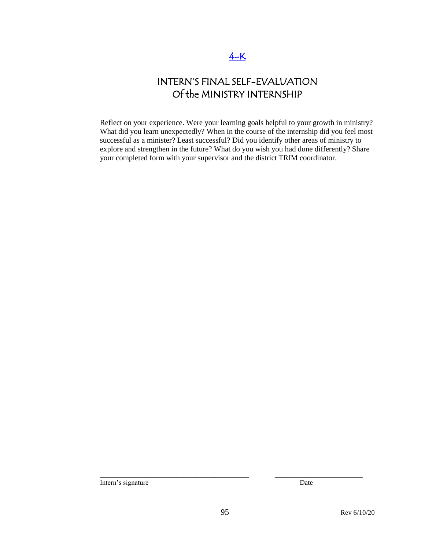# INTERN'S FINAL SELF-EVALUATION Of the MINISTRY INTERNSHIP

Reflect on your experience. Were your learning goals helpful to your growth in ministry? What did you learn unexpectedly? When in the course of the internship did you feel most successful as a minister? Least successful? Did you identify other areas of ministry to explore and strengthen in the future? What do you wish you had done differently? Share your completed form with your supervisor and the district TRIM coordinator.

Intern's signature Date

\_\_\_\_\_\_\_\_\_\_\_\_\_\_\_\_\_\_\_\_\_\_\_\_\_\_\_\_\_\_\_\_\_\_\_\_\_\_\_ \_\_\_\_\_\_\_\_\_\_\_\_\_\_\_\_\_\_\_\_\_\_\_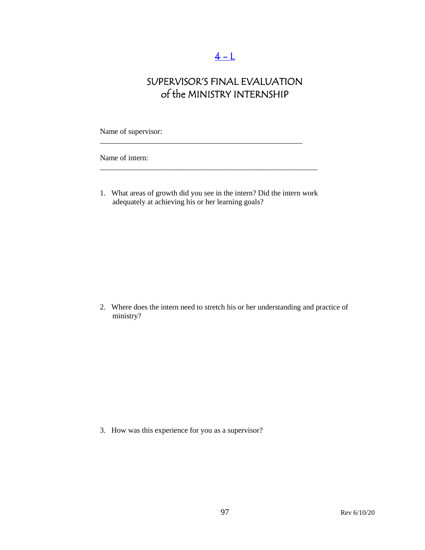# $4 - 1$

# SUPERVISOR'S FINAL EVALUATION of the MINISTRY INTERNSHIP

Name of supervisor:

Name of intern:

1. What areas of growth did you see in the intern? Did the intern work adequately at achieving his or her learning goals?

\_\_\_\_\_\_\_\_\_\_\_\_\_\_\_\_\_\_\_\_\_\_\_\_\_\_\_\_\_\_\_\_\_\_\_\_\_\_\_\_\_\_\_\_\_\_\_\_\_\_\_\_\_\_\_\_\_

\_\_\_\_\_\_\_\_\_\_\_\_\_\_\_\_\_\_\_\_\_\_\_\_\_\_\_\_\_\_\_\_\_\_\_\_\_\_\_\_\_\_\_\_\_\_\_\_\_\_\_\_\_

2. Where does the intern need to stretch his or her understanding and practice of ministry?

3. How was this experience for you as a supervisor?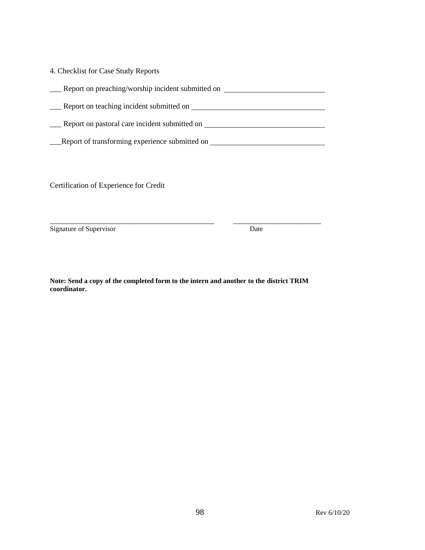| 4. Checklist for Case Study Reports               |  |  |
|---------------------------------------------------|--|--|
| Report on preaching/worship incident submitted on |  |  |
| Report on teaching incident submitted on          |  |  |
| Report on pastoral care incident submitted on     |  |  |
| Report of transforming experience submitted on    |  |  |

Certification of Experience for Credit

Signature of Supervisor Date

**Note: Send a copy of the completed form to the intern and another to the district TRIM coordinator.** 

\_\_\_\_\_\_\_\_\_\_\_\_\_\_\_\_\_\_\_\_\_\_\_\_\_\_\_\_\_\_\_\_\_\_\_\_\_\_\_\_\_\_\_ \_\_\_\_\_\_\_\_\_\_\_\_\_\_\_\_\_\_\_\_\_\_\_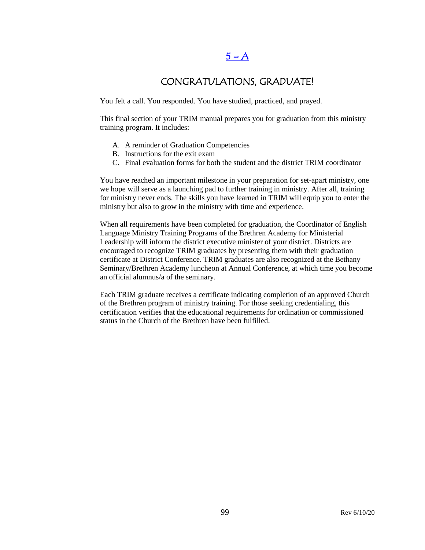### $5 - A$

### CONGRATULATIONS, GRADUATE!

You felt a call. You responded. You have studied, practiced, and prayed.

This final section of your TRIM manual prepares you for graduation from this ministry training program. It includes:

- A. A reminder of Graduation Competencies
- B. Instructions for the exit exam
- C. Final evaluation forms for both the student and the district TRIM coordinator

You have reached an important milestone in your preparation for set-apart ministry, one we hope will serve as a launching pad to further training in ministry. After all, training for ministry never ends. The skills you have learned in TRIM will equip you to enter the ministry but also to grow in the ministry with time and experience.

When all requirements have been completed for graduation, the Coordinator of English Language Ministry Training Programs of the Brethren Academy for Ministerial Leadership will inform the district executive minister of your district. Districts are encouraged to recognize TRIM graduates by presenting them with their graduation certificate at District Conference. TRIM graduates are also recognized at the Bethany Seminary/Brethren Academy luncheon at Annual Conference, at which time you become an official alumnus/a of the seminary.

Each TRIM graduate receives a certificate indicating completion of an approved Church of the Brethren program of ministry training. For those seeking credentialing, this certification verifies that the educational requirements for ordination or commissioned status in the Church of the Brethren have been fulfilled.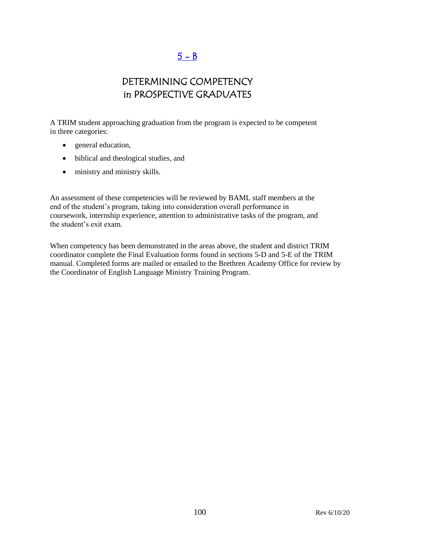## $5 - B$

## DETERMINING COMPETENCY in PROSPECTIVE GRADUATES

A TRIM student approaching graduation from the program is expected to be competent in three categories:

- general education,
- biblical and theological studies, and
- ministry and ministry skills.

An assessment of these competencies will be reviewed by BAML staff members at the end of the student's program, taking into consideration overall performance in coursework, internship experience, attention to administrative tasks of the program, and the student's exit exam.

When competency has been demonstrated in the areas above, the student and district TRIM coordinator complete the Final Evaluation forms found in sections 5-D and 5-E of the TRIM manual. Completed forms are mailed or emailed to the Brethren Academy Office for review by the Coordinator of English Language Ministry Training Program.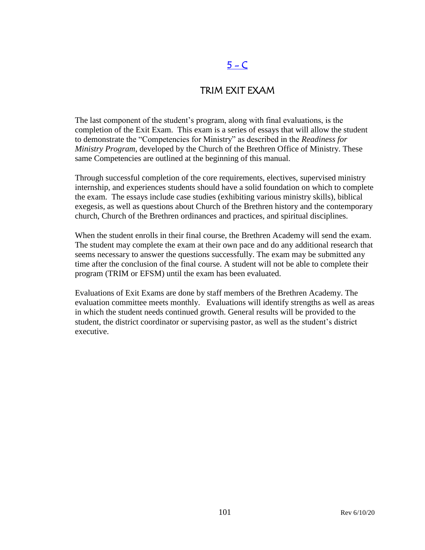# $5 - C$

### TRIM EXIT EXAM

The last component of the student's program, along with final evaluations, is the completion of the Exit Exam. This exam is a series of essays that will allow the student to demonstrate the "Competencies for Ministry" as described in the *Readiness for Ministry Program*, developed by the Church of the Brethren Office of Ministry. These same Competencies are outlined at the beginning of this manual.

Through successful completion of the core requirements, electives, supervised ministry internship, and experiences students should have a solid foundation on which to complete the exam. The essays include case studies (exhibiting various ministry skills), biblical exegesis, as well as questions about Church of the Brethren history and the contemporary church, Church of the Brethren ordinances and practices, and spiritual disciplines.

When the student enrolls in their final course, the Brethren Academy will send the exam. The student may complete the exam at their own pace and do any additional research that seems necessary to answer the questions successfully. The exam may be submitted any time after the conclusion of the final course. A student will not be able to complete their program (TRIM or EFSM) until the exam has been evaluated.

Evaluations of Exit Exams are done by staff members of the Brethren Academy. The evaluation committee meets monthly. Evaluations will identify strengths as well as areas in which the student needs continued growth. General results will be provided to the student, the district coordinator or supervising pastor, as well as the student's district executive.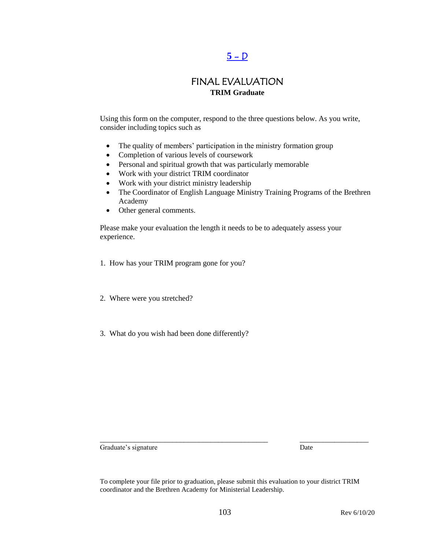## $5 - D$

### FINAL EVALUATION **TRIM Graduate**

Using this form on the computer, respond to the three questions below. As you write, consider including topics such as

- The quality of members' participation in the ministry formation group
- Completion of various levels of coursework
- Personal and spiritual growth that was particularly memorable
- Work with your district TRIM coordinator
- Work with your district ministry leadership
- The Coordinator of English Language Ministry Training Programs of the Brethren Academy
- Other general comments.

Please make your evaluation the length it needs to be to adequately assess your experience.

- 1. How has your TRIM program gone for you?
- 2. Where were you stretched?
- 3. What do you wish had been done differently?

Graduate's signature Date

To complete your file prior to graduation, please submit this evaluation to your district TRIM coordinator and the Brethren Academy for Ministerial Leadership.

\_\_\_\_\_\_\_\_\_\_\_\_\_\_\_\_\_\_\_\_\_\_\_\_\_\_\_\_\_\_\_\_\_\_\_\_\_\_\_\_\_\_\_\_ \_\_\_\_\_\_\_\_\_\_\_\_\_\_\_\_\_\_